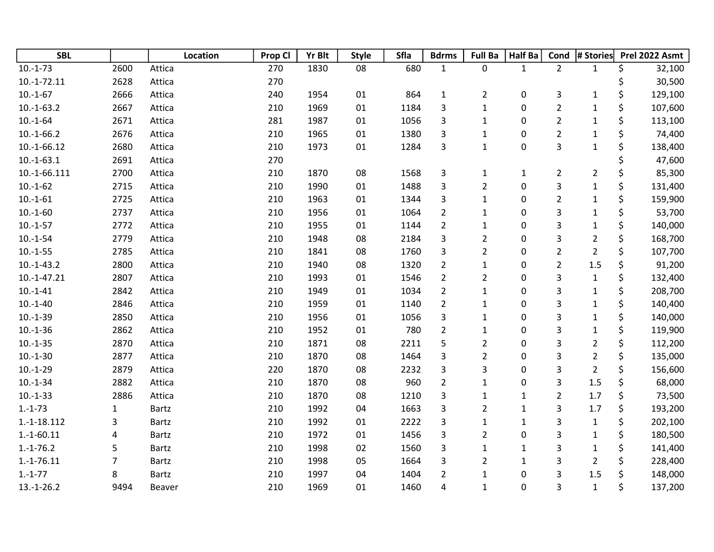| <b>SBL</b>    |              | Location     | Prop Cl | <b>Yr Blt</b> | <b>Style</b> | Sfla | <b>Bdrms</b>   | <b>Full Ba</b>          | <b>Half Ba</b> | Cond           | # Stories      |    | Prel 2022 Asmt |
|---------------|--------------|--------------|---------|---------------|--------------|------|----------------|-------------------------|----------------|----------------|----------------|----|----------------|
| $10.-1-73$    | 2600         | Attica       | 270     | 1830          | 08           | 680  | $\mathbf{1}$   | 0                       | $\mathbf{1}$   | $\overline{2}$ | $\mathbf{1}$   | \$ | 32,100         |
| $10.-1-72.11$ | 2628         | Attica       | 270     |               |              |      |                |                         |                |                |                | \$ | 30,500         |
| $10.-1-67$    | 2666         | Attica       | 240     | 1954          | 01           | 864  | $\mathbf 1$    | $\overline{2}$          | 0              | 3              | $\mathbf{1}$   | \$ | 129,100        |
| $10.-1-63.2$  | 2667         | Attica       | 210     | 1969          | 01           | 1184 | 3              | $\mathbf{1}$            | 0              | $\overline{2}$ | 1              | \$ | 107,600        |
| $10.-1-64$    | 2671         | Attica       | 281     | 1987          | 01           | 1056 | 3              | $\mathbf 1$             | 0              | $\overline{2}$ | $\mathbf 1$    | \$ | 113,100        |
| $10.-1-66.2$  | 2676         | Attica       | 210     | 1965          | 01           | 1380 | 3              | $\mathbf{1}$            | 0              | $\overline{2}$ | $\mathbf 1$    | \$ | 74,400         |
| 10.-1-66.12   | 2680         | Attica       | 210     | 1973          | 01           | 1284 | 3              | $\mathbf{1}$            | 0              | 3              | $\mathbf{1}$   | \$ | 138,400        |
| $10.-1-63.1$  | 2691         | Attica       | 270     |               |              |      |                |                         |                |                |                | \$ | 47,600         |
| 10.-1-66.111  | 2700         | Attica       | 210     | 1870          | 08           | 1568 | 3              | $\mathbf 1$             | $\mathbf{1}$   | $\overline{2}$ | $\overline{2}$ | \$ | 85,300         |
| $10.-1-62$    | 2715         | Attica       | 210     | 1990          | 01           | 1488 | 3              | $\overline{2}$          | 0              | 3              | $\mathbf{1}$   | \$ | 131,400        |
| $10.-1-61$    | 2725         | Attica       | 210     | 1963          | 01           | 1344 | 3              | $\mathbf 1$             | 0              | $\overline{2}$ | $\mathbf 1$    | \$ | 159,900        |
| $10.-1-60$    | 2737         | Attica       | 210     | 1956          | 01           | 1064 | $\overline{2}$ | $\mathbf{1}$            | 0              | 3              | $\mathbf{1}$   | \$ | 53,700         |
| $10.-1-57$    | 2772         | Attica       | 210     | 1955          | 01           | 1144 | $\overline{2}$ | $\mathbf{1}$            | 0              | 3              | $\mathbf{1}$   | \$ | 140,000        |
| $10.-1-54$    | 2779         | Attica       | 210     | 1948          | 08           | 2184 | 3              | $\overline{2}$          | 0              | 3              | $\overline{2}$ | \$ | 168,700        |
| $10.-1-55$    | 2785         | Attica       | 210     | 1841          | 08           | 1760 | 3              | $\overline{\mathbf{c}}$ | 0              | $\overline{2}$ | $\overline{2}$ | \$ | 107,700        |
| $10.-1-43.2$  | 2800         | Attica       | 210     | 1940          | 08           | 1320 | $\overline{2}$ | $\mathbf{1}$            | 0              | $\overline{2}$ | $1.5\,$        | \$ | 91,200         |
| $10.-1-47.21$ | 2807         | Attica       | 210     | 1993          | 01           | 1546 | $\overline{2}$ | $\overline{2}$          | 0              | 3              | $\mathbf{1}$   | \$ | 132,400        |
| $10.-1-41$    | 2842         | Attica       | 210     | 1949          | 01           | 1034 | $\overline{2}$ | $\mathbf{1}$            | 0              | 3              | $\mathbf{1}$   | \$ | 208,700        |
| $10.-1-40$    | 2846         | Attica       | 210     | 1959          | $01\,$       | 1140 | $\overline{2}$ | $\mathbf 1$             | 0              | 3              | $\mathbf 1$    | \$ | 140,400        |
| $10.-1-39$    | 2850         | Attica       | 210     | 1956          | 01           | 1056 | 3              | $\mathbf{1}$            | 0              | 3              | $\mathbf 1$    | \$ | 140,000        |
| $10.-1-36$    | 2862         | Attica       | 210     | 1952          | 01           | 780  | $\overline{2}$ | $\mathbf 1$             | 0              | 3              | $\mathbf 1$    | \$ | 119,900        |
| $10.-1-35$    | 2870         | Attica       | 210     | 1871          | 08           | 2211 | 5              | $\overline{2}$          | 0              | 3              | $\overline{2}$ | \$ | 112,200        |
| $10.-1-30$    | 2877         | Attica       | 210     | 1870          | 08           | 1464 | 3              | $\overline{2}$          | 0              | 3              | $\overline{2}$ | \$ | 135,000        |
| $10.-1-29$    | 2879         | Attica       | 220     | 1870          | 08           | 2232 | 3              | 3                       | 0              | 3              | $\overline{2}$ | \$ | 156,600        |
| $10.-1-34$    | 2882         | Attica       | 210     | 1870          | 08           | 960  | $\overline{2}$ | $\mathbf 1$             | 0              | 3              | 1.5            | \$ | 68,000         |
| $10.-1-33$    | 2886         | Attica       | 210     | 1870          | 08           | 1210 | 3              | $\mathbf 1$             | $\mathbf{1}$   | $\overline{2}$ | 1.7            | \$ | 73,500         |
| $1.-1-73$     | $\mathbf{1}$ | Bartz        | 210     | 1992          | 04           | 1663 | 3              | $\overline{2}$          | $\mathbf{1}$   | 3              | 1.7            | \$ | 193,200        |
| $1.-1-18.112$ | 3            | <b>Bartz</b> | 210     | 1992          | 01           | 2222 | 3              | $\mathbf{1}$            | $\mathbf{1}$   | 3              | $\mathbf{1}$   | \$ | 202,100        |
| $1.-1-60.11$  | 4            | <b>Bartz</b> | 210     | 1972          | 01           | 1456 | 3              | $\overline{2}$          | 0              | 3              | $\mathbf{1}$   | \$ | 180,500        |
| $1.-1-76.2$   | 5            | <b>Bartz</b> | 210     | 1998          | 02           | 1560 | 3              | $\mathbf{1}$            | $\mathbf{1}$   | 3              | $\mathbf 1$    | \$ | 141,400        |
| $1.-1-76.11$  | 7            | <b>Bartz</b> | 210     | 1998          | 05           | 1664 | 3              | $\overline{2}$          | $\mathbf{1}$   | 3              | $\overline{2}$ | \$ | 228,400        |
| $1.-1-77$     | 8            | <b>Bartz</b> | 210     | 1997          | 04           | 1404 | $\overline{2}$ | $\mathbf{1}$            | 0              | 3              | 1.5            | Ś  | 148,000        |
| $13.-1-26.2$  | 9494         | Beaver       | 210     | 1969          | 01           | 1460 | 4              | $\mathbf{1}$            | 0              | 3              | $\mathbf{1}$   | \$ | 137,200        |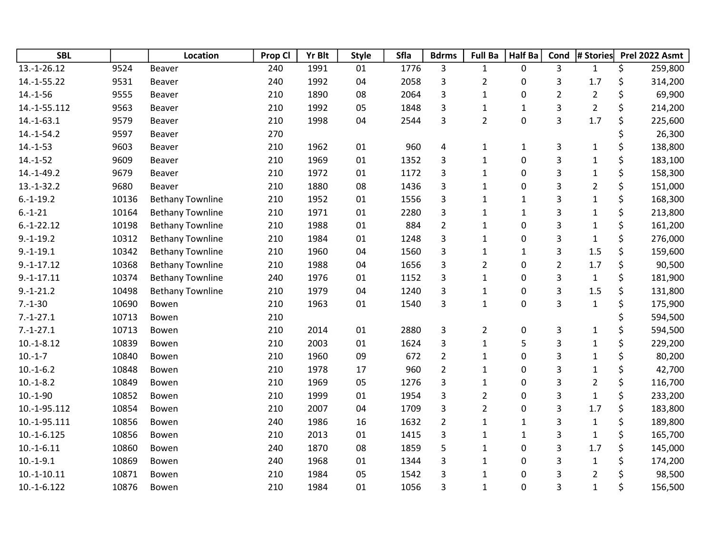| <b>SBL</b>    |       | Location                | Prop Cl | <b>Yr Blt</b> | <b>Style</b> | Sfla | <b>Bdrms</b>   | <b>Full Ba</b> | Half Ba      | Cond           | # Stories      | Prel 2022 Asmt |
|---------------|-------|-------------------------|---------|---------------|--------------|------|----------------|----------------|--------------|----------------|----------------|----------------|
| 13.-1-26.12   | 9524  | Beaver                  | 240     | 1991          | 01           | 1776 | 3              | $\mathbf{1}$   | 0            | 3              | $\mathbf{1}$   | \$<br>259,800  |
| 14.-1-55.22   | 9531  | Beaver                  | 240     | 1992          | 04           | 2058 | 3              | $\overline{2}$ | 0            | 3              | 1.7            | \$<br>314,200  |
| $14.-1-56$    | 9555  | Beaver                  | 210     | 1890          | 08           | 2064 | 3              | $\mathbf{1}$   | 0            | $\overline{2}$ | $\overline{2}$ | \$<br>69,900   |
| 14.-1-55.112  | 9563  | Beaver                  | 210     | 1992          | 05           | 1848 | 3              | $\mathbf{1}$   | $\mathbf{1}$ | 3              | $\overline{2}$ | \$<br>214,200  |
| $14.-1-63.1$  | 9579  | Beaver                  | 210     | 1998          | 04           | 2544 | 3              | $\overline{2}$ | $\pmb{0}$    | $\overline{3}$ | 1.7            | \$<br>225,600  |
| $14.-1-54.2$  | 9597  | Beaver                  | 270     |               |              |      |                |                |              |                |                | \$<br>26,300   |
| $14.-1-53$    | 9603  | Beaver                  | 210     | 1962          | 01           | 960  | 4              | $\mathbf{1}$   | $\mathbf{1}$ | 3              | $\mathbf{1}$   | \$<br>138,800  |
| $14.-1-52$    | 9609  | Beaver                  | 210     | 1969          | 01           | 1352 | 3              | $\mathbf{1}$   | 0            | 3              | $\mathbf{1}$   | \$<br>183,100  |
| $14.-1-49.2$  | 9679  | Beaver                  | 210     | 1972          | 01           | 1172 | 3              | $\mathbf{1}$   | 0            | 3              | $\mathbf{1}$   | \$<br>158,300  |
| $13.-1-32.2$  | 9680  | Beaver                  | 210     | 1880          | 08           | 1436 | 3              | $\mathbf{1}$   | 0            | 3              | $\overline{2}$ | \$<br>151,000  |
| $6.-1-19.2$   | 10136 | <b>Bethany Townline</b> | 210     | 1952          | 01           | 1556 | 3              | $\mathbf{1}$   | $\mathbf{1}$ | 3              | $\mathbf 1$    | \$<br>168,300  |
| $6.-1-21$     | 10164 | <b>Bethany Townline</b> | 210     | 1971          | 01           | 2280 | 3              | $\mathbf{1}$   | $\mathbf{1}$ | 3              | $\mathbf{1}$   | \$<br>213,800  |
| $6.-1-22.12$  | 10198 | <b>Bethany Townline</b> | 210     | 1988          | 01           | 884  | $\overline{2}$ | $\mathbf{1}$   | 0            | 3              | $\mathbf{1}$   | \$<br>161,200  |
| $9.-1-19.2$   | 10312 | <b>Bethany Townline</b> | 210     | 1984          | 01           | 1248 | 3              | $\mathbf{1}$   | $\pmb{0}$    | 3              | $\mathbf{1}$   | \$<br>276,000  |
| $9.-1-19.1$   | 10342 | <b>Bethany Townline</b> | 210     | 1960          | 04           | 1560 | 3              | $\mathbf{1}$   | $\mathbf{1}$ | 3              | 1.5            | \$<br>159,600  |
| $9.-1-17.12$  | 10368 | <b>Bethany Townline</b> | 210     | 1988          | 04           | 1656 | 3              | $\overline{2}$ | 0            | $\overline{2}$ | 1.7            | \$<br>90,500   |
| $9.-1-17.11$  | 10374 | <b>Bethany Townline</b> | 240     | 1976          | 01           | 1152 | 3              | $\mathbf{1}$   | 0            | 3              | $\mathbf{1}$   | \$<br>181,900  |
| $9.-1-21.2$   | 10498 | <b>Bethany Townline</b> | 210     | 1979          | 04           | 1240 | 3              | $\mathbf{1}$   | 0            | 3              | 1.5            | \$<br>131,800  |
| $7.-1-30$     | 10690 | Bowen                   | 210     | 1963          | 01           | 1540 | 3              | $\mathbf{1}$   | 0            | 3              | $\mathbf{1}$   | \$<br>175,900  |
| $7.-1-27.1$   | 10713 | Bowen                   | 210     |               |              |      |                |                |              |                |                | \$<br>594,500  |
| $7.-1-27.1$   | 10713 | Bowen                   | 210     | 2014          | 01           | 2880 | 3              | $\overline{2}$ | 0            | 3              | $\mathbf{1}$   | \$<br>594,500  |
| $10.-1-8.12$  | 10839 | Bowen                   | 210     | 2003          | 01           | 1624 | 3              | $\mathbf{1}$   | 5            | 3              | $\mathbf{1}$   | \$<br>229,200  |
| $10.-1-7$     | 10840 | Bowen                   | 210     | 1960          | 09           | 672  | $\overline{2}$ | $\mathbf{1}$   | 0            | 3              | $\mathbf{1}$   | \$<br>80,200   |
| $10.-1-6.2$   | 10848 | Bowen                   | 210     | 1978          | 17           | 960  | $\overline{2}$ | $\mathbf{1}$   | 0            | 3              | 1              | \$<br>42,700   |
| $10.-1-8.2$   | 10849 | Bowen                   | 210     | 1969          | 05           | 1276 | 3              | $\mathbf{1}$   | 0            | 3              | $\overline{2}$ | \$<br>116,700  |
| $10.-1-90$    | 10852 | Bowen                   | 210     | 1999          | 01           | 1954 | 3              | $\overline{2}$ | 0            | 3              | $\mathbf{1}$   | \$<br>233,200  |
| 10.-1-95.112  | 10854 | Bowen                   | 210     | 2007          | 04           | 1709 | 3              | $\overline{2}$ | 0            | 3              | 1.7            | \$<br>183,800  |
| 10.-1-95.111  | 10856 | Bowen                   | 240     | 1986          | 16           | 1632 | $\overline{2}$ | $\mathbf{1}$   | $\mathbf{1}$ | 3              | $\mathbf{1}$   | \$<br>189,800  |
| $10.-1-6.125$ | 10856 | Bowen                   | 210     | 2013          | 01           | 1415 | 3              | $\mathbf{1}$   | $\mathbf{1}$ | 3              | $\mathbf{1}$   | \$<br>165,700  |
| $10.-1-6.11$  | 10860 | Bowen                   | 240     | 1870          | 08           | 1859 | 5              | $\mathbf{1}$   | 0            | 3              | 1.7            | \$<br>145,000  |
| $10.-1-9.1$   | 10869 | Bowen                   | 240     | 1968          | 01           | 1344 | 3              | $\mathbf{1}$   | 0            | 3              | $\mathbf{1}$   | \$<br>174,200  |
| $10.-1-10.11$ | 10871 | Bowen                   | 210     | 1984          | 05           | 1542 | 3              | 1              | 0            | 3              | $\overline{2}$ | 98,500         |
| $10.-1-6.122$ | 10876 | Bowen                   | 210     | 1984          | 01           | 1056 | 3              | $\mathbf{1}$   | 0            | 3              | $\mathbf{1}$   | \$<br>156,500  |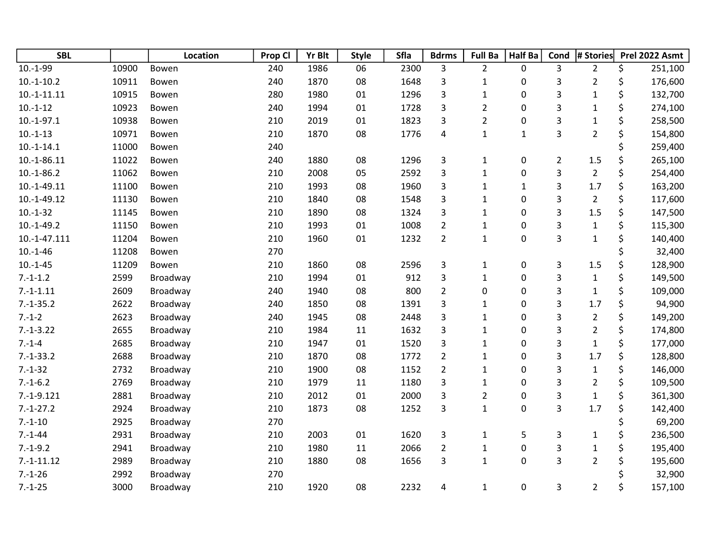| <b>SBL</b>     |       | Location | Prop Cl | <b>Yr Blt</b> | <b>Style</b> | Sfla | <b>Bdrms</b>   | <b>Full Ba</b> | Half Ba      | Cond           | # Stories      | Prel 2022 Asmt |
|----------------|-------|----------|---------|---------------|--------------|------|----------------|----------------|--------------|----------------|----------------|----------------|
| $10.-1-99$     | 10900 | Bowen    | 240     | 1986          | 06           | 2300 | 3              | $\overline{2}$ | 0            | 3              | $\overline{2}$ | \$<br>251,100  |
| $10.-1-10.2$   | 10911 | Bowen    | 240     | 1870          | 08           | 1648 | 3              | $\mathbf{1}$   | 0            | 3              | $\overline{2}$ | \$<br>176,600  |
| $10.-1-11.11$  | 10915 | Bowen    | 280     | 1980          | 01           | 1296 | 3              | $\mathbf{1}$   | 0            | 3              | $\mathbf{1}$   | \$<br>132,700  |
| $10.-1-12$     | 10923 | Bowen    | 240     | 1994          | 01           | 1728 | 3              | $\overline{2}$ | $\pmb{0}$    | 3              | $\mathbf 1$    | \$<br>274,100  |
| $10.-1-97.1$   | 10938 | Bowen    | 210     | 2019          | 01           | 1823 | 3              | $\overline{2}$ | 0            | 3              | $\mathbf{1}$   | \$<br>258,500  |
| $10.-1-13$     | 10971 | Bowen    | 210     | 1870          | 08           | 1776 | 4              | $\mathbf{1}$   | $\mathbf{1}$ | 3              | $\overline{2}$ | \$<br>154,800  |
| $10.-1-14.1$   | 11000 | Bowen    | 240     |               |              |      |                |                |              |                |                | \$<br>259,400  |
| $10.-1-86.11$  | 11022 | Bowen    | 240     | 1880          | 08           | 1296 | $\mathsf{3}$   | $\mathbf{1}$   | $\pmb{0}$    | $\overline{2}$ | 1.5            | \$<br>265,100  |
| $10.-1-86.2$   | 11062 | Bowen    | 210     | 2008          | 05           | 2592 | 3              | $\mathbf{1}$   | 0            | 3              | $\overline{2}$ | \$<br>254,400  |
| $10.-1-49.11$  | 11100 | Bowen    | 210     | 1993          | 08           | 1960 | 3              | $\mathbf{1}$   | $\mathbf{1}$ | 3              | 1.7            | \$<br>163,200  |
| $10.-1-49.12$  | 11130 | Bowen    | 210     | 1840          | 08           | 1548 | 3              | $\mathbf 1$    | 0            | 3              | $\overline{2}$ | \$<br>117,600  |
| $10.-1-32$     | 11145 | Bowen    | 210     | 1890          | 08           | 1324 | 3              | $\mathbf{1}$   | 0            | 3              | 1.5            | \$<br>147,500  |
| $10.-1-49.2$   | 11150 | Bowen    | 210     | 1993          | 01           | 1008 | $\overline{2}$ | $\mathbf{1}$   | 0            | 3              | $1\,$          | \$<br>115,300  |
| $10.-1-47.111$ | 11204 | Bowen    | 210     | 1960          | 01           | 1232 | $\overline{2}$ | $\mathbf{1}$   | 0            | 3              | $\mathbf 1$    | \$<br>140,400  |
| $10.-1-46$     | 11208 | Bowen    | 270     |               |              |      |                |                |              |                |                | \$<br>32,400   |
| $10.-1-45$     | 11209 | Bowen    | 210     | 1860          | 08           | 2596 | 3              | $\mathbf{1}$   | 0            | 3              | 1.5            | \$<br>128,900  |
| $7.-1-1.2$     | 2599  | Broadway | 210     | 1994          | 01           | 912  | 3              | $\mathbf{1}$   | 0            | 3              | $\mathbf{1}$   | \$<br>149,500  |
| $7.-1-1.11$    | 2609  | Broadway | 240     | 1940          | 08           | 800  | $\overline{2}$ | 0              | 0            | 3              | $\mathbf 1$    | \$<br>109,000  |
| $7.-1-35.2$    | 2622  | Broadway | 240     | 1850          | 08           | 1391 | 3              | $\mathbf{1}$   | 0            | 3              | 1.7            | \$<br>94,900   |
| $7.-1-2$       | 2623  | Broadway | 240     | 1945          | 08           | 2448 | 3              | $\mathbf{1}$   | 0            | 3              | $\overline{2}$ | \$<br>149,200  |
| $7.-1-3.22$    | 2655  | Broadway | 210     | 1984          | 11           | 1632 | 3              | $\mathbf 1$    | 0            | 3              | $\overline{2}$ | \$<br>174,800  |
| $7.-1-4$       | 2685  | Broadway | 210     | 1947          | 01           | 1520 | 3              | $\mathbf{1}$   | 0            | 3              | $\mathbf{1}$   | \$<br>177,000  |
| $7.-1-33.2$    | 2688  | Broadway | 210     | 1870          | 08           | 1772 | $\overline{2}$ | $\mathbf 1$    | 0            | 3              | 1.7            | \$<br>128,800  |
| $7.-1-32$      | 2732  | Broadway | 210     | 1900          | 08           | 1152 | $\overline{2}$ | $\mathbf{1}$   | 0            | 3              | $\mathbf{1}$   | \$<br>146,000  |
| $7.-1-6.2$     | 2769  | Broadway | 210     | 1979          | 11           | 1180 | 3              | $\mathbf{1}$   | $\pmb{0}$    | 3              | $\overline{2}$ | \$<br>109,500  |
| $7.-1-9.121$   | 2881  | Broadway | 210     | 2012          | 01           | 2000 | 3              | $\overline{2}$ | 0            | 3              | $\mathbf{1}$   | \$<br>361,300  |
| $7.-1-27.2$    | 2924  | Broadway | 210     | 1873          | 08           | 1252 | 3              | $\mathbf{1}$   | $\mathbf 0$  | 3              | 1.7            | \$<br>142,400  |
| $7.-1-10$      | 2925  | Broadway | 270     |               |              |      |                |                |              |                |                | \$<br>69,200   |
| $7.-1-44$      | 2931  | Broadway | 210     | 2003          | 01           | 1620 | $\mathsf{3}$   | $\mathbf{1}$   | 5            | 3              | $\mathbf{1}$   | \$<br>236,500  |
| $7.-1-9.2$     | 2941  | Broadway | 210     | 1980          | 11           | 2066 | $\overline{2}$ | $\mathbf{1}$   | $\pmb{0}$    | 3              | $\mathbf 1$    | \$<br>195,400  |
| $7.-1-11.12$   | 2989  | Broadway | 210     | 1880          | 08           | 1656 | 3              | $\mathbf{1}$   | 0            | 3              | $\overline{2}$ | \$<br>195,600  |
| $7.-1-26$      | 2992  | Broadway | 270     |               |              |      |                |                |              |                |                | 32,900         |
| $7.-1-25$      | 3000  | Broadway | 210     | 1920          | 08           | 2232 | 4              | $\mathbf{1}$   | 0            | 3              | $\overline{2}$ | \$<br>157,100  |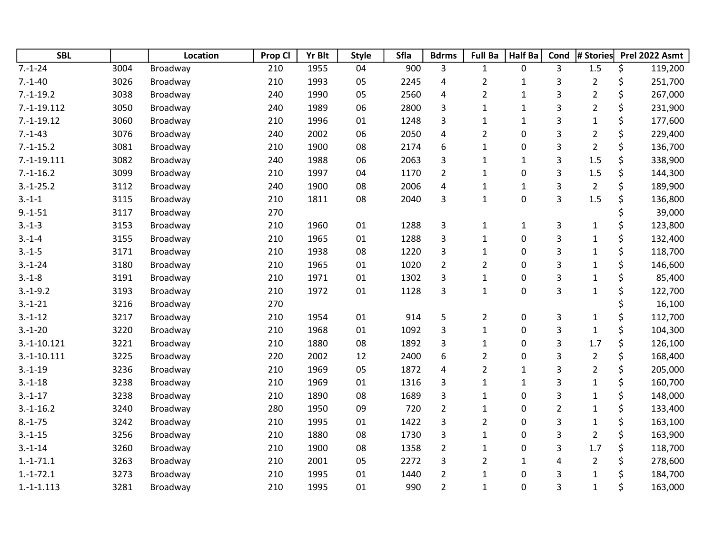| <b>SBL</b>    |      | Location | Prop Cl | <b>Yr Blt</b> | <b>Style</b> | Sfla | <b>Bdrms</b>            | <b>Full Ba</b> | <b>Half Ba</b> | Cond           | # Stories      | Prel 2022 Asmt |
|---------------|------|----------|---------|---------------|--------------|------|-------------------------|----------------|----------------|----------------|----------------|----------------|
| $7.-1-24$     | 3004 | Broadway | 210     | 1955          | 04           | 900  | 3                       | $\mathbf{1}$   | 0              | 3              | 1.5            | \$<br>119,200  |
| $7.-1-40$     | 3026 | Broadway | 210     | 1993          | 05           | 2245 | 4                       | $\overline{2}$ | $\mathbf{1}$   | 3              | $\overline{2}$ | \$<br>251,700  |
| $7.-1-19.2$   | 3038 | Broadway | 240     | 1990          | 05           | 2560 | 4                       | $\overline{2}$ | $\mathbf 1$    | 3              | $\overline{2}$ | \$<br>267,000  |
| $7.-1-19.112$ | 3050 | Broadway | 240     | 1989          | 06           | 2800 | 3                       | $\mathbf{1}$   | $\mathbf 1$    | 3              | $\overline{2}$ | \$<br>231,900  |
| $7.-1-19.12$  | 3060 | Broadway | 210     | 1996          | 01           | 1248 | 3                       | $\mathbf{1}$   | $\mathbf 1$    | 3              | $\mathbf 1$    | \$<br>177,600  |
| $7.-1-43$     | 3076 | Broadway | 240     | 2002          | 06           | 2050 | $\overline{\mathbf{4}}$ | $\overline{2}$ | 0              | 3              | $\overline{2}$ | \$<br>229,400  |
| $7.-1-15.2$   | 3081 | Broadway | 210     | 1900          | 08           | 2174 | 6                       | $\mathbf 1$    | 0              | 3              | $\overline{2}$ | \$<br>136,700  |
| $7.-1-19.111$ | 3082 | Broadway | 240     | 1988          | 06           | 2063 | 3                       | $\mathbf 1$    | $\mathbf{1}$   | 3              | 1.5            | \$<br>338,900  |
| $7.-1-16.2$   | 3099 | Broadway | 210     | 1997          | 04           | 1170 | $\overline{2}$          | $\mathbf{1}$   | 0              | 3              | 1.5            | \$<br>144,300  |
| $3.-1-25.2$   | 3112 | Broadway | 240     | 1900          | 08           | 2006 | $\overline{\mathbf{4}}$ | $\mathbf{1}$   | $\mathbf{1}$   | 3              | $\overline{2}$ | \$<br>189,900  |
| $3.-1-1$      | 3115 | Broadway | 210     | 1811          | 08           | 2040 | 3                       | $\mathbf{1}$   | 0              | 3              | 1.5            | \$<br>136,800  |
| $9.-1-51$     | 3117 | Broadway | 270     |               |              |      |                         |                |                |                |                | \$<br>39,000   |
| $3.-1-3$      | 3153 | Broadway | 210     | 1960          | 01           | 1288 | $\mathsf{3}$            | $\mathbf{1}$   | $\mathbf{1}$   | 3              | $\mathbf{1}$   | \$<br>123,800  |
| $3.-1-4$      | 3155 | Broadway | 210     | 1965          | 01           | 1288 | 3                       | $\mathbf{1}$   | 0              | 3              | $\mathbf{1}$   | \$<br>132,400  |
| $3.-1-5$      | 3171 | Broadway | 210     | 1938          | 08           | 1220 | 3                       | $\mathbf{1}$   | 0              | 3              | $\mathbf 1$    | \$<br>118,700  |
| $3.-1-24$     | 3180 | Broadway | 210     | 1965          | 01           | 1020 | $\overline{2}$          | $\overline{2}$ | 0              | 3              | $\mathbf{1}$   | \$<br>146,600  |
| $3.-1-8$      | 3191 | Broadway | 210     | 1971          | 01           | 1302 | 3                       | $\mathbf{1}$   | 0              | 3              | $\mathbf 1$    | \$<br>85,400   |
| $3.-1-9.2$    | 3193 | Broadway | 210     | 1972          | 01           | 1128 | 3                       | $\mathbf{1}$   | 0              | 3              | $\mathbf{1}$   | \$<br>122,700  |
| $3.-1-21$     | 3216 | Broadway | 270     |               |              |      |                         |                |                |                |                | \$<br>16,100   |
| $3.-1-12$     | 3217 | Broadway | 210     | 1954          | 01           | 914  | 5                       | $\overline{2}$ | 0              | 3              | $\mathbf{1}$   | \$<br>112,700  |
| $3.-1-20$     | 3220 | Broadway | 210     | 1968          | 01           | 1092 | 3                       | $\mathbf{1}$   | 0              | 3              | $\mathbf{1}$   | \$<br>104,300  |
| $3.-1-10.121$ | 3221 | Broadway | 210     | 1880          | 08           | 1892 | 3                       | $\mathbf 1$    | 0              | 3              | 1.7            | \$<br>126,100  |
| $3.-1-10.111$ | 3225 | Broadway | 220     | 2002          | 12           | 2400 | 6                       | $\overline{2}$ | 0              | 3              | $\overline{2}$ | \$<br>168,400  |
| $3.-1-19$     | 3236 | Broadway | 210     | 1969          | 05           | 1872 | $\overline{\mathbf{4}}$ | $\overline{2}$ | $\mathbf 1$    | 3              | $\overline{2}$ | \$<br>205,000  |
| $3.-1-18$     | 3238 | Broadway | 210     | 1969          | 01           | 1316 | 3                       | $\mathbf{1}$   | $\mathbf{1}$   | 3              | $\mathbf 1$    | \$<br>160,700  |
| $3.-1-17$     | 3238 | Broadway | 210     | 1890          | 08           | 1689 | 3                       | $\mathbf{1}$   | 0              | 3              | $\mathbf{1}$   | \$<br>148,000  |
| $3.-1-16.2$   | 3240 | Broadway | 280     | 1950          | 09           | 720  | $\overline{2}$          | $\mathbf 1$    | 0              | $\overline{2}$ | $\mathbf 1$    | \$<br>133,400  |
| $8.-1-75$     | 3242 | Broadway | 210     | 1995          | 01           | 1422 | 3                       | $\overline{2}$ | 0              | 3              | $\mathbf 1$    | \$<br>163,100  |
| $3.-1-15$     | 3256 | Broadway | 210     | 1880          | 08           | 1730 | 3                       | $\mathbf{1}$   | 0              | 3              | $\overline{2}$ | \$<br>163,900  |
| $3.-1-14$     | 3260 | Broadway | 210     | 1900          | 08           | 1358 | $\overline{2}$          | $\mathbf{1}$   | 0              | 3              | 1.7            | \$<br>118,700  |
| $1.-1-71.1$   | 3263 | Broadway | 210     | 2001          | 05           | 2272 | 3                       | $\overline{2}$ | $\mathbf{1}$   | 4              | $\overline{2}$ | \$<br>278,600  |
| $1.-1-72.1$   | 3273 | Broadway | 210     | 1995          | 01           | 1440 | $\overline{2}$          | $\mathbf{1}$   | 0              | 3              | $\mathbf 1$    | \$<br>184,700  |
| $1.-1-1.113$  | 3281 | Broadway | 210     | 1995          | 01           | 990  | $\overline{2}$          | $\mathbf{1}$   | 0              | 3              | $\mathbf{1}$   | \$<br>163,000  |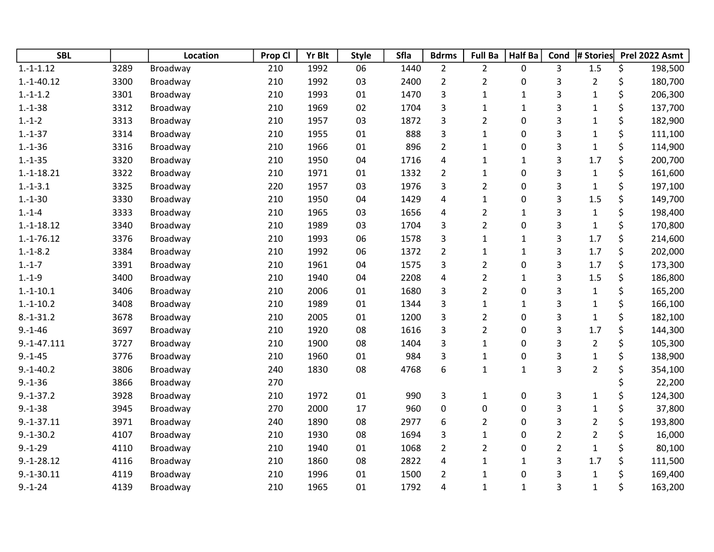| <b>SBL</b>    |      | Location | Prop Cl | Yr Blt | <b>Style</b> | Sfla | <b>Bdrms</b>            | <b>Full Ba</b>          | Half Ba      | Cond           | # Stories      |    | Prel 2022 Asmt |
|---------------|------|----------|---------|--------|--------------|------|-------------------------|-------------------------|--------------|----------------|----------------|----|----------------|
| $1.-1-.1.12$  | 3289 | Broadway | 210     | 1992   | 06           | 1440 | $\overline{2}$          | $\overline{2}$          | 0            | 3              | 1.5            | \$ | 198,500        |
| $1.-1-40.12$  | 3300 | Broadway | 210     | 1992   | 03           | 2400 | $\overline{2}$          | $\overline{2}$          | 0            | 3              | $\overline{2}$ | \$ | 180,700        |
| $1.-1-1.2$    | 3301 | Broadway | 210     | 1993   | 01           | 1470 | 3                       | $\mathbf{1}$            | $\mathbf{1}$ | 3              | $\mathbf{1}$   | \$ | 206,300        |
| $1.-1-38$     | 3312 | Broadway | 210     | 1969   | 02           | 1704 | 3                       | $\mathbf{1}$            | $\mathbf{1}$ | 3              | $\mathbf 1$    | \$ | 137,700        |
| $1.-1-2$      | 3313 | Broadway | 210     | 1957   | 03           | 1872 | 3                       | $\overline{\mathbf{c}}$ | $\pmb{0}$    | 3              | $\mathbf{1}$   | \$ | 182,900        |
| $1.-1-37$     | 3314 | Broadway | 210     | 1955   | 01           | 888  | 3                       | $\mathbf{1}$            | 0            | 3              | $\mathbf 1$    | \$ | 111,100        |
| $1.-1-36$     | 3316 | Broadway | 210     | 1966   | 01           | 896  | $\overline{2}$          | $\mathbf 1$             | 0            | 3              | $\mathbf{1}$   | \$ | 114,900        |
| $1.-1-35$     | 3320 | Broadway | 210     | 1950   | 04           | 1716 | $\overline{\mathbf{4}}$ | $\mathbf{1}$            | $\mathbf{1}$ | 3              | 1.7            | \$ | 200,700        |
| $1.-1-18.21$  | 3322 | Broadway | 210     | 1971   | 01           | 1332 | $\overline{2}$          | $\mathbf{1}$            | 0            | 3              | $\mathbf 1$    | \$ | 161,600        |
| $1.-1-3.1$    | 3325 | Broadway | 220     | 1957   | 03           | 1976 | 3                       | $\overline{2}$          | 0            | 3              | $\mathbf{1}$   | \$ | 197,100        |
| $1.-1-30$     | 3330 | Broadway | 210     | 1950   | 04           | 1429 | $\overline{\mathbf{4}}$ | $\mathbf{1}$            | 0            | 3              | 1.5            | \$ | 149,700        |
| $1.-1-4$      | 3333 | Broadway | 210     | 1965   | 03           | 1656 | 4                       | $\overline{2}$          | $\mathbf{1}$ | 3              | $\mathbf{1}$   | \$ | 198,400        |
| $1.-1-18.12$  | 3340 | Broadway | 210     | 1989   | 03           | 1704 | 3                       | $\overline{2}$          | 0            | 3              | $\mathbf{1}$   | \$ | 170,800        |
| $1.-1-76.12$  | 3376 | Broadway | 210     | 1993   | 06           | 1578 | 3                       | $\mathbf{1}$            | $\mathbf{1}$ | 3              | 1.7            | \$ | 214,600        |
| $1.-1-8.2$    | 3384 | Broadway | 210     | 1992   | 06           | 1372 | $\overline{2}$          | $\mathbf{1}$            | $\mathbf 1$  | 3              | 1.7            | \$ | 202,000        |
| $1.-1-7$      | 3391 | Broadway | 210     | 1961   | 04           | 1575 | 3                       | $\overline{c}$          | 0            | 3              | 1.7            | \$ | 173,300        |
| $1.-1-9$      | 3400 | Broadway | 210     | 1940   | 04           | 2208 | 4                       | $\overline{2}$          | $\mathbf{1}$ | 3              | 1.5            | \$ | 186,800        |
| $1.-1-10.1$   | 3406 | Broadway | 210     | 2006   | 01           | 1680 | 3                       | $\overline{2}$          | 0            | 3              | $\mathbf 1$    | \$ | 165,200        |
| $1.-1-10.2$   | 3408 | Broadway | 210     | 1989   | 01           | 1344 | 3                       | $\mathbf 1$             | $\mathbf 1$  | 3              | $\mathbf 1$    | \$ | 166,100        |
| $8.-1-31.2$   | 3678 | Broadway | 210     | 2005   | 01           | 1200 | 3                       | $\overline{2}$          | 0            | 3              | $\mathbf{1}$   | \$ | 182,100        |
| $9.-1-46$     | 3697 | Broadway | 210     | 1920   | 08           | 1616 | 3                       | $\overline{2}$          | 0            | 3              | 1.7            | \$ | 144,300        |
| $9.-1-47.111$ | 3727 | Broadway | 210     | 1900   | 08           | 1404 | 3                       | $\mathbf 1$             | 0            | 3              | $\overline{2}$ | \$ | 105,300        |
| $9.-1-45$     | 3776 | Broadway | 210     | 1960   | 01           | 984  | 3                       | $\mathbf{1}$            | 0            | 3              | $\mathbf{1}$   | \$ | 138,900        |
| $9.-1-40.2$   | 3806 | Broadway | 240     | 1830   | 08           | 4768 | 6                       | $\mathbf{1}$            | $\mathbf{1}$ | 3              | $\overline{2}$ | \$ | 354,100        |
| $9.-1-36$     | 3866 | Broadway | 270     |        |              |      |                         |                         |              |                |                | \$ | 22,200         |
| $9.-1-37.2$   | 3928 | Broadway | 210     | 1972   | 01           | 990  | 3                       | $\mathbf{1}$            | 0            | 3              | $\mathbf 1$    | \$ | 124,300        |
| $9.-1-38$     | 3945 | Broadway | 270     | 2000   | 17           | 960  | $\mathbf 0$             | 0                       | 0            | 3              | $\mathbf{1}$   | \$ | 37,800         |
| $9.-1-37.11$  | 3971 | Broadway | 240     | 1890   | 08           | 2977 | $\boldsymbol{6}$        | $\overline{2}$          | 0            | 3              | $\overline{2}$ | \$ | 193,800        |
| $9.-1-30.2$   | 4107 | Broadway | 210     | 1930   | 08           | 1694 | 3                       | $\mathbf{1}$            | 0            | $\overline{c}$ | $\overline{2}$ | \$ | 16,000         |
| $9.-1-29$     | 4110 | Broadway | 210     | 1940   | 01           | 1068 | $\overline{2}$          | $\overline{2}$          | 0            | $\overline{2}$ | $\mathbf{1}$   | \$ | 80,100         |
| $9.-1-28.12$  | 4116 | Broadway | 210     | 1860   | 08           | 2822 | 4                       | $\mathbf 1$             | $\mathbf{1}$ | 3              | 1.7            | \$ | 111,500        |
| $9.-1-30.11$  | 4119 | Broadway | 210     | 1996   | 01           | 1500 | $\overline{2}$          | $\mathbf{1}$            | 0            | 3              | $\mathbf 1$    | Ś  | 169,400        |
| $9.-1-24$     | 4139 | Broadway | 210     | 1965   | 01           | 1792 | 4                       | $\mathbf{1}$            | $\mathbf{1}$ | 3              | $\mathbf{1}$   | \$ | 163,200        |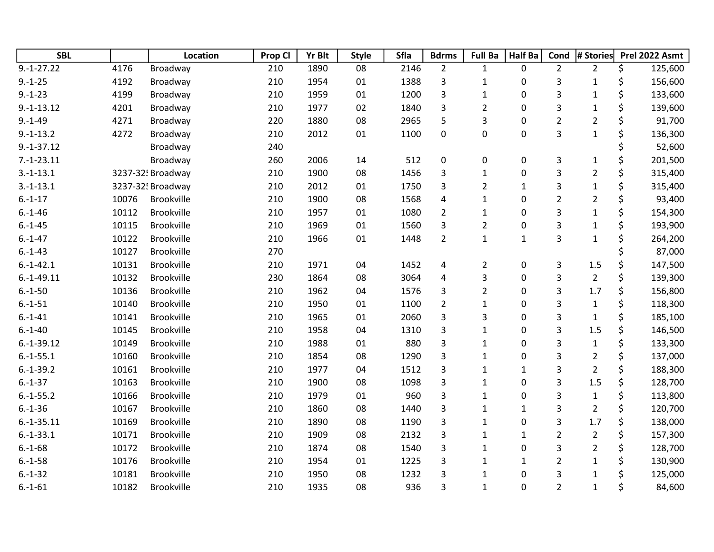| <b>SBL</b>   |       | Location          | Prop Cl | Yr Blt | <b>Style</b> | Sfla | <b>Bdrms</b>            | <b>Full Ba</b> | Half Ba      | Cond           | # Stories      |         | Prel 2022 Asmt |
|--------------|-------|-------------------|---------|--------|--------------|------|-------------------------|----------------|--------------|----------------|----------------|---------|----------------|
| $9.-1-27.22$ | 4176  | Broadway          | 210     | 1890   | 08           | 2146 | $\overline{2}$          | $\mathbf{1}$   | 0            | $\overline{2}$ | $\overline{2}$ | \$      | 125,600        |
| $9.-1-25$    | 4192  | Broadway          | 210     | 1954   | 01           | 1388 | 3                       | $\mathbf{1}$   | 0            | 3              | $\mathbf{1}$   | \$      | 156,600        |
| $9.-1-23$    | 4199  | Broadway          | 210     | 1959   | 01           | 1200 | 3                       | $\mathbf{1}$   | 0            | 3              | $\mathbf 1$    | \$      | 133,600        |
| $9.-1-13.12$ | 4201  | Broadway          | 210     | 1977   | 02           | 1840 | 3                       | $\overline{2}$ | $\pmb{0}$    | 3              | $\mathbf 1$    | \$      | 139,600        |
| $9.-1-49$    | 4271  | Broadway          | 220     | 1880   | 08           | 2965 | 5                       | 3              | 0            | $\overline{2}$ | $\overline{2}$ | \$      | 91,700         |
| $9.-1-13.2$  | 4272  | Broadway          | 210     | 2012   | 01           | 1100 | $\mathbf 0$             | 0              | 0            | 3              | $\mathbf{1}$   | \$      | 136,300        |
| $9.-1-37.12$ |       | Broadway          | 240     |        |              |      |                         |                |              |                |                | \$      | 52,600         |
| $7.-1-23.11$ |       | Broadway          | 260     | 2006   | 14           | 512  | $\pmb{0}$               | 0              | 0            | 3              | $\mathbf 1$    | \$      | 201,500        |
| $3.-1-13.1$  |       | 3237-32! Broadway | 210     | 1900   | 08           | 1456 | 3                       | $\mathbf{1}$   | 0            | 3              | $\overline{2}$ | \$      | 315,400        |
| $3.-1-13.1$  |       | 3237-32! Broadway | 210     | 2012   | 01           | 1750 | 3                       | $\overline{2}$ | $\mathbf{1}$ | 3              | $\mathbf 1$    | \$      | 315,400        |
| $6.-1-17$    | 10076 | <b>Brookville</b> | 210     | 1900   | 08           | 1568 | $\overline{\mathbf{4}}$ | $\mathbf{1}$   | 0            | $\overline{2}$ | $\overline{2}$ | \$      | 93,400         |
| $6.-1-46$    | 10112 | Brookville        | 210     | 1957   | 01           | 1080 | $\overline{2}$          | $\mathbf{1}$   | 0            | 3              | $\mathbf 1$    | \$      | 154,300        |
| $6.-1-45$    | 10115 | Brookville        | 210     | 1969   | 01           | 1560 | 3                       | $\overline{2}$ | 0            | 3              | $\mathbf 1$    | \$      | 193,900        |
| $6.-1-47$    | 10122 | Brookville        | 210     | 1966   | 01           | 1448 | $\overline{2}$          | $\mathbf{1}$   | $\mathbf 1$  | 3              | $\mathbf{1}$   | \$      | 264,200        |
| $6.-1-43$    | 10127 | <b>Brookville</b> | 270     |        |              |      |                         |                |              |                |                | \$      | 87,000         |
| $6.-1-42.1$  | 10131 | <b>Brookville</b> | 210     | 1971   | 04           | 1452 | 4                       | $\overline{2}$ | 0            | 3              | $1.5\,$        | \$      | 147,500        |
| $6.-1-49.11$ | 10132 | Brookville        | 230     | 1864   | 08           | 3064 | 4                       | 3              | 0            | 3              | $\overline{2}$ | $\zeta$ | 139,300        |
| $6.-1-50$    | 10136 | <b>Brookville</b> | 210     | 1962   | 04           | 1576 | 3                       | $\overline{2}$ | 0            | 3              | 1.7            | \$      | 156,800        |
| $6.-1-51$    | 10140 | Brookville        | 210     | 1950   | 01           | 1100 | $\overline{2}$          | $\mathbf{1}$   | 0            | 3              | $\mathbf 1$    | \$      | 118,300        |
| $6 - 1 - 41$ | 10141 | <b>Brookville</b> | 210     | 1965   | 01           | 2060 | 3                       | 3              | 0            | 3              | $\mathbf{1}$   | \$      | 185,100        |
| $6.-1-40$    | 10145 | <b>Brookville</b> | 210     | 1958   | 04           | 1310 | 3                       | $\mathbf{1}$   | 0            | 3              | 1.5            | \$      | 146,500        |
| $6.-1-39.12$ | 10149 | <b>Brookville</b> | 210     | 1988   | 01           | 880  | 3                       | $\mathbf{1}$   | 0            | 3              | $\mathbf{1}$   | \$      | 133,300        |
| $6.-1-55.1$  | 10160 | Brookville        | 210     | 1854   | 08           | 1290 | 3                       | $\mathbf{1}$   | 0            | 3              | $\overline{2}$ | \$      | 137,000        |
| $6.-1-39.2$  | 10161 | Brookville        | 210     | 1977   | 04           | 1512 | 3                       | $\mathbf 1$    | $\mathbf 1$  | 3              | $\overline{2}$ | \$      | 188,300        |
| $6.-1-37$    | 10163 | <b>Brookville</b> | 210     | 1900   | 08           | 1098 | 3                       | $\mathbf{1}$   | $\pmb{0}$    | 3              | 1.5            | \$      | 128,700        |
| $6.-1-55.2$  | 10166 | Brookville        | 210     | 1979   | 01           | 960  | 3                       | $\mathbf{1}$   | 0            | 3              | $\mathbf 1$    | \$      | 113,800        |
| $6.-1-36$    | 10167 | <b>Brookville</b> | 210     | 1860   | 08           | 1440 | 3                       | $\mathbf{1}$   | $\mathbf{1}$ | 3              | $\overline{2}$ | \$      | 120,700        |
| $6.-1-35.11$ | 10169 | <b>Brookville</b> | 210     | 1890   | 08           | 1190 | 3                       | $\mathbf{1}$   | 0            | 3              | 1.7            | \$      | 138,000        |
| $6.-1-33.1$  | 10171 | <b>Brookville</b> | 210     | 1909   | 08           | 2132 | 3                       | $\mathbf{1}$   | $\mathbf{1}$ | $\overline{2}$ | $\overline{2}$ | \$      | 157,300        |
| $6.-1-68$    | 10172 | Brookville        | 210     | 1874   | 08           | 1540 | 3                       | $\mathbf{1}$   | 0            | 3              | $\overline{2}$ | \$      | 128,700        |
| $6.-1-58$    | 10176 | Brookville        | 210     | 1954   | 01           | 1225 | 3                       | $\mathbf{1}$   | $\mathbf{1}$ | $\overline{2}$ | $\mathbf 1$    | \$      | 130,900        |
| $6.-1-32$    | 10181 | <b>Brookville</b> | 210     | 1950   | 08           | 1232 | 3                       | $\mathbf{1}$   | 0            | 3              | $\mathbf{1}$   | \$      | 125,000        |
| $6.-1-61$    | 10182 | <b>Brookville</b> | 210     | 1935   | 08           | 936  | 3                       | $\mathbf{1}$   | $\pmb{0}$    | $\overline{2}$ | $\mathbf{1}$   | \$      | 84,600         |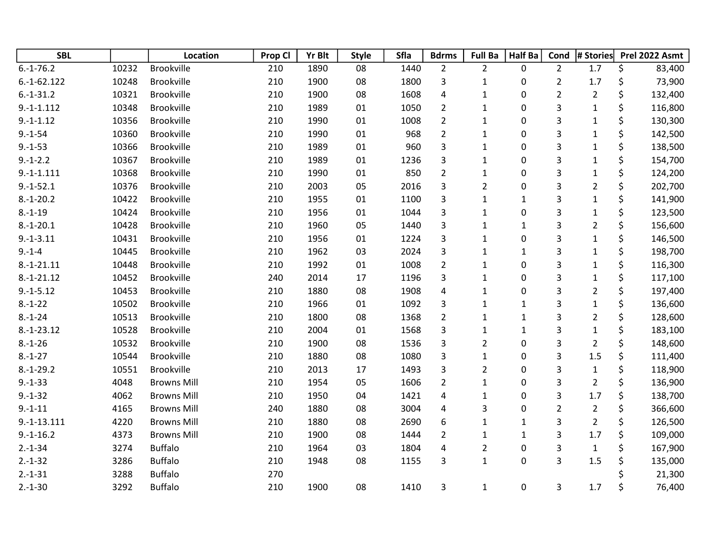| <b>SBL</b>    |       | Location           | Prop Cl | <b>Yr Blt</b> | <b>Style</b> | Sfla | <b>Bdrms</b>   | <b>Full Ba</b> | <b>Half Ba</b> | Cond           | # Stories               | Prel 2022 Asmt |
|---------------|-------|--------------------|---------|---------------|--------------|------|----------------|----------------|----------------|----------------|-------------------------|----------------|
| $6.-1-76.2$   | 10232 | <b>Brookville</b>  | 210     | 1890          | 08           | 1440 | $\overline{2}$ | $\overline{2}$ | 0              | $\overline{2}$ | 1.7                     | \$<br>83,400   |
| $6.-1-62.122$ | 10248 | Brookville         | 210     | 1900          | 08           | 1800 | 3              | $\mathbf{1}$   | 0              | $\overline{2}$ | 1.7                     | \$<br>73,900   |
| $6.-1-31.2$   | 10321 | Brookville         | 210     | 1900          | 08           | 1608 | $\pmb{4}$      | $\mathbf{1}$   | 0              | $\overline{2}$ | $\overline{2}$          | \$<br>132,400  |
| $9.-1-1.112$  | 10348 | <b>Brookville</b>  | 210     | 1989          | 01           | 1050 | $\overline{2}$ | $\mathbf{1}$   | 0              | 3              | $\mathbf 1$             | \$<br>116,800  |
| $9.-1-1.12$   | 10356 | <b>Brookville</b>  | 210     | 1990          | 01           | 1008 | $\overline{2}$ | $\mathbf{1}$   | 0              | 3              | $\mathbf 1$             | \$<br>130,300  |
| $9.-1-54$     | 10360 | <b>Brookville</b>  | 210     | 1990          | 01           | 968  | $\overline{2}$ | $\mathbf{1}$   | 0              | 3              | $\mathbf{1}$            | \$<br>142,500  |
| $9.-1-53$     | 10366 | <b>Brookville</b>  | 210     | 1989          | 01           | 960  | 3              | $\mathbf 1$    | 0              | 3              | $\mathbf{1}$            | \$<br>138,500  |
| $9.-1-.2.2$   | 10367 | <b>Brookville</b>  | 210     | 1989          | 01           | 1236 | 3              | $\mathbf 1$    | 0              | 3              | $\mathbf 1$             | \$<br>154,700  |
| $9.-1-.111$   | 10368 | <b>Brookville</b>  | 210     | 1990          | 01           | 850  | $\overline{2}$ | $\mathbf 1$    | 0              | 3              | $\mathbf 1$             | \$<br>124,200  |
| $9.-1-52.1$   | 10376 | <b>Brookville</b>  | 210     | 2003          | 05           | 2016 | 3              | $\overline{2}$ | 0              | 3              | $\overline{2}$          | \$<br>202,700  |
| $8.-1-20.2$   | 10422 | <b>Brookville</b>  | 210     | 1955          | 01           | 1100 | 3              | $\mathbf{1}$   | $\mathbf{1}$   | 3              | $\overline{1}$          | \$<br>141,900  |
| $8.-1-19$     | 10424 | <b>Brookville</b>  | 210     | 1956          | 01           | 1044 | 3              | $\mathbf{1}$   | 0              | 3              | $\mathbf 1$             | \$<br>123,500  |
| $8.-1-20.1$   | 10428 | Brookville         | 210     | 1960          | 05           | 1440 | 3              | $\mathbf 1$    | $\mathbf 1$    | 3              | $\overline{2}$          | \$<br>156,600  |
| $9.-1-3.11$   | 10431 | <b>Brookville</b>  | 210     | 1956          | 01           | 1224 | 3              | $\mathbf{1}$   | 0              | 3              | $\mathbf{1}$            | \$<br>146,500  |
| $9. - 1 - 4$  | 10445 | <b>Brookville</b>  | 210     | 1962          | 03           | 2024 | 3              | $\mathbf 1$    | $\mathbf{1}$   | 3              | $\mathbf 1$             | \$<br>198,700  |
| $8.-1-21.11$  | 10448 | <b>Brookville</b>  | 210     | 1992          | 01           | 1008 | $\overline{2}$ | $\mathbf 1$    | 0              | 3              | $\mathbf{1}$            | \$<br>116,300  |
| $8.-1-21.12$  | 10452 | <b>Brookville</b>  | 240     | 2014          | 17           | 1196 | 3              | $\mathbf{1}$   | 0              | 3              | $\mathbf{1}$            | \$<br>117,100  |
| $9.-1-5.12$   | 10453 | <b>Brookville</b>  | 210     | 1880          | 08           | 1908 | 4              | $\mathbf 1$    | 0              | 3              | $\overline{2}$          | \$<br>197,400  |
| $8.-1-22$     | 10502 | <b>Brookville</b>  | 210     | 1966          | 01           | 1092 | 3              | $\mathbf{1}$   | $\mathbf{1}$   | 3              | $\mathbf{1}$            | \$<br>136,600  |
| $8.-1-24$     | 10513 | <b>Brookville</b>  | 210     | 1800          | 08           | 1368 | $\overline{2}$ | $\mathbf 1$    | $\mathbf{1}$   | 3              | $\overline{\mathbf{c}}$ | \$<br>128,600  |
| $8.-1-23.12$  | 10528 | <b>Brookville</b>  | 210     | 2004          | 01           | 1568 | 3              | $\mathbf{1}$   | $\mathbf{1}$   | 3              | $\mathbf{1}$            | \$<br>183,100  |
| $8.-1-26$     | 10532 | <b>Brookville</b>  | 210     | 1900          | 08           | 1536 | 3              | $\overline{2}$ | 0              | 3              | $\overline{2}$          | \$<br>148,600  |
| $8.-1-27$     | 10544 | Brookville         | 210     | 1880          | 08           | 1080 | 3              | $\mathbf{1}$   | 0              | 3              | 1.5                     | \$<br>111,400  |
| $8.-1-29.2$   | 10551 | <b>Brookville</b>  | 210     | 2013          | 17           | 1493 | 3              | $\overline{2}$ | 0              | 3              | $\mathbf{1}$            | \$<br>118,900  |
| $9.-1-33$     | 4048  | <b>Browns Mill</b> | 210     | 1954          | 05           | 1606 | $\overline{2}$ | $\mathbf 1$    | 0              | 3              | $\overline{2}$          | \$<br>136,900  |
| $9.-1-32$     | 4062  | <b>Browns Mill</b> | 210     | 1950          | 04           | 1421 | 4              | $\mathbf{1}$   | 0              | 3              | 1.7                     | \$<br>138,700  |
| $9.-1-11$     | 4165  | <b>Browns Mill</b> | 240     | 1880          | 08           | 3004 | 4              | 3              | 0              | $\overline{2}$ | $\overline{2}$          | \$<br>366,600  |
| $9.-1-13.111$ | 4220  | <b>Browns Mill</b> | 210     | 1880          | 08           | 2690 | 6              | $\mathbf 1$    | $\mathbf{1}$   | 3              | $\overline{2}$          | \$<br>126,500  |
| $9.-1-16.2$   | 4373  | <b>Browns Mill</b> | 210     | 1900          | 08           | 1444 | $\overline{2}$ | $\mathbf{1}$   | $\mathbf{1}$   | 3              | 1.7                     | \$<br>109,000  |
| $2.-1-34$     | 3274  | <b>Buffalo</b>     | 210     | 1964          | 03           | 1804 | 4              | $\overline{c}$ | 0              | 3              | $\mathbf 1$             | \$<br>167,900  |
| $2.-1-32$     | 3286  | <b>Buffalo</b>     | 210     | 1948          | 08           | 1155 | 3              | $\mathbf{1}$   | 0              | 3              | 1.5                     | \$<br>135,000  |
| $2.-1-31$     | 3288  | <b>Buffalo</b>     | 270     |               |              |      |                |                |                |                |                         | 21,300         |
| $2.-1-30$     | 3292  | <b>Buffalo</b>     | 210     | 1900          | 08           | 1410 | 3              | $\mathbf{1}$   | 0              | 3              | 1.7                     | \$<br>76,400   |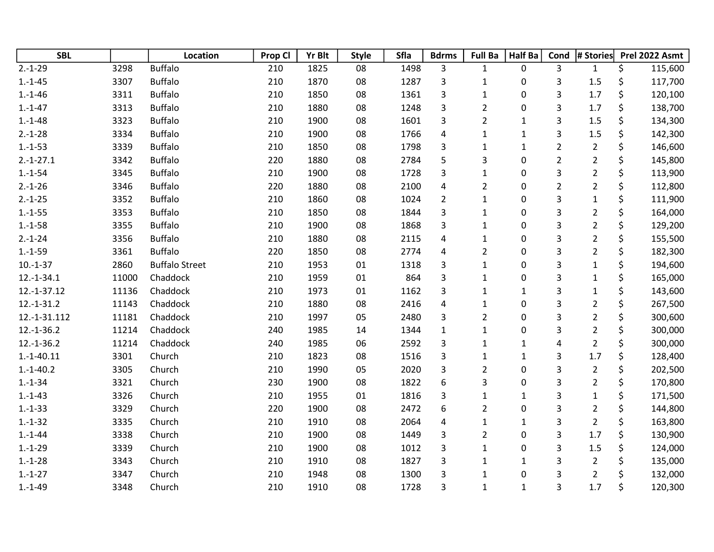| <b>SBL</b>   |       | Location              | Prop Cl | <b>Yr Blt</b> | <b>Style</b> | Sfla | <b>Bdrms</b>            | <b>Full Ba</b>          | <b>Half Ba</b> | Cond           | # Stories               |    | Prel 2022 Asmt |
|--------------|-------|-----------------------|---------|---------------|--------------|------|-------------------------|-------------------------|----------------|----------------|-------------------------|----|----------------|
| $2.-1-29$    | 3298  | <b>Buffalo</b>        | 210     | 1825          | 08           | 1498 | 3                       | $\mathbf{1}$            | 0              | 3              | $\mathbf{1}$            | \$ | 115,600        |
| $1.-1-45$    | 3307  | <b>Buffalo</b>        | 210     | 1870          | 08           | 1287 | 3                       | $\mathbf{1}$            | 0              | 3              | 1.5                     | \$ | 117,700        |
| $1.-1-46$    | 3311  | <b>Buffalo</b>        | 210     | 1850          | 08           | 1361 | 3                       | $\mathbf 1$             | 0              | 3              | 1.7                     | \$ | 120,100        |
| $1.-1-47$    | 3313  | <b>Buffalo</b>        | 210     | 1880          | 08           | 1248 | 3                       | $\overline{2}$          | 0              | 3              | 1.7                     | \$ | 138,700        |
| $1.-1-48$    | 3323  | <b>Buffalo</b>        | 210     | 1900          | 08           | 1601 | 3                       | $\overline{2}$          | $\mathbf 1$    | 3              | 1.5                     | \$ | 134,300        |
| $2.-1-28$    | 3334  | <b>Buffalo</b>        | 210     | 1900          | 08           | 1766 | 4                       | $\mathbf 1$             | $\mathbf{1}$   | 3              | 1.5                     | \$ | 142,300        |
| $1.-1-53$    | 3339  | <b>Buffalo</b>        | 210     | 1850          | 08           | 1798 | 3                       | $\mathbf{1}$            | $\mathbf{1}$   | $\overline{2}$ | $\overline{c}$          | \$ | 146,600        |
| $2.-1-27.1$  | 3342  | <b>Buffalo</b>        | 220     | 1880          | 08           | 2784 | 5                       | 3                       | 0              | $\overline{2}$ | $\overline{2}$          | \$ | 145,800        |
| $1.-1-54$    | 3345  | <b>Buffalo</b>        | 210     | 1900          | 08           | 1728 | 3                       | $\mathbf{1}$            | 0              | 3              | $\overline{2}$          | \$ | 113,900        |
| $2.-1-26$    | 3346  | <b>Buffalo</b>        | 220     | 1880          | 08           | 2100 | 4                       | $\overline{2}$          | 0              | $\overline{2}$ | $\overline{2}$          | \$ | 112,800        |
| $2.-1-25$    | 3352  | <b>Buffalo</b>        | 210     | 1860          | 08           | 1024 | $\overline{2}$          | $\mathbf 1$             | 0              | 3              | $\mathbf 1$             | \$ | 111,900        |
| $1.-1-55$    | 3353  | <b>Buffalo</b>        | 210     | 1850          | 08           | 1844 | 3                       | $\mathbf{1}$            | 0              | 3              | $\overline{2}$          | \$ | 164,000        |
| $1.-1-58$    | 3355  | <b>Buffalo</b>        | 210     | 1900          | 08           | 1868 | 3                       | $\mathbf{1}$            | 0              | 3              | $\overline{2}$          | \$ | 129,200        |
| $2.-1-24$    | 3356  | <b>Buffalo</b>        | 210     | 1880          | 08           | 2115 | 4                       | $\mathbf{1}$            | 0              | 3              | $\overline{2}$          | \$ | 155,500        |
| $1.-1-59$    | 3361  | <b>Buffalo</b>        | 220     | 1850          | 08           | 2774 | 4                       | $\overline{\mathbf{c}}$ | 0              | 3              | $\overline{\mathbf{c}}$ | Ś  | 182,300        |
| $10.-1-37$   | 2860  | <b>Buffalo Street</b> | 210     | 1953          | 01           | 1318 | 3                       | $\mathbf 1$             | 0              | 3              | $\mathbf{1}$            |    | 194,600        |
| $12.-1-34.1$ | 11000 | Chaddock              | 210     | 1959          | 01           | 864  | 3                       | $\mathbf{1}$            | 0              | 3              | $\mathbf{1}$            | \$ | 165,000        |
| 12.-1-37.12  | 11136 | Chaddock              | 210     | 1973          | 01           | 1162 | 3                       | $\mathbf{1}$            | $\mathbf{1}$   | 3              | $\mathbf 1$             | \$ | 143,600        |
| $12.-1-31.2$ | 11143 | Chaddock              | 210     | 1880          | 08           | 2416 | $\overline{\mathbf{r}}$ | $\mathbf{1}$            | 0              | 3              | $\overline{c}$          | \$ | 267,500        |
| 12.-1-31.112 | 11181 | Chaddock              | 210     | 1997          | 05           | 2480 | 3                       | $\overline{2}$          | 0              | 3              | $\overline{2}$          | \$ | 300,600        |
| $12.-1-36.2$ | 11214 | Chaddock              | 240     | 1985          | 14           | 1344 | $\mathbf 1$             | $\mathbf{1}$            | 0              | 3              | $\overline{2}$          | \$ | 300,000        |
| $12.-1-36.2$ | 11214 | Chaddock              | 240     | 1985          | 06           | 2592 | 3                       | $\mathbf{1}$            | $\mathbf{1}$   | 4              | $\overline{2}$          | \$ | 300,000        |
| $1.-1-40.11$ | 3301  | Church                | 210     | 1823          | 08           | 1516 | 3                       | $\mathbf{1}$            | $\mathbf{1}$   | 3              | 1.7                     | \$ | 128,400        |
| $1.-1-40.2$  | 3305  | Church                | 210     | 1990          | 05           | 2020 | 3                       | $\overline{2}$          | 0              | 3              | $\overline{2}$          | \$ | 202,500        |
| $1.-1-34$    | 3321  | Church                | 230     | 1900          | 08           | 1822 | 6                       | 3                       | 0              | 3              | $\overline{c}$          | \$ | 170,800        |
| $1.-1-43$    | 3326  | Church                | 210     | 1955          | 01           | 1816 | 3                       | $\mathbf 1$             | $\mathbf{1}$   | 3              | $\mathbf 1$             |    | 171,500        |
| $1.-1-33$    | 3329  | Church                | 220     | 1900          | 08           | 2472 | 6                       | $\overline{2}$          | 0              | 3              | $\overline{2}$          | \$ | 144,800        |
| $1.-1-32$    | 3335  | Church                | 210     | 1910          | 08           | 2064 | 4                       | $\mathbf{1}$            | $\mathbf{1}$   | 3              | $\overline{2}$          | \$ | 163,800        |
| $1.-1-44$    | 3338  | Church                | 210     | 1900          | 08           | 1449 | 3                       | $\overline{2}$          | 0              | 3              | 1.7                     | \$ | 130,900        |
| $1.-1-29$    | 3339  | Church                | 210     | 1900          | 08           | 1012 | 3                       | $\mathbf{1}$            | 0              | 3              | 1.5                     | \$ | 124,000        |
| $1.-1-28$    | 3343  | Church                | 210     | 1910          | 08           | 1827 | 3                       | $\mathbf{1}$            | $\mathbf{1}$   | 3              | $\overline{2}$          | \$ | 135,000        |
| $1.-1-27$    | 3347  | Church                | 210     | 1948          | 08           | 1300 | 3                       | $\mathbf{1}$            | 0              | 3              | $\overline{2}$          |    | 132,000        |
| $1.-1-49$    | 3348  | Church                | 210     | 1910          | 08           | 1728 | 3                       | $\mathbf{1}$            | $\mathbf{1}$   | 3              | 1.7                     | \$ | 120,300        |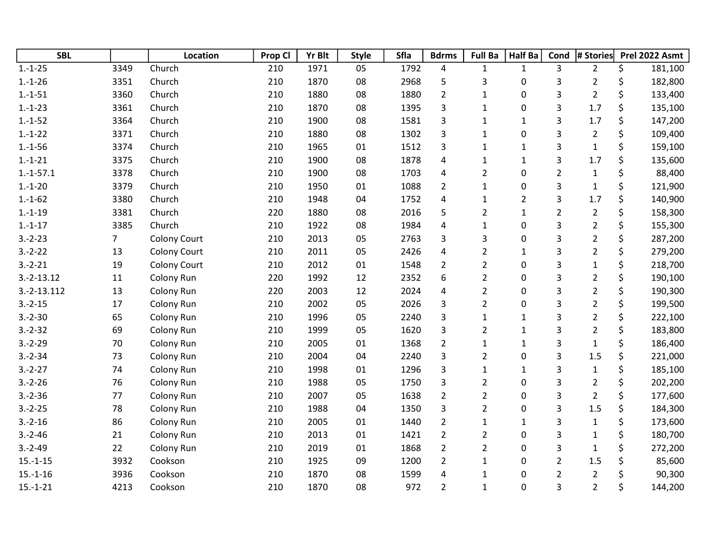| <b>SBL</b>    |                | Location            | Prop Cl | <b>Yr Blt</b> | <b>Style</b> | <b>Sfla</b> | <b>Bdrms</b>            | <b>Full Ba</b> | <b>Half Ba</b> | Cond           | # Stories      | Prel 2022 Asmt |
|---------------|----------------|---------------------|---------|---------------|--------------|-------------|-------------------------|----------------|----------------|----------------|----------------|----------------|
| $1.-1-25$     | 3349           | Church              | 210     | 1971          | 05           | 1792        | 4                       | $\mathbf{1}$   | $\mathbf{1}$   | 3              | $\overline{2}$ | \$<br>181,100  |
| $1.-1-26$     | 3351           | Church              | 210     | 1870          | 08           | 2968        | 5                       | 3              | 0              | 3              | $\overline{2}$ | \$<br>182,800  |
| $1.-1-51$     | 3360           | Church              | 210     | 1880          | 08           | 1880        | $\overline{2}$          | $\mathbf{1}$   | 0              | 3              | $\overline{2}$ | \$<br>133,400  |
| $1.-1-23$     | 3361           | Church              | 210     | 1870          | 08           | 1395        | 3                       | $\mathbf{1}$   | 0              | 3              | 1.7            | \$<br>135,100  |
| $1.-1-52$     | 3364           | Church              | 210     | 1900          | 08           | 1581        | 3                       | $\mathbf{1}$   | $\mathbf{1}$   | 3              | 1.7            | \$<br>147,200  |
| $1.-1-22$     | 3371           | Church              | 210     | 1880          | 08           | 1302        | 3                       | $\mathbf{1}$   | 0              | 3              | $\overline{2}$ | \$<br>109,400  |
| $1.-1-56$     | 3374           | Church              | 210     | 1965          | 01           | 1512        | 3                       | $\mathbf{1}$   | $\mathbf{1}$   | 3              | $\mathbf{1}$   | \$<br>159,100  |
| $1.-1-21$     | 3375           | Church              | 210     | 1900          | 08           | 1878        | 4                       | $\mathbf{1}$   | $\mathbf{1}$   | 3              | 1.7            | \$<br>135,600  |
| $1.-1-57.1$   | 3378           | Church              | 210     | 1900          | 08           | 1703        | $\overline{\mathbf{4}}$ | $\overline{2}$ | 0              | $\overline{2}$ | $\mathbf{1}$   | \$<br>88,400   |
| $1.-1-20$     | 3379           | Church              | 210     | 1950          | 01           | 1088        | $\overline{2}$          | $\mathbf{1}$   | 0              | 3              | $\mathbf{1}$   | \$<br>121,900  |
| $1.-1-62$     | 3380           | Church              | 210     | 1948          | 04           | 1752        | 4                       | $\mathbf{1}$   | $\overline{2}$ | 3              | 1.7            | \$<br>140,900  |
| $1.-1-19$     | 3381           | Church              | 220     | 1880          | 08           | 2016        | 5                       | $\overline{2}$ | $\mathbf{1}$   | $\overline{2}$ | $\overline{2}$ | \$<br>158,300  |
| $1.-1-17$     | 3385           | Church              | 210     | 1922          | 08           | 1984        | 4                       | $\mathbf{1}$   | 0              | 3              | $\overline{2}$ | \$<br>155,300  |
| $3.-2-23$     | $\overline{7}$ | <b>Colony Court</b> | 210     | 2013          | 05           | 2763        | 3                       | 3              | 0              | 3              | $\overline{2}$ | \$<br>287,200  |
| $3.-2-22$     | 13             | <b>Colony Court</b> | 210     | 2011          | 05           | 2426        | 4                       | $\overline{2}$ | $\mathbf{1}$   | 3              | $\overline{2}$ | \$<br>279,200  |
| $3.-2-21$     | 19             | <b>Colony Court</b> | 210     | 2012          | 01           | 1548        | $\overline{2}$          | $\overline{2}$ | 0              | 3              | $\mathbf{1}$   | \$<br>218,700  |
| $3.-2-13.12$  | 11             | Colony Run          | 220     | 1992          | 12           | 2352        | 6                       | $\overline{2}$ | 0              | 3              | $\overline{2}$ | \$<br>190,100  |
| $3.-2-13.112$ | 13             | Colony Run          | 220     | 2003          | 12           | 2024        | 4                       | $\overline{2}$ | 0              | 3              | $\overline{2}$ | \$<br>190,300  |
| $3.-2-15$     | 17             | Colony Run          | 210     | 2002          | 05           | 2026        | 3                       | $\overline{2}$ | 0              | 3              | $\overline{2}$ | \$<br>199,500  |
| $3.-2-30$     | 65             | Colony Run          | 210     | 1996          | 05           | 2240        | 3                       | $\mathbf{1}$   | $\mathbf{1}$   | 3              | $\overline{2}$ | \$<br>222,100  |
| $3.-2-32$     | 69             | Colony Run          | 210     | 1999          | 05           | 1620        | 3                       | $\overline{2}$ | $\mathbf{1}$   | 3              | $\overline{2}$ | \$<br>183,800  |
| $3.-2-29$     | 70             | Colony Run          | 210     | 2005          | 01           | 1368        | $\overline{2}$          | $\mathbf{1}$   | $\mathbf{1}$   | 3              | $\mathbf{1}$   | \$<br>186,400  |
| $3.-2-34$     | 73             | Colony Run          | 210     | 2004          | 04           | 2240        | 3                       | $\overline{2}$ | 0              | 3              | 1.5            | \$<br>221,000  |
| $3.-2-27$     | 74             | Colony Run          | 210     | 1998          | 01           | 1296        | 3                       | $\mathbf{1}$   | $\mathbf{1}$   | 3              | $\mathbf{1}$   | \$<br>185,100  |
| $3.-2-26$     | 76             | Colony Run          | 210     | 1988          | 05           | 1750        | 3                       | $\overline{2}$ | 0              | 3              | $\overline{2}$ | \$<br>202,200  |
| $3.-2-36$     | 77             | Colony Run          | 210     | 2007          | 05           | 1638        | $\overline{2}$          | $\overline{2}$ | 0              | 3              | $\overline{2}$ | \$<br>177,600  |
| $3.-2-25$     | 78             | Colony Run          | 210     | 1988          | 04           | 1350        | 3                       | $\overline{2}$ | 0              | 3              | 1.5            | \$<br>184,300  |
| $3.-2-16$     | 86             | Colony Run          | 210     | 2005          | 01           | 1440        | $\overline{2}$          | $\mathbf{1}$   | $\mathbf{1}$   | 3              | $\mathbf{1}$   | \$<br>173,600  |
| $3.-2-46$     | 21             | Colony Run          | 210     | 2013          | 01           | 1421        | $\overline{2}$          | $\overline{2}$ | 0              | 3              | $\mathbf{1}$   | \$<br>180,700  |
| $3.-2-49$     | 22             | Colony Run          | 210     | 2019          | 01           | 1868        | $\overline{2}$          | $\overline{2}$ | 0              | 3              | $\mathbf{1}$   | \$<br>272,200  |
| $15.-1-15$    | 3932           | Cookson             | 210     | 1925          | 09           | 1200        | $\overline{2}$          | $\mathbf{1}$   | 0              | $\overline{2}$ | 1.5            | \$<br>85,600   |
| $15.-1-16$    | 3936           | Cookson             | 210     | 1870          | 08           | 1599        | 4                       | $\mathbf{1}$   | 0              | $\overline{2}$ | $\overline{2}$ | \$<br>90,300   |
| $15.-1-21$    | 4213           | Cookson             | 210     | 1870          | 08           | 972         | $\overline{2}$          | $\mathbf{1}$   | 0              | 3              | $\overline{2}$ | \$<br>144,200  |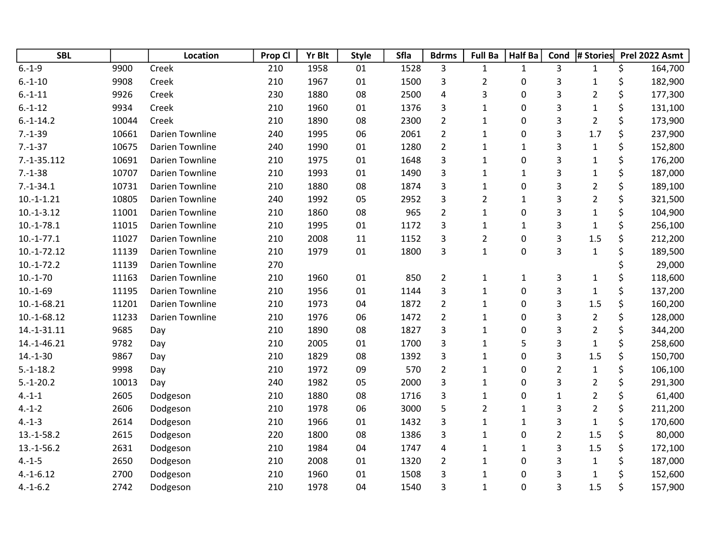| <b>SBL</b>    |       | Location               | Prop Cl | <b>Yr Blt</b> | <b>Style</b> | Sfla | <b>Bdrms</b>   | <b>Full Ba</b> | <b>Half Ba</b> | Cond           | # Stories      | Prel 2022 Asmt |         |
|---------------|-------|------------------------|---------|---------------|--------------|------|----------------|----------------|----------------|----------------|----------------|----------------|---------|
| $6.-1-9$      | 9900  | Creek                  | 210     | 1958          | 01           | 1528 | 3              | 1              | $\mathbf{1}$   | 3              | $\mathbf{1}$   | \$             | 164,700 |
| $6.-1-10$     | 9908  | Creek                  | 210     | 1967          | 01           | 1500 | 3              | $\overline{2}$ | 0              | 3              | $\mathbf{1}$   | \$             | 182,900 |
| $6.-1-11$     | 9926  | Creek                  | 230     | 1880          | 08           | 2500 | 4              | 3              | 0              | 3              | $\overline{2}$ | \$             | 177,300 |
| $6.-1-12$     | 9934  | Creek                  | 210     | 1960          | 01           | 1376 | 3              | $\mathbf{1}$   | 0              | 3              | $\mathbf{1}$   | \$             | 131,100 |
| $6.-1-14.2$   | 10044 | Creek                  | 210     | 1890          | 08           | 2300 | $\overline{2}$ | $\mathbf 1$    | 0              | 3              | $\overline{2}$ | \$             | 173,900 |
| $7.-1-39$     | 10661 | <b>Darien Townline</b> | 240     | 1995          | 06           | 2061 | $\overline{2}$ | $\mathbf{1}$   | 0              | 3              | 1.7            | \$             | 237,900 |
| $7.-1-37$     | 10675 | <b>Darien Townline</b> | 240     | 1990          | 01           | 1280 | $\overline{2}$ | $\mathbf{1}$   | $\mathbf{1}$   | 3              | $\mathbf{1}$   | \$             | 152,800 |
| $7.-1-35.112$ | 10691 | <b>Darien Townline</b> | 210     | 1975          | 01           | 1648 | 3              | $\mathbf{1}$   | 0              | 3              | $\mathbf{1}$   | \$             | 176,200 |
| $7.-1-38$     | 10707 | Darien Townline        | 210     | 1993          | 01           | 1490 | 3              | 1              | $\mathbf{1}$   | 3              | $\mathbf{1}$   | \$             | 187,000 |
| $7.-1-34.1$   | 10731 | <b>Darien Townline</b> | 210     | 1880          | 08           | 1874 | 3              | $\mathbf{1}$   | 0              | 3              | $\overline{2}$ | \$             | 189,100 |
| $10.-1-.21$   | 10805 | <b>Darien Townline</b> | 240     | 1992          | 05           | 2952 | 3              | $\overline{2}$ | $\mathbf{1}$   | 3              | $\overline{2}$ | \$             | 321,500 |
| $10.-1-3.12$  | 11001 | <b>Darien Townline</b> | 210     | 1860          | 08           | 965  | $\overline{2}$ | $\mathbf{1}$   | 0              | 3              | $\mathbf{1}$   | \$             | 104,900 |
| $10.-1-78.1$  | 11015 | <b>Darien Townline</b> | 210     | 1995          | 01           | 1172 | 3              | $\mathbf{1}$   | $\mathbf{1}$   | 3              | $\mathbf{1}$   | \$             | 256,100 |
| $10.-1-77.1$  | 11027 | <b>Darien Townline</b> | 210     | 2008          | 11           | 1152 | 3              | $\overline{2}$ | 0              | 3              | 1.5            | \$             | 212,200 |
| $10.-1-72.12$ | 11139 | <b>Darien Townline</b> | 210     | 1979          | 01           | 1800 | 3              | $\mathbf{1}$   | 0              | 3              | $\mathbf{1}$   | \$             | 189,500 |
| $10.-1-72.2$  | 11139 | <b>Darien Townline</b> | 270     |               |              |      |                |                |                |                |                |                | 29,000  |
| $10.-1-70$    | 11163 | <b>Darien Townline</b> | 210     | 1960          | 01           | 850  | $\overline{2}$ | $\mathbf{1}$   | $\mathbf{1}$   | 3              | $\mathbf{1}$   | \$             | 118,600 |
| $10.-1-69$    | 11195 | <b>Darien Townline</b> | 210     | 1956          | 01           | 1144 | 3              | $\mathbf{1}$   | 0              | 3              | $\mathbf{1}$   | \$             | 137,200 |
| 10.-1-68.21   | 11201 | <b>Darien Townline</b> | 210     | 1973          | 04           | 1872 | $\overline{2}$ | $\mathbf{1}$   | 0              | 3              | 1.5            | \$             | 160,200 |
| $10.-1-68.12$ | 11233 | <b>Darien Townline</b> | 210     | 1976          | 06           | 1472 | $\overline{2}$ | $\mathbf{1}$   | 0              | 3              | $\overline{2}$ | \$             | 128,000 |
| 14.-1-31.11   | 9685  | Day                    | 210     | 1890          | 08           | 1827 | 3              | 1              | 0              | 3              | $\overline{2}$ | \$             | 344,200 |
| 14.-1-46.21   | 9782  | Day                    | 210     | 2005          | 01           | 1700 | 3              | $\mathbf{1}$   | 5              | 3              | $\mathbf{1}$   | \$             | 258,600 |
| $14.-1-30$    | 9867  | Day                    | 210     | 1829          | 08           | 1392 | 3              | $\mathbf 1$    | 0              | 3              | 1.5            | \$             | 150,700 |
| $5.-1-18.2$   | 9998  | Day                    | 210     | 1972          | 09           | 570  | $\overline{2}$ | $\mathbf{1}$   | 0              | $\overline{2}$ | $\mathbf{1}$   | \$             | 106,100 |
| $5.-1-20.2$   | 10013 | Day                    | 240     | 1982          | 05           | 2000 | 3              | $\mathbf{1}$   | 0              | 3              | $\overline{c}$ | \$             | 291,300 |
| $4.-1-1$      | 2605  | Dodgeson               | 210     | 1880          | 08           | 1716 | 3              | $\mathbf{1}$   | 0              | $\mathbf 1$    | $\overline{2}$ | \$             | 61,400  |
| $4.-1-2$      | 2606  | Dodgeson               | 210     | 1978          | 06           | 3000 | 5              | $\overline{2}$ | $\mathbf{1}$   | 3              | $\overline{2}$ | \$             | 211,200 |
| $4.-1-3$      | 2614  | Dodgeson               | 210     | 1966          | 01           | 1432 | 3              | $\mathbf 1$    | $\mathbf{1}$   | 3              | $\mathbf{1}$   | \$             | 170,600 |
| $13.-1-58.2$  | 2615  | Dodgeson               | 220     | 1800          | 08           | 1386 | 3              | $\mathbf{1}$   | 0              | $\overline{2}$ | 1.5            | \$             | 80,000  |
| $13.-1-56.2$  | 2631  | Dodgeson               | 210     | 1984          | 04           | 1747 | 4              | $\mathbf{1}$   | $\mathbf{1}$   | 3              | 1.5            | \$             | 172,100 |
| $4.-1-5$      | 2650  | Dodgeson               | 210     | 2008          | 01           | 1320 | $\overline{2}$ | $\mathbf{1}$   | 0              | 3              | $\mathbf{1}$   | \$             | 187,000 |
| $4.-1-6.12$   | 2700  | Dodgeson               | 210     | 1960          | 01           | 1508 | 3              | $\mathbf{1}$   | 0              | 3              | $\mathbf{1}$   | Ś              | 152,600 |
| $4.-1-6.2$    | 2742  | Dodgeson               | 210     | 1978          | 04           | 1540 | 3              | $\mathbf{1}$   | 0              | 3              | 1.5            | \$             | 157,900 |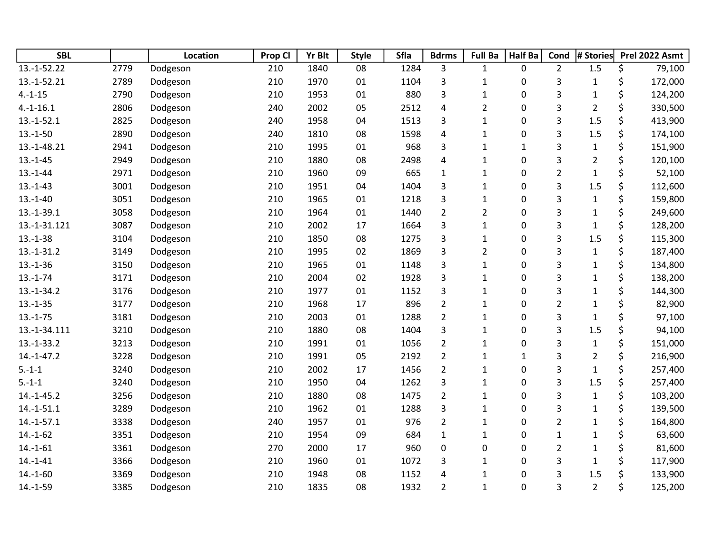| <b>SBL</b>   |      | <b>Location</b> | Prop Cl | <b>Yr Blt</b> | <b>Style</b> | Sfla | <b>Bdrms</b>            | <b>Full Ba</b> | <b>Half Ba</b> | Cond           | # Stories      | Prel 2022 Asmt |
|--------------|------|-----------------|---------|---------------|--------------|------|-------------------------|----------------|----------------|----------------|----------------|----------------|
| 13.-1-52.22  | 2779 | Dodgeson        | 210     | 1840          | 08           | 1284 | 3                       | $\mathbf{1}$   | 0              | $\overline{2}$ | 1.5            | \$<br>79,100   |
| 13.-1-52.21  | 2789 | Dodgeson        | 210     | 1970          | 01           | 1104 | 3                       | $\mathbf{1}$   | 0              | 3              | $\mathbf 1$    | \$<br>172,000  |
| $4.-1-15$    | 2790 | Dodgeson        | 210     | 1953          | 01           | 880  | 3                       | $\mathbf{1}$   | 0              | 3              | $\mathbf{1}$   | \$<br>124,200  |
| $4.-1-16.1$  | 2806 | Dodgeson        | 240     | 2002          | 05           | 2512 | $\overline{\mathbf{4}}$ | $\overline{2}$ | $\pmb{0}$      | 3              | $\overline{2}$ | \$<br>330,500  |
| $13.-1-52.1$ | 2825 | Dodgeson        | 240     | 1958          | 04           | 1513 | 3                       | $\mathbf{1}$   | 0              | 3              | 1.5            | \$<br>413,900  |
| $13.-1-50$   | 2890 | Dodgeson        | 240     | 1810          | 08           | 1598 | $\overline{\mathbf{4}}$ | $\mathbf{1}$   | 0              | 3              | 1.5            | \$<br>174,100  |
| 13.-1-48.21  | 2941 | Dodgeson        | 210     | 1995          | 01           | 968  | 3                       | $\mathbf{1}$   | $\mathbf{1}$   | 3              | $\mathbf{1}$   | \$<br>151,900  |
| $13.-1-45$   | 2949 | Dodgeson        | 210     | 1880          | 08           | 2498 | 4                       | $\mathbf{1}$   | 0              | 3              | $\overline{2}$ | \$<br>120,100  |
| $13.-1-44$   | 2971 | Dodgeson        | 210     | 1960          | 09           | 665  | $\mathbf{1}$            | $\mathbf{1}$   | $\pmb{0}$      | $\overline{2}$ | $\mathbf 1$    | \$<br>52,100   |
| $13.-1-43$   | 3001 | Dodgeson        | 210     | 1951          | 04           | 1404 | 3                       | $\mathbf{1}$   | 0              | 3              | 1.5            | \$<br>112,600  |
| $13.-1-40$   | 3051 | Dodgeson        | 210     | 1965          | 01           | 1218 | 3                       | $\mathbf{1}$   | 0              | 3              | $\mathbf{1}$   | \$<br>159,800  |
| $13.-1-39.1$ | 3058 | Dodgeson        | 210     | 1964          | 01           | 1440 | $\overline{2}$          | $\overline{2}$ | 0              | 3              | $\mathbf 1$    | \$<br>249,600  |
| 13.-1-31.121 | 3087 | Dodgeson        | 210     | 2002          | 17           | 1664 | 3                       | $\mathbf{1}$   | $\pmb{0}$      | 3              | $\mathbf{1}$   | \$<br>128,200  |
| $13.-1-38$   | 3104 | Dodgeson        | 210     | 1850          | 08           | 1275 | 3                       | $\mathbf{1}$   | $\pmb{0}$      | 3              | 1.5            | \$<br>115,300  |
| $13.-1-31.2$ | 3149 | Dodgeson        | 210     | 1995          | 02           | 1869 | 3                       | $\overline{2}$ | 0              | 3              | $\mathbf 1$    | \$<br>187,400  |
| $13.-1-36$   | 3150 | Dodgeson        | 210     | 1965          | 01           | 1148 | 3                       | $\mathbf{1}$   | 0              | 3              | $\mathbf{1}$   | \$<br>134,800  |
| $13.-1-74$   | 3171 | Dodgeson        | 210     | 2004          | 02           | 1928 | 3                       | $\mathbf{1}$   | 0              | 3              | $\mathbf 1$    | \$<br>138,200  |
| $13.-1-34.2$ | 3176 | Dodgeson        | 210     | 1977          | 01           | 1152 | 3                       | $\mathbf{1}$   | 0              | 3              | $\mathbf{1}$   | \$<br>144,300  |
| $13.-1-35$   | 3177 | Dodgeson        | 210     | 1968          | 17           | 896  | $\overline{2}$          | $\mathbf{1}$   | 0              | $\overline{2}$ | $\mathbf{1}$   | \$<br>82,900   |
| $13.-1-75$   | 3181 | Dodgeson        | 210     | 2003          | 01           | 1288 | $\overline{2}$          | $\mathbf{1}$   | 0              | 3              | $\mathbf{1}$   | \$<br>97,100   |
| 13.-1-34.111 | 3210 | Dodgeson        | 210     | 1880          | 08           | 1404 | 3                       | $\mathbf{1}$   | 0              | 3              | 1.5            | \$<br>94,100   |
| $13.-1-33.2$ | 3213 | Dodgeson        | 210     | 1991          | 01           | 1056 | $\overline{2}$          | $\mathbf{1}$   | 0              | 3              | $\mathbf{1}$   | \$<br>151,000  |
| $14.-1-47.2$ | 3228 | Dodgeson        | 210     | 1991          | 05           | 2192 | $\overline{2}$          | $\mathbf{1}$   | $\mathbf{1}$   | 3              | $\overline{2}$ | \$<br>216,900  |
| $5.-1-1$     | 3240 | Dodgeson        | 210     | 2002          | 17           | 1456 | $\overline{2}$          | $\mathbf{1}$   | 0              | 3              | $\mathbf 1$    | \$<br>257,400  |
| $5.-1-1$     | 3240 | Dodgeson        | 210     | 1950          | 04           | 1262 | 3                       | $\mathbf{1}$   | 0              | 3              | 1.5            | \$<br>257,400  |
| $14.-1-45.2$ | 3256 | Dodgeson        | 210     | 1880          | 08           | 1475 | $\overline{2}$          | $\mathbf{1}$   | 0              | 3              | $\mathbf{1}$   | \$<br>103,200  |
| $14.-1-51.1$ | 3289 | Dodgeson        | 210     | 1962          | 01           | 1288 | 3                       | $\mathbf{1}$   | 0              | 3              | $\mathbf 1$    | \$<br>139,500  |
| $14.-1-57.1$ | 3338 | Dodgeson        | 240     | 1957          | 01           | 976  | $\overline{2}$          | $\mathbf{1}$   | 0              | $\overline{2}$ | $\mathbf{1}$   | \$<br>164,800  |
| $14.-1-62$   | 3351 | Dodgeson        | 210     | 1954          | 09           | 684  | $\mathbf{1}$            | $\mathbf{1}$   | 0              | $\mathbf 1$    | $\mathbf{1}$   | \$<br>63,600   |
| $14.-1-61$   | 3361 | Dodgeson        | 270     | 2000          | 17           | 960  | 0                       | 0              | 0              | $\overline{2}$ | $\mathbf{1}$   | \$<br>81,600   |
| $14.-1-41$   | 3366 | Dodgeson        | 210     | 1960          | 01           | 1072 | 3                       | $\mathbf{1}$   | 0              | 3              | $\mathbf{1}$   | \$<br>117,900  |
| $14.-1-60$   | 3369 | Dodgeson        | 210     | 1948          | 08           | 1152 | 4                       | $\mathbf{1}$   | 0              | 3              | 1.5            | \$<br>133,900  |
| $14.-1-59$   | 3385 | Dodgeson        | 210     | 1835          | 08           | 1932 | $\overline{2}$          | $\mathbf{1}$   | 0              | 3              | $\overline{2}$ | \$<br>125,200  |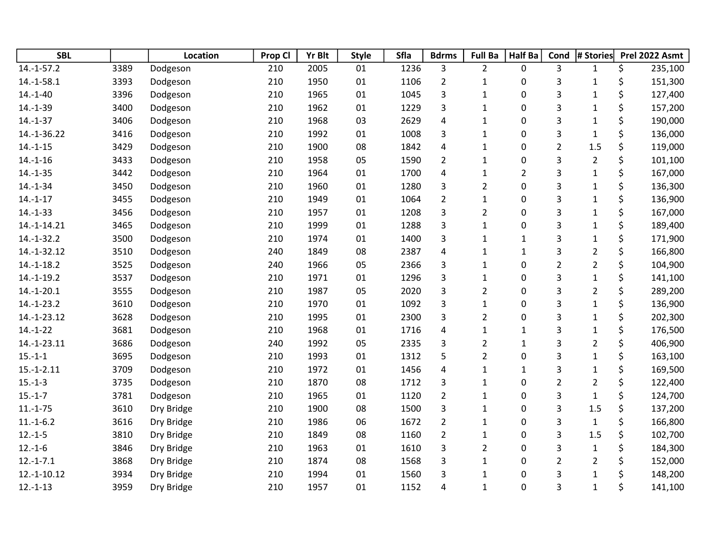| <b>SBL</b>    |      | <b>Location</b> | Prop Cl | <b>Yr Blt</b> | <b>Style</b> | Sfla | <b>Bdrms</b>            | <b>Full Ba</b> | <b>Half Ba</b> | Cond           | # Stories      | Prel 2022 Asmt |
|---------------|------|-----------------|---------|---------------|--------------|------|-------------------------|----------------|----------------|----------------|----------------|----------------|
| $14.-1-57.2$  | 3389 | Dodgeson        | 210     | 2005          | 01           | 1236 | 3                       | $\overline{2}$ | 0              | 3              | $\mathbf{1}$   | \$<br>235,100  |
| $14.-1-58.1$  | 3393 | Dodgeson        | 210     | 1950          | 01           | 1106 | $\overline{2}$          | $\mathbf{1}$   | 0              | 3              | $\mathbf{1}$   | \$<br>151,300  |
| $14.-1-40$    | 3396 | Dodgeson        | 210     | 1965          | 01           | 1045 | 3                       | $\mathbf{1}$   | 0              | 3              | $\mathbf{1}$   | \$<br>127,400  |
| $14.-1-39$    | 3400 | Dodgeson        | 210     | 1962          | 01           | 1229 | 3                       | $\mathbf{1}$   | 0              | 3              | $\mathbf{1}$   | \$<br>157,200  |
| $14.-1-37$    | 3406 | Dodgeson        | 210     | 1968          | 03           | 2629 | 4                       | $\mathbf{1}$   | 0              | 3              | $\mathbf{1}$   | \$<br>190,000  |
| 14.-1-36.22   | 3416 | Dodgeson        | 210     | 1992          | 01           | 1008 | 3                       | $\mathbf{1}$   | 0              | 3              | $\mathbf{1}$   | \$<br>136,000  |
| $14.-1-15$    | 3429 | Dodgeson        | 210     | 1900          | 08           | 1842 | 4                       | $\mathbf{1}$   | 0              | $\overline{2}$ | 1.5            | \$<br>119,000  |
| $14.-1-16$    | 3433 | Dodgeson        | 210     | 1958          | 05           | 1590 | $\overline{2}$          | $\mathbf{1}$   | 0              | 3              | $\overline{2}$ | \$<br>101,100  |
| $14.-1-35$    | 3442 | Dodgeson        | 210     | 1964          | 01           | 1700 | $\overline{\mathbf{4}}$ | $\mathbf{1}$   | $\overline{2}$ | 3              | $\mathbf{1}$   | \$<br>167,000  |
| $14.-1-34$    | 3450 | Dodgeson        | 210     | 1960          | 01           | 1280 | 3                       | $\overline{2}$ | 0              | 3              | $\mathbf{1}$   | \$<br>136,300  |
| $14.-1-17$    | 3455 | Dodgeson        | 210     | 1949          | 01           | 1064 | $\overline{2}$          | $\mathbf{1}$   | 0              | 3              | $\mathbf{1}$   | \$<br>136,900  |
| $14.-1-33$    | 3456 | Dodgeson        | 210     | 1957          | 01           | 1208 | 3                       | $\overline{2}$ | 0              | 3              | $\mathbf{1}$   | \$<br>167,000  |
| 14.-1-14.21   | 3465 | Dodgeson        | 210     | 1999          | 01           | 1288 | 3                       | $\mathbf{1}$   | 0              | 3              | $\mathbf{1}$   | \$<br>189,400  |
| $14.-1-32.2$  | 3500 | Dodgeson        | 210     | 1974          | 01           | 1400 | 3                       | $\mathbf{1}$   | $\mathbf{1}$   | 3              | $\mathbf{1}$   | \$<br>171,900  |
| 14.-1-32.12   | 3510 | Dodgeson        | 240     | 1849          | 08           | 2387 | 4                       | $\mathbf{1}$   | $\mathbf{1}$   | 3              | $\overline{2}$ | \$<br>166,800  |
| $14.-1-18.2$  | 3525 | Dodgeson        | 240     | 1966          | 05           | 2366 | 3                       | $\mathbf{1}$   | 0              | $\overline{2}$ | $\overline{2}$ | \$<br>104,900  |
| $14.-1-19.2$  | 3537 | Dodgeson        | 210     | 1971          | 01           | 1296 | 3                       | $\mathbf{1}$   | 0              | 3              | $\mathbf{1}$   | \$<br>141,100  |
| $14.-1-20.1$  | 3555 | Dodgeson        | 210     | 1987          | 05           | 2020 | 3                       | $\overline{2}$ | 0              | 3              | $\overline{2}$ | \$<br>289,200  |
| $14.-1-23.2$  | 3610 | Dodgeson        | 210     | 1970          | 01           | 1092 | 3                       | $\mathbf{1}$   | 0              | 3              | $\mathbf{1}$   | \$<br>136,900  |
| 14.-1-23.12   | 3628 | Dodgeson        | 210     | 1995          | 01           | 2300 | 3                       | $\overline{2}$ | 0              | 3              | $\mathbf{1}$   | \$<br>202,300  |
| $14.-1-22$    | 3681 | Dodgeson        | 210     | 1968          | 01           | 1716 | $\overline{4}$          | $\mathbf{1}$   | $\mathbf{1}$   | 3              | $\mathbf{1}$   | \$<br>176,500  |
| 14.-1-23.11   | 3686 | Dodgeson        | 240     | 1992          | 05           | 2335 | 3                       | $\overline{2}$ | $\mathbf{1}$   | 3              | $\overline{2}$ | \$<br>406,900  |
| $15.-1-1$     | 3695 | Dodgeson        | 210     | 1993          | 01           | 1312 | 5                       | $\overline{2}$ | 0              | 3              | $\mathbf 1$    | \$<br>163,100  |
| $15.-1-2.11$  | 3709 | Dodgeson        | 210     | 1972          | 01           | 1456 | $\overline{\mathbf{4}}$ | $\mathbf{1}$   | $\mathbf{1}$   | 3              | $\mathbf{1}$   | \$<br>169,500  |
| $15.-1-3$     | 3735 | Dodgeson        | 210     | 1870          | 08           | 1712 | 3                       | $\mathbf{1}$   | 0              | $\overline{2}$ | $\overline{2}$ | \$<br>122,400  |
| $15.-1-7$     | 3781 | Dodgeson        | 210     | 1965          | 01           | 1120 | $\overline{2}$          | $\mathbf{1}$   | 0              | 3              | $\mathbf{1}$   | \$<br>124,700  |
| $11.-1-75$    | 3610 | Dry Bridge      | 210     | 1900          | 08           | 1500 | 3                       | $\mathbf{1}$   | 0              | 3              | 1.5            | \$<br>137,200  |
| $11.-1-6.2$   | 3616 | Dry Bridge      | 210     | 1986          | 06           | 1672 | $\overline{2}$          | $\mathbf{1}$   | 0              | 3              | $\mathbf{1}$   | \$<br>166,800  |
| $12.-1-5$     | 3810 | Dry Bridge      | 210     | 1849          | 08           | 1160 | $\overline{2}$          | $\mathbf{1}$   | 0              | 3              | 1.5            | \$<br>102,700  |
| $12.-1-6$     | 3846 | Dry Bridge      | 210     | 1963          | 01           | 1610 | 3                       | $\overline{2}$ | 0              | 3              | $\mathbf{1}$   | \$<br>184,300  |
| $12.-1-7.1$   | 3868 | Dry Bridge      | 210     | 1874          | 08           | 1568 | 3                       | $\mathbf{1}$   | 0              | $\overline{2}$ | $\overline{2}$ | \$<br>152,000  |
| $12.-1-10.12$ | 3934 | Dry Bridge      | 210     | 1994          | 01           | 1560 | 3                       | $\mathbf{1}$   | 0              | 3              | $\mathbf{1}$   | \$<br>148,200  |
| $12.-1-13$    | 3959 | Dry Bridge      | 210     | 1957          | 01           | 1152 | 4                       | $\mathbf{1}$   | 0              | 3              | $\mathbf{1}$   | \$<br>141,100  |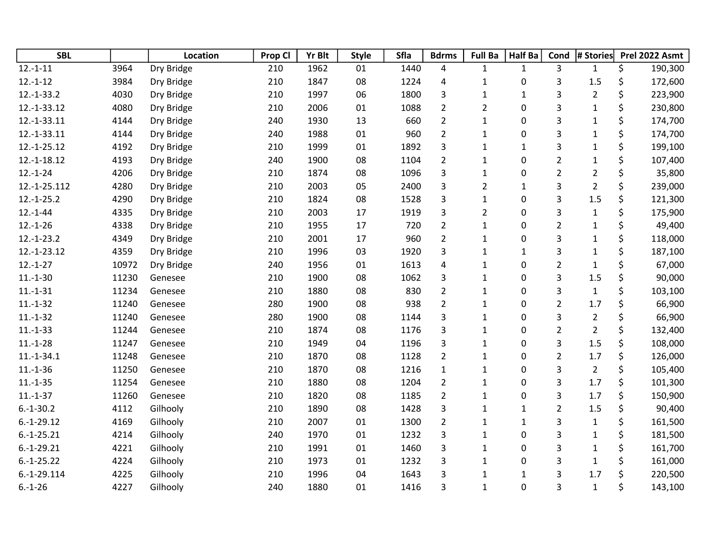| <b>SBL</b>    |       | Location   | Prop Cl | <b>Yr Blt</b> | <b>Style</b> | Sfla | <b>Bdrms</b>   | <b>Full Ba</b> | <b>Half Ba</b> | Cond           | # Stories      | Prel 2022 Asmt |
|---------------|-------|------------|---------|---------------|--------------|------|----------------|----------------|----------------|----------------|----------------|----------------|
| $12.-1-11$    | 3964  | Dry Bridge | 210     | 1962          | 01           | 1440 | 4              | 1              | $\mathbf{1}$   | 3              | $\mathbf{1}$   | \$<br>190,300  |
| $12.-1-12$    | 3984  | Dry Bridge | 210     | 1847          | 08           | 1224 | 4              | $\mathbf{1}$   | 0              | 3              | 1.5            | \$<br>172,600  |
| $12.-1-33.2$  | 4030  | Dry Bridge | 210     | 1997          | 06           | 1800 | 3              | $\mathbf{1}$   | $\mathbf{1}$   | 3              | $\overline{2}$ | \$<br>223,900  |
| 12.-1-33.12   | 4080  | Dry Bridge | 210     | 2006          | 01           | 1088 | $\overline{2}$ | $\overline{2}$ | 0              | 3              | $\mathbf{1}$   | \$<br>230,800  |
| 12.-1-33.11   | 4144  | Dry Bridge | 240     | 1930          | 13           | 660  | $\overline{2}$ | $\mathbf{1}$   | 0              | 3              | $\mathbf 1$    | \$<br>174,700  |
| 12.-1-33.11   | 4144  | Dry Bridge | 240     | 1988          | 01           | 960  | $\overline{2}$ | $\mathbf{1}$   | 0              | 3              | $\mathbf{1}$   | \$<br>174,700  |
| 12.-1-25.12   | 4192  | Dry Bridge | 210     | 1999          | 01           | 1892 | 3              | $\mathbf{1}$   | $\mathbf{1}$   | 3              | $\mathbf{1}$   | \$<br>199,100  |
| 12.-1-18.12   | 4193  | Dry Bridge | 240     | 1900          | 08           | 1104 | $\overline{2}$ | $\mathbf{1}$   | 0              | $\overline{2}$ | $\mathbf 1$    | \$<br>107,400  |
| $12.-1-24$    | 4206  | Dry Bridge | 210     | 1874          | 08           | 1096 | 3              | $\mathbf{1}$   | 0              | $\overline{2}$ | $\overline{2}$ | \$<br>35,800   |
| 12.-1-25.112  | 4280  | Dry Bridge | 210     | 2003          | 05           | 2400 | 3              | $\overline{2}$ | $\mathbf{1}$   | 3              | $\overline{2}$ | \$<br>239,000  |
| $12.-1-25.2$  | 4290  | Dry Bridge | 210     | 1824          | 08           | 1528 | 3              | $\mathbf{1}$   | 0              | 3              | 1.5            | \$<br>121,300  |
| $12.-1-44$    | 4335  | Dry Bridge | 210     | 2003          | 17           | 1919 | 3              | $\overline{2}$ | 0              | 3              | $\mathbf{1}$   | \$<br>175,900  |
| $12.-1-26$    | 4338  | Dry Bridge | 210     | 1955          | 17           | 720  | $\overline{2}$ | $\mathbf{1}$   | 0              | $\overline{2}$ | $\mathbf 1$    | \$<br>49,400   |
| $12.-1-23.2$  | 4349  | Dry Bridge | 210     | 2001          | 17           | 960  | $\overline{2}$ | $\mathbf{1}$   | 0              | 3              | $\mathbf{1}$   | \$<br>118,000  |
| 12.-1-23.12   | 4359  | Dry Bridge | 210     | 1996          | 03           | 1920 | 3              | $\mathbf 1$    | $\mathbf{1}$   | 3              | $\mathbf 1$    | \$<br>187,100  |
| $12.-1-27$    | 10972 | Dry Bridge | 240     | 1956          | 01           | 1613 | 4              | $\mathbf{1}$   | 0              | $\overline{2}$ | $\mathbf{1}$   | \$<br>67,000   |
| $11.-1-30$    | 11230 | Genesee    | 210     | 1900          | 08           | 1062 | 3              | $\mathbf{1}$   | 0              | 3              | 1.5            | \$<br>90,000   |
| $11.-1-31$    | 11234 | Genesee    | 210     | 1880          | 08           | 830  | $\overline{2}$ | $\mathbf{1}$   | 0              | 3              | $\mathbf 1$    | \$<br>103,100  |
| $11.-1-32$    | 11240 | Genesee    | 280     | 1900          | 08           | 938  | $\overline{2}$ | $\mathbf{1}$   | 0              | $\overline{2}$ | 1.7            | \$<br>66,900   |
| $11.-1-32$    | 11240 | Genesee    | 280     | 1900          | 08           | 1144 | 3              | $\mathbf 1$    | 0              | 3              | $\overline{2}$ | \$<br>66,900   |
| $11.-1-33$    | 11244 | Genesee    | 210     | 1874          | 08           | 1176 | 3              | $\mathbf{1}$   | 0              | $\overline{2}$ | $\overline{2}$ | \$<br>132,400  |
| $11.-1-28$    | 11247 | Genesee    | 210     | 1949          | 04           | 1196 | 3              | $\mathbf{1}$   | 0              | 3              | 1.5            | \$<br>108,000  |
| $11.-1-34.1$  | 11248 | Genesee    | 210     | 1870          | 08           | 1128 | $\overline{2}$ | $\mathbf 1$    | 0              | $\overline{2}$ | 1.7            | \$<br>126,000  |
| $11.-1-36$    | 11250 | Genesee    | 210     | 1870          | 08           | 1216 | $\mathbf{1}$   | $\mathbf{1}$   | 0              | 3              | $\overline{2}$ | \$<br>105,400  |
| $11.-1-35$    | 11254 | Genesee    | 210     | 1880          | 08           | 1204 | $\overline{2}$ | $\mathbf{1}$   | 0              | 3              | 1.7            | \$<br>101,300  |
| $11.-1-37$    | 11260 | Genesee    | 210     | 1820          | 08           | 1185 | $\overline{2}$ | $\mathbf{1}$   | 0              | 3              | 1.7            | \$<br>150,900  |
| $6.-1-30.2$   | 4112  | Gilhooly   | 210     | 1890          | 08           | 1428 | 3              | $\mathbf{1}$   | $\mathbf{1}$   | $\overline{2}$ | 1.5            | \$<br>90,400   |
| $6.-1-29.12$  | 4169  | Gilhooly   | 210     | 2007          | 01           | 1300 | $\overline{2}$ | $\mathbf{1}$   | $\mathbf{1}$   | 3              | $\mathbf 1$    | \$<br>161,500  |
| $6.-1-25.21$  | 4214  | Gilhooly   | 240     | 1970          | 01           | 1232 | 3              | $\mathbf{1}$   | 0              | 3              | $\mathbf{1}$   | \$<br>181,500  |
| $6.-1-29.21$  | 4221  | Gilhooly   | 210     | 1991          | 01           | 1460 | 3              | $\mathbf{1}$   | 0              | 3              | $\mathbf 1$    | \$<br>161,700  |
| $6.-1-25.22$  | 4224  | Gilhooly   | 210     | 1973          | 01           | 1232 | 3              | $\mathbf{1}$   | 0              | 3              | $\mathbf{1}$   | \$<br>161,000  |
| $6.-1-29.114$ | 4225  | Gilhooly   | 210     | 1996          | 04           | 1643 | 3              | $\mathbf{1}$   | $\mathbf{1}$   | 3              | 1.7            | \$<br>220,500  |
| $6.-1-26$     | 4227  | Gilhooly   | 240     | 1880          | 01           | 1416 | 3              | $\mathbf{1}$   | 0              | 3              | $\mathbf{1}$   | \$<br>143,100  |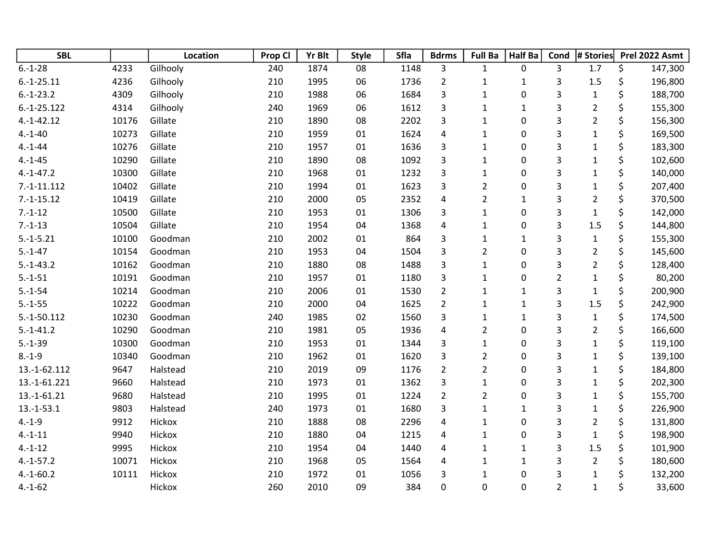| <b>SBL</b>    |       | Location | Prop Cl | <b>Yr Blt</b> | <b>Style</b> | Sfla | <b>Bdrms</b>            | <b>Full Ba</b> | <b>Half Ba</b> | Cond           | # Stories      | Prel 2022 Asmt |
|---------------|-------|----------|---------|---------------|--------------|------|-------------------------|----------------|----------------|----------------|----------------|----------------|
| $6.-1-28$     | 4233  | Gilhooly | 240     | 1874          | 08           | 1148 | 3                       | $\mathbf{1}$   | 0              | 3              | 1.7            | \$<br>147,300  |
| $6.-1-25.11$  | 4236  | Gilhooly | 210     | 1995          | 06           | 1736 | $\overline{2}$          | $\mathbf 1$    | $\mathbf{1}$   | 3              | $1.5\,$        | \$<br>196,800  |
| $6.-1-23.2$   | 4309  | Gilhooly | 210     | 1988          | 06           | 1684 | 3                       | $\mathbf{1}$   | 0              | 3              | $\mathbf{1}$   | \$<br>188,700  |
| $6.-1-25.122$ | 4314  | Gilhooly | 240     | 1969          | 06           | 1612 | 3                       | $\mathbf 1$    | $\mathbf 1$    | 3              | $\overline{2}$ | \$<br>155,300  |
| $4.-1-42.12$  | 10176 | Gillate  | 210     | 1890          | 08           | 2202 | 3                       | $\mathbf{1}$   | 0              | 3              | $\overline{2}$ | \$<br>156,300  |
| $4.-1-40$     | 10273 | Gillate  | 210     | 1959          | 01           | 1624 | $\pmb{4}$               | $\mathbf 1$    | 0              | 3              | $\mathbf{1}$   | \$<br>169,500  |
| $4.-1-44$     | 10276 | Gillate  | 210     | 1957          | 01           | 1636 | 3                       | $\mathbf{1}$   | 0              | 3              | $\mathbf 1$    | \$<br>183,300  |
| $4.-1-45$     | 10290 | Gillate  | 210     | 1890          | 08           | 1092 | 3                       | $\mathbf 1$    | 0              | 3              | $\mathbf{1}$   | \$<br>102,600  |
| $4.-1-47.2$   | 10300 | Gillate  | 210     | 1968          | 01           | 1232 | $\overline{\mathbf{3}}$ | $\mathbf{1}$   | 0              | 3              | $\mathbf 1$    | \$<br>140,000  |
| $7.-1-11.112$ | 10402 | Gillate  | 210     | 1994          | 01           | 1623 | 3                       | $\overline{2}$ | 0              | 3              | $\mathbf{1}$   | \$<br>207,400  |
| $7.-1-15.12$  | 10419 | Gillate  | 210     | 2000          | 05           | 2352 | $\pmb{4}$               | $\overline{2}$ | $\mathbf{1}$   | 3              | $\overline{2}$ | \$<br>370,500  |
| $7.-1-12$     | 10500 | Gillate  | 210     | 1953          | 01           | 1306 | 3                       | $\mathbf{1}$   | 0              | 3              | $\mathbf{1}$   | \$<br>142,000  |
| $7.-1-13$     | 10504 | Gillate  | 210     | 1954          | 04           | 1368 | $\pmb{4}$               | $\mathbf 1$    | 0              | 3              | 1.5            | \$<br>144,800  |
| $5.-1-5.21$   | 10100 | Goodman  | 210     | 2002          | 01           | 864  | 3                       | $\mathbf{1}$   | $\mathbf 1$    | 3              | $\mathbf 1$    | \$<br>155,300  |
| $5.-1-47$     | 10154 | Goodman  | 210     | 1953          | 04           | 1504 | 3                       | $\overline{2}$ | 0              | 3              | $\overline{2}$ | \$<br>145,600  |
| $5.-1-43.2$   | 10162 | Goodman  | 210     | 1880          | 08           | 1488 | 3                       | $\mathbf{1}$   | 0              | 3              | $\overline{2}$ | \$<br>128,400  |
| $5.-1-51$     | 10191 | Goodman  | 210     | 1957          | 01           | 1180 | 3                       | $\mathbf 1$    | 0              | $\overline{2}$ | $\mathbf 1$    | \$<br>80,200   |
| $5.-1-54$     | 10214 | Goodman  | 210     | 2006          | 01           | 1530 | $\overline{2}$          | $\mathbf 1$    | $\mathbf{1}$   | 3              | $\mathbf{1}$   | \$<br>200,900  |
| $5.-1-55$     | 10222 | Goodman  | 210     | 2000          | 04           | 1625 | $\overline{2}$          | $\mathbf{1}$   | $\mathbf 1$    | 3              | 1.5            | \$<br>242,900  |
| $5.-1-50.112$ | 10230 | Goodman  | 240     | 1985          | 02           | 1560 | 3                       | $\mathbf{1}$   | $\mathbf{1}$   | 3              | $\mathbf{1}$   | \$<br>174,500  |
| $5.-1-41.2$   | 10290 | Goodman  | 210     | 1981          | 05           | 1936 | $\pmb{4}$               | $\overline{2}$ | 0              | 3              | $\overline{2}$ | \$<br>166,600  |
| $5.-1-39$     | 10300 | Goodman  | 210     | 1953          | 01           | 1344 | 3                       | $\mathbf{1}$   | 0              | 3              | $\mathbf 1$    | \$<br>119,100  |
| $8.-1-9$      | 10340 | Goodman  | 210     | 1962          | 01           | 1620 | 3                       | $\overline{2}$ | 0              | 3              | $\mathbf 1$    | \$<br>139,100  |
| 13.-1-62.112  | 9647  | Halstead | 210     | 2019          | 09           | 1176 | $\overline{2}$          | $\overline{2}$ | 0              | 3              | $\mathbf{1}$   | \$<br>184,800  |
| 13.-1-61.221  | 9660  | Halstead | 210     | 1973          | 01           | 1362 | 3                       | $\mathbf 1$    | 0              | 3              | $\mathbf{1}$   | \$<br>202,300  |
| 13.-1-61.21   | 9680  | Halstead | 210     | 1995          | 01           | 1224 | $\overline{2}$          | $\overline{2}$ | 0              | 3              | $\mathbf{1}$   | \$<br>155,700  |
| $13.-1-53.1$  | 9803  | Halstead | 240     | 1973          | 01           | 1680 | 3                       | $\mathbf 1$    | $\mathbf 1$    | 3              | $\mathbf{1}$   | \$<br>226,900  |
| $4.-1-9$      | 9912  | Hickox   | 210     | 1888          | 08           | 2296 | $\overline{4}$          | $\mathbf{1}$   | 0              | 3              | $\overline{2}$ | \$<br>131,800  |
| $4.-1-11$     | 9940  | Hickox   | 210     | 1880          | 04           | 1215 | $\pmb{4}$               | $\mathbf 1$    | 0              | 3              | $\mathbf 1$    | \$<br>198,900  |
| $4.-1-12$     | 9995  | Hickox   | 210     | 1954          | 04           | 1440 | $\overline{4}$          | $\mathbf 1$    | $\mathbf{1}$   | 3              | $1.5\,$        | \$<br>101,900  |
| $4.-1-57.2$   | 10071 | Hickox   | 210     | 1968          | 05           | 1564 | 4                       | $\mathbf 1$    | $\mathbf{1}$   | 3              | $\overline{2}$ | \$<br>180,600  |
| $4.-1-60.2$   | 10111 | Hickox   | 210     | 1972          | 01           | 1056 | 3                       | $\mathbf{1}$   | 0              | 3              | $\mathbf 1$    | \$<br>132,200  |
| $4.-1-62$     |       | Hickox   | 260     | 2010          | 09           | 384  | 0                       | 0              | 0              | $\overline{2}$ | $\mathbf 1$    | \$<br>33,600   |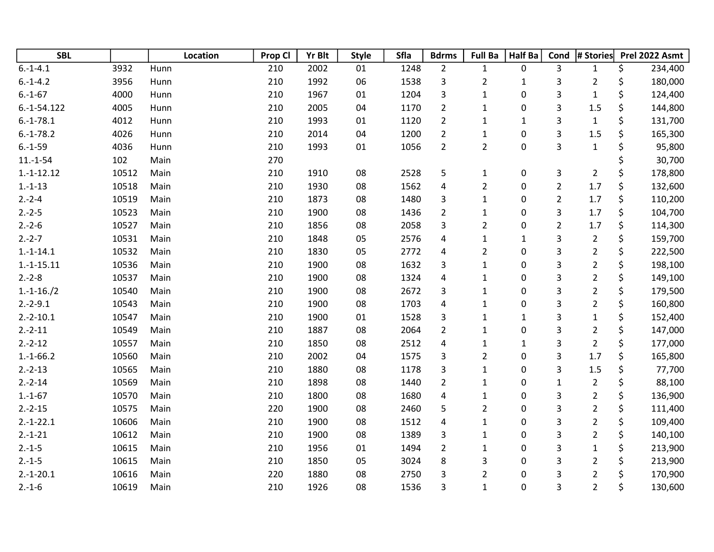| <b>SBL</b>    |       | Location | Prop Cl | <b>Yr Blt</b> | <b>Style</b> | <b>Sfla</b> | <b>Bdrms</b>   | <b>Full Ba</b> | Half Ba      | Cond           | # Stories      | Prel 2022 Asmt |
|---------------|-------|----------|---------|---------------|--------------|-------------|----------------|----------------|--------------|----------------|----------------|----------------|
| $6.-1-4.1$    | 3932  | Hunn     | 210     | 2002          | 01           | 1248        | $\overline{2}$ | $\mathbf{1}$   | 0            | 3              | $\mathbf{1}$   | \$<br>234,400  |
| $6.-1-4.2$    | 3956  | Hunn     | 210     | 1992          | 06           | 1538        | 3              | $\overline{2}$ | $\mathbf{1}$ | 3              | $\overline{2}$ | \$<br>180,000  |
| $6.-1-67$     | 4000  | Hunn     | 210     | 1967          | 01           | 1204        | 3              | $\mathbf{1}$   | 0            | 3              | $\mathbf{1}$   | \$<br>124,400  |
| $6.-1-54.122$ | 4005  | Hunn     | 210     | 2005          | 04           | 1170        | $\overline{2}$ | $\mathbf{1}$   | 0            | 3              | 1.5            | \$<br>144,800  |
| $6.-1-78.1$   | 4012  | Hunn     | 210     | 1993          | 01           | 1120        | $\overline{2}$ | $\mathbf{1}$   | $\mathbf 1$  | 3              | $\mathbf{1}$   | \$<br>131,700  |
| $6.-1-78.2$   | 4026  | Hunn     | 210     | 2014          | 04           | 1200        | $\overline{2}$ | $\mathbf{1}$   | 0            | 3              | 1.5            | \$<br>165,300  |
| $6.-1-59$     | 4036  | Hunn     | 210     | 1993          | 01           | 1056        | $\overline{2}$ | $\overline{2}$ | 0            | 3              | $\mathbf{1}$   | \$<br>95,800   |
| $11.-1-54$    | 102   | Main     | 270     |               |              |             |                |                |              |                |                | 30,700         |
| $1.-1-12.12$  | 10512 | Main     | 210     | 1910          | 08           | 2528        | 5              | $\mathbf{1}$   | 0            | 3              | $\overline{2}$ | \$<br>178,800  |
| $1.-1-13$     | 10518 | Main     | 210     | 1930          | 08           | 1562        | 4              | $\overline{2}$ | 0            | $\overline{2}$ | 1.7            | \$<br>132,600  |
| $2.-2-4$      | 10519 | Main     | 210     | 1873          | 08           | 1480        | 3              | $\mathbf{1}$   | 0            | $\overline{a}$ | 1.7            | \$<br>110,200  |
| $2.-2-5$      | 10523 | Main     | 210     | 1900          | 08           | 1436        | $\overline{2}$ | $\mathbf{1}$   | 0            | 3              | 1.7            | \$<br>104,700  |
| $2.-2-6$      | 10527 | Main     | 210     | 1856          | 08           | 2058        | 3              | $\overline{2}$ | 0            | $\overline{2}$ | 1.7            | \$<br>114,300  |
| $2.-2-7$      | 10531 | Main     | 210     | 1848          | 05           | 2576        | 4              | $\mathbf{1}$   | $\mathbf{1}$ | 3              | $\overline{2}$ | \$<br>159,700  |
| $1.-1-14.1$   | 10532 | Main     | 210     | 1830          | 05           | 2772        | $\pmb{4}$      | $\mathbf 2$    | 0            | 3              | $\overline{c}$ | \$<br>222,500  |
| $1.-1-15.11$  | 10536 | Main     | 210     | 1900          | 08           | 1632        | 3              | $\mathbf{1}$   | 0            | 3              | $\overline{2}$ | \$<br>198,100  |
| $2.-2-8$      | 10537 | Main     | 210     | 1900          | 08           | 1324        | 4              | $\mathbf{1}$   | 0            | 3              | $\overline{c}$ | \$<br>149,100  |
| $1.-1-16./2$  | 10540 | Main     | 210     | 1900          | 08           | 2672        | 3              | $\mathbf 1$    | 0            | 3              | $\overline{2}$ | \$<br>179,500  |
| $2.-2-9.1$    | 10543 | Main     | 210     | 1900          | 08           | 1703        | 4              | $\mathbf{1}$   | 0            | 3              | $\overline{2}$ | \$<br>160,800  |
| $2.-2-10.1$   | 10547 | Main     | 210     | 1900          | 01           | 1528        | 3              | $\mathbf 1$    | $\mathbf 1$  | 3              | $\mathbf{1}$   | \$<br>152,400  |
| $2.-2-11$     | 10549 | Main     | 210     | 1887          | 08           | 2064        | $\overline{2}$ | $\mathbf{1}$   | 0            | 3              | $\overline{c}$ | \$<br>147,000  |
| $2.-2-12$     | 10557 | Main     | 210     | 1850          | 08           | 2512        | $\pmb{4}$      | $\mathbf{1}$   | $\mathbf{1}$ | 3              | $\overline{2}$ | \$<br>177,000  |
| $1.-1-66.2$   | 10560 | Main     | 210     | 2002          | 04           | 1575        | 3              | $\overline{2}$ | 0            | 3              | 1.7            | \$<br>165,800  |
| $2.-2-13$     | 10565 | Main     | 210     | 1880          | 08           | 1178        | 3              | $\mathbf{1}$   | 0            | 3              | 1.5            | \$<br>77,700   |
| $2.-2-14$     | 10569 | Main     | 210     | 1898          | 08           | 1440        | $\overline{2}$ | $\mathbf 1$    | 0            | $\mathbf{1}$   | $\overline{2}$ | \$<br>88,100   |
| $1.-1-67$     | 10570 | Main     | 210     | 1800          | 08           | 1680        | 4              | $\mathbf{1}$   | 0            | 3              | $\overline{2}$ | \$<br>136,900  |
| $2.-2-15$     | 10575 | Main     | 220     | 1900          | 08           | 2460        | 5              | $\overline{2}$ | 0            | 3              | $\overline{c}$ | \$<br>111,400  |
| $2.-1-22.1$   | 10606 | Main     | 210     | 1900          | 08           | 1512        | 4              | $\mathbf 1$    | 0            | 3              | $\overline{2}$ | \$<br>109,400  |
| $2.-1-21$     | 10612 | Main     | 210     | 1900          | 08           | 1389        | 3              | $\mathbf{1}$   | 0            | 3              | $\overline{2}$ | \$<br>140,100  |
| $2.-1-5$      | 10615 | Main     | 210     | 1956          | 01           | 1494        | $\overline{2}$ | $\mathbf{1}$   | 0            | 3              | $\mathbf{1}$   | \$<br>213,900  |
| $2.-1-5$      | 10615 | Main     | 210     | 1850          | 05           | 3024        | 8              | 3              | 0            | 3              | $\overline{2}$ | \$<br>213,900  |
| $2.-1-20.1$   | 10616 | Main     | 220     | 1880          | 08           | 2750        | 3              | $\overline{2}$ | 0            | 3              | $\overline{2}$ | \$<br>170,900  |
| $2.-1-6$      | 10619 | Main     | 210     | 1926          | 08           | 1536        | 3              | $\mathbf{1}$   | 0            | 3              | $\overline{2}$ | \$<br>130,600  |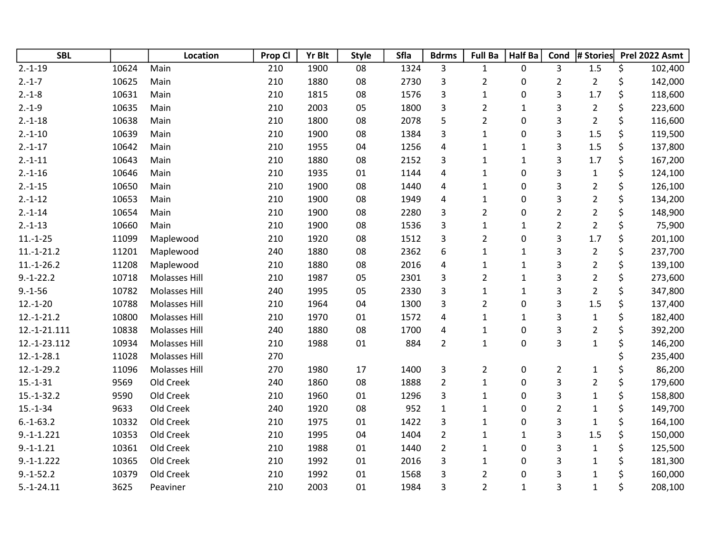| <b>SBL</b>   |       | Location             | Prop Cl | <b>Yr Blt</b> | <b>Style</b> | Sfla | <b>Bdrms</b>   | <b>Full Ba</b> | <b>Half Ba</b> | Cond           | # Stories      | Prel 2022 Asmt |         |
|--------------|-------|----------------------|---------|---------------|--------------|------|----------------|----------------|----------------|----------------|----------------|----------------|---------|
| $2.-1-19$    | 10624 | Main                 | 210     | 1900          | 08           | 1324 | 3              | 1              | 0              | $\overline{3}$ | 1.5            | \$             | 102,400 |
| $2.-1-7$     | 10625 | Main                 | 210     | 1880          | 08           | 2730 | 3              | $\overline{2}$ | 0              | $\overline{2}$ | $\overline{2}$ | \$             | 142,000 |
| $2.-1-8$     | 10631 | Main                 | 210     | 1815          | 08           | 1576 | 3              | $\mathbf{1}$   | 0              | 3              | 1.7            | \$             | 118,600 |
| $2.-1-9$     | 10635 | Main                 | 210     | 2003          | 05           | 1800 | 3              | $\overline{2}$ | $\mathbf{1}$   | 3              | $\overline{2}$ | \$             | 223,600 |
| $2.-1-18$    | 10638 | Main                 | 210     | 1800          | 08           | 2078 | 5              | $\overline{2}$ | 0              | 3              | $\overline{2}$ | \$             | 116,600 |
| $2.-1-10$    | 10639 | Main                 | 210     | 1900          | 08           | 1384 | 3              | $\mathbf{1}$   | 0              | 3              | 1.5            | \$             | 119,500 |
| $2.-1-17$    | 10642 | Main                 | 210     | 1955          | 04           | 1256 | $\overline{4}$ | $\mathbf{1}$   | $\mathbf{1}$   | 3              | 1.5            | \$             | 137,800 |
| $2.-1-11$    | 10643 | Main                 | 210     | 1880          | 08           | 2152 | 3              | $\mathbf{1}$   | $\mathbf 1$    | 3              | 1.7            | \$             | 167,200 |
| $2.-1-16$    | 10646 | Main                 | 210     | 1935          | 01           | 1144 | 4              | $\mathbf{1}$   | 0              | 3              | $\mathbf{1}$   | \$             | 124,100 |
| $2.-1-15$    | 10650 | Main                 | 210     | 1900          | 08           | 1440 | 4              | $\mathbf 1$    | 0              | 3              | $\overline{2}$ | \$             | 126,100 |
| $2.-1-12$    | 10653 | Main                 | 210     | 1900          | 08           | 1949 | 4              | 1              | 0              | 3              | $\overline{2}$ | \$             | 134,200 |
| $2.-1-14$    | 10654 | Main                 | 210     | 1900          | 08           | 2280 | 3              | $\overline{2}$ | 0              | $\overline{2}$ | $\overline{2}$ | \$             | 148,900 |
| $2.-1-13$    | 10660 | Main                 | 210     | 1900          | 08           | 1536 | 3              | $\mathbf 1$    | $\mathbf{1}$   | $\overline{2}$ | $\overline{2}$ | \$             | 75,900  |
| $11.-1-25$   | 11099 | Maplewood            | 210     | 1920          | 08           | 1512 | 3              | $\overline{2}$ | 0              | 3              | 1.7            | \$             | 201,100 |
| $11.-1-21.2$ | 11201 | Maplewood            | 240     | 1880          | 08           | 2362 | 6              | $\mathbf{1}$   | $\mathbf{1}$   | 3              | $\overline{2}$ | \$             | 237,700 |
| $11.-1-26.2$ | 11208 | Maplewood            | 210     | 1880          | 08           | 2016 | 4              | $\mathbf{1}$   | $\mathbf{1}$   | 3              | $\overline{2}$ | \$             | 139,100 |
| $9.-1-22.2$  | 10718 | <b>Molasses Hill</b> | 210     | 1987          | 05           | 2301 | 3              | $\overline{2}$ | $\mathbf{1}$   | 3              | $\overline{2}$ | \$             | 273,600 |
| $9.-1-56$    | 10782 | Molasses Hill        | 240     | 1995          | 05           | 2330 | 3              | $\mathbf{1}$   | $\mathbf{1}$   | 3              | $\overline{2}$ | \$             | 347,800 |
| $12.-1-20$   | 10788 | Molasses Hill        | 210     | 1964          | 04           | 1300 | 3              | $\overline{c}$ | 0              | 3              | 1.5            | \$             | 137,400 |
| $12.-1-21.2$ | 10800 | <b>Molasses Hill</b> | 210     | 1970          | 01           | 1572 | 4              | $\mathbf{1}$   | $\mathbf{1}$   | 3              | $\mathbf{1}$   | \$             | 182,400 |
| 12.-1-21.111 | 10838 | <b>Molasses Hill</b> | 240     | 1880          | 08           | 1700 | 4              | 1              | 0              | 3              | $\overline{2}$ | \$             | 392,200 |
| 12.-1-23.112 | 10934 | Molasses Hill        | 210     | 1988          | 01           | 884  | $\overline{2}$ | $\mathbf{1}$   | 0              | 3              | $\mathbf 1$    | \$             | 146,200 |
| $12.-1-28.1$ | 11028 | Molasses Hill        | 270     |               |              |      |                |                |                |                |                |                | 235,400 |
| $12.-1-29.2$ | 11096 | <b>Molasses Hill</b> | 270     | 1980          | 17           | 1400 | 3              | $\overline{2}$ | 0              | $\overline{2}$ | 1              | \$             | 86,200  |
| $15.-1-31$   | 9569  | Old Creek            | 240     | 1860          | 08           | 1888 | $\overline{2}$ | $\mathbf{1}$   | 0              | 3              | $\overline{2}$ | \$             | 179,600 |
| $15.-1-32.2$ | 9590  | Old Creek            | 210     | 1960          | 01           | 1296 | 3              | $\mathbf{1}$   | 0              | 3              | $\mathbf 1$    | \$             | 158,800 |
| $15.-1-34$   | 9633  | Old Creek            | 240     | 1920          | 08           | 952  | $\mathbf{1}$   | $\mathbf{1}$   | 0              | $\overline{2}$ | $\mathbf{1}$   | \$             | 149,700 |
| $6.-1-63.2$  | 10332 | Old Creek            | 210     | 1975          | 01           | 1422 | 3              | $\mathbf{1}$   | 0              | 3              | $\mathbf{1}$   | \$             | 164,100 |
| $9.-1-1.221$ | 10353 | Old Creek            | 210     | 1995          | 04           | 1404 | $\overline{2}$ | 1              | $\mathbf{1}$   | 3              | 1.5            | \$             | 150,000 |
| $9.-1-1.21$  | 10361 | Old Creek            | 210     | 1988          | 01           | 1440 | $\overline{2}$ | $\mathbf{1}$   | 0              | 3              | $\mathbf{1}$   | \$             | 125,500 |
| $9.-1-1.222$ | 10365 | Old Creek            | 210     | 1992          | 01           | 2016 | 3              | 1              | 0              | 3              | $\mathbf{1}$   | \$             | 181,300 |
| $9.-1-52.2$  | 10379 | Old Creek            | 210     | 1992          | 01           | 1568 | 3              | $\overline{2}$ | 0              | 3              | $\mathbf{1}$   | \$             | 160,000 |
| $5.-1-24.11$ | 3625  | Peaviner             | 210     | 2003          | 01           | 1984 | 3              | $\overline{2}$ | $\mathbf{1}$   | 3              | $\mathbf{1}$   | \$             | 208,100 |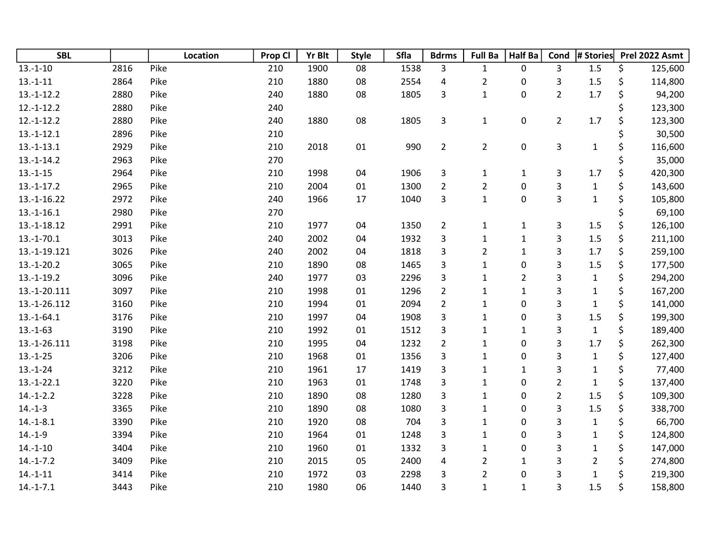| <b>SBL</b>    |      | Location | Prop Cl | <b>Yr Blt</b> | <b>Style</b> | <b>Sfla</b> | <b>Bdrms</b>            | <b>Full Ba</b> | <b>Half Ba</b> | Cond           | # Stories      |    | Prel 2022 Asmt |
|---------------|------|----------|---------|---------------|--------------|-------------|-------------------------|----------------|----------------|----------------|----------------|----|----------------|
| $13.-1-10$    | 2816 | Pike     | 210     | 1900          | 08           | 1538        | 3                       | $\mathbf{1}$   | 0              | 3              | 1.5            | \$ | 125,600        |
| $13.-1-11$    | 2864 | Pike     | 210     | 1880          | 08           | 2554        | 4                       | $\overline{2}$ | 0              | 3              | 1.5            | \$ | 114,800        |
| $13.-1-12.2$  | 2880 | Pike     | 240     | 1880          | 08           | 1805        | 3                       | $\mathbf 1$    | 0              | $\overline{2}$ | 1.7            | \$ | 94,200         |
| $12.-1-12.2$  | 2880 | Pike     | 240     |               |              |             |                         |                |                |                |                | \$ | 123,300        |
| $12.-1-12.2$  | 2880 | Pike     | 240     | 1880          | 08           | 1805        | $\overline{\mathbf{3}}$ | $\mathbf{1}$   | $\pmb{0}$      | $\overline{2}$ | 1.7            | \$ | 123,300        |
| $13.-1-12.1$  | 2896 | Pike     | 210     |               |              |             |                         |                |                |                |                |    | 30,500         |
| $13.-1-13.1$  | 2929 | Pike     | 210     | 2018          | 01           | 990         | $\overline{2}$          | $\overline{2}$ | $\pmb{0}$      | 3              | $\mathbf{1}$   |    | 116,600        |
| $13.-1-14.2$  | 2963 | Pike     | 270     |               |              |             |                         |                |                |                |                |    | 35,000         |
| $13.-1-15$    | 2964 | Pike     | 210     | 1998          | 04           | 1906        | 3                       | 1              | $\mathbf{1}$   | 3              | 1.7            | \$ | 420,300        |
| $13.-1-17.2$  | 2965 | Pike     | 210     | 2004          | 01           | 1300        | $\overline{2}$          | $\overline{2}$ | 0              | 3              | $\mathbf{1}$   | \$ | 143,600        |
| $13.-1-16.22$ | 2972 | Pike     | 240     | 1966          | $17\,$       | 1040        | 3                       | $\mathbf{1}$   | 0              | 3              | $\mathbf{1}$   | \$ | 105,800        |
| $13.-1-16.1$  | 2980 | Pike     | 270     |               |              |             |                         |                |                |                |                |    | 69,100         |
| 13.-1-18.12   | 2991 | Pike     | 210     | 1977          | 04           | 1350        | $\overline{2}$          | $\mathbf{1}$   | $\mathbf{1}$   | 3              | 1.5            | \$ | 126,100        |
| $13.-1-70.1$  | 3013 | Pike     | 240     | 2002          | 04           | 1932        | 3                       | $\mathbf{1}$   | $\mathbf 1$    | 3              | 1.5            | \$ | 211,100        |
| 13.-1-19.121  | 3026 | Pike     | 240     | 2002          | 04           | 1818        | 3                       | $\overline{2}$ | $\mathbf 1$    | 3              | 1.7            | \$ | 259,100        |
| $13.-1-20.2$  | 3065 | Pike     | 210     | 1890          | 08           | 1465        | 3                       | $\mathbf 1$    | 0              | 3              | 1.5            | \$ | 177,500        |
| $13.-1-19.2$  | 3096 | Pike     | 240     | 1977          | 03           | 2296        | 3                       | 1              | $\overline{2}$ | 3              | $\mathbf{1}$   | \$ | 294,200        |
| 13.-1-20.111  | 3097 | Pike     | 210     | 1998          | 01           | 1296        | $\overline{2}$          | $\mathbf{1}$   | $\mathbf 1$    | 3              | $\mathbf{1}$   | \$ | 167,200        |
| 13.-1-26.112  | 3160 | Pike     | 210     | 1994          | 01           | 2094        | $\overline{2}$          | 1              | 0              | 3              | $\mathbf 1$    | \$ | 141,000        |
| $13.-1-64.1$  | 3176 | Pike     | 210     | 1997          | 04           | 1908        | 3                       | $\mathbf{1}$   | 0              | 3              | 1.5            | \$ | 199,300        |
| $13.-1-63$    | 3190 | Pike     | 210     | 1992          | 01           | 1512        | 3                       | $\mathbf{1}$   | $\mathbf{1}$   | 3              | $\mathbf{1}$   | \$ | 189,400        |
| 13.-1-26.111  | 3198 | Pike     | 210     | 1995          | 04           | 1232        | $\overline{2}$          | $\mathbf{1}$   | 0              | 3              | 1.7            | \$ | 262,300        |
| $13.-1-25$    | 3206 | Pike     | 210     | 1968          | 01           | 1356        | 3                       | $\mathbf 1$    | 0              | 3              | $\mathbf{1}$   | \$ | 127,400        |
| $13.-1-24$    | 3212 | Pike     | 210     | 1961          | 17           | 1419        | 3                       | $\mathbf{1}$   | $\mathbf{1}$   | 3              | $\mathbf{1}$   | \$ | 77,400         |
| $13.-1-22.1$  | 3220 | Pike     | 210     | 1963          | 01           | 1748        | 3                       | $\mathbf 1$    | 0              | $\overline{2}$ | $\mathbf{1}$   | \$ | 137,400        |
| $14.-1-2.2$   | 3228 | Pike     | 210     | 1890          | 08           | 1280        | 3                       | $\mathbf{1}$   | 0              | $\overline{2}$ | 1.5            | \$ | 109,300        |
| $14.-1-3$     | 3365 | Pike     | 210     | 1890          | 08           | 1080        | 3                       | $\mathbf{1}$   | 0              | 3              | 1.5            | \$ | 338,700        |
| $14.-1-8.1$   | 3390 | Pike     | 210     | 1920          | 08           | 704         | 3                       | $\mathbf 1$    | 0              | 3              | $\mathbf 1$    | \$ | 66,700         |
| $14.-1-9$     | 3394 | Pike     | 210     | 1964          | 01           | 1248        | 3                       | $\mathbf{1}$   | 0              | 3              | $\mathbf{1}$   | \$ | 124,800        |
| $14.-1-10$    | 3404 | Pike     | 210     | 1960          | 01           | 1332        | 3                       | $\mathbf{1}$   | 0              | 3              | $\mathbf{1}$   | \$ | 147,000        |
| $14.-1-7.2$   | 3409 | Pike     | 210     | 2015          | 05           | 2400        | 4                       | $\overline{2}$ | $\mathbf{1}$   | 3              | $\overline{2}$ | \$ | 274,800        |
| $14.-1-11$    | 3414 | Pike     | 210     | 1972          | 03           | 2298        | 3                       | $\overline{2}$ | 0              | 3              | $\mathbf{1}$   | Ś  | 219,300        |
| $14.-1-7.1$   | 3443 | Pike     | 210     | 1980          | 06           | 1440        | 3                       | $\mathbf{1}$   | $\mathbf{1}$   | 3              | 1.5            | \$ | 158,800        |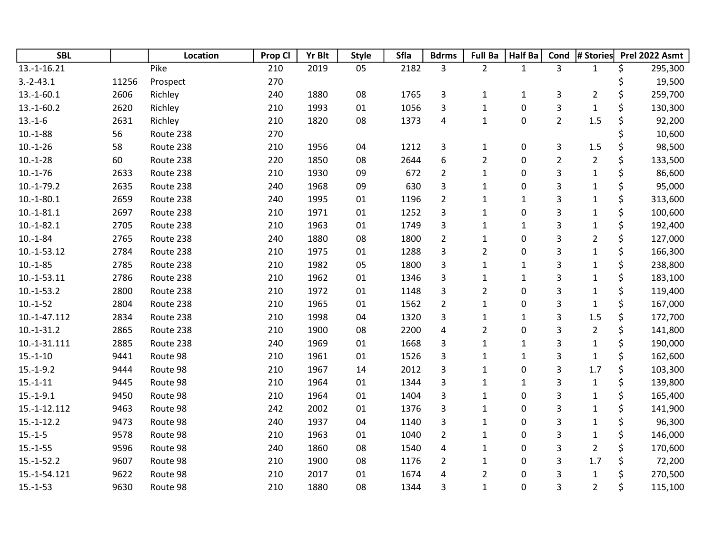| <b>SBL</b>     |       | Location  | Prop Cl | <b>Yr Blt</b> | <b>Style</b> | Sfla | <b>Bdrms</b>            | <b>Full Ba</b> | <b>Half Ba</b> | Cond           | # Stories      |    | Prel 2022 Asmt |
|----------------|-------|-----------|---------|---------------|--------------|------|-------------------------|----------------|----------------|----------------|----------------|----|----------------|
| 13.-1-16.21    |       | Pike      | 210     | 2019          | 05           | 2182 | 3                       | $\overline{2}$ | $\mathbf{1}$   | 3              | $\mathbf{1}$   | \$ | 295,300        |
| $3.-2-43.1$    | 11256 | Prospect  | 270     |               |              |      |                         |                |                |                |                | Ś  | 19,500         |
| $13.-1-60.1$   | 2606  | Richley   | 240     | 1880          | 08           | 1765 | $\mathsf{3}$            | $\mathbf{1}$   | $\mathbf{1}$   | 3              | $\overline{2}$ | \$ | 259,700        |
| $13.-1-60.2$   | 2620  | Richley   | 210     | 1993          | 01           | 1056 | 3                       | $\mathbf{1}$   | $\pmb{0}$      | 3              | $\mathbf 1$    | \$ | 130,300        |
| $13.-1-6$      | 2631  | Richley   | 210     | 1820          | 08           | 1373 | $\overline{\mathbf{4}}$ | $\mathbf{1}$   | $\pmb{0}$      | $\overline{2}$ | 1.5            | \$ | 92,200         |
| $10.-1-88$     | 56    | Route 238 | 270     |               |              |      |                         |                |                |                |                |    | 10,600         |
| $10.-1-26$     | 58    | Route 238 | 210     | 1956          | 04           | 1212 | $\mathsf 3$             | $\mathbf{1}$   | $\pmb{0}$      | 3              | $1.5\,$        | \$ | 98,500         |
| $10.-1-28$     | 60    | Route 238 | 220     | 1850          | 08           | 2644 | 6                       | $\overline{2}$ | 0              | $\overline{2}$ | $\overline{2}$ | \$ | 133,500        |
| $10.-1-76$     | 2633  | Route 238 | 210     | 1930          | 09           | 672  | $\overline{2}$          | $\mathbf 1$    | 0              | 3              | $\mathbf 1$    | \$ | 86,600         |
| $10.-1-79.2$   | 2635  | Route 238 | 240     | 1968          | 09           | 630  | 3                       | $\mathbf{1}$   | 0              | 3              | $\mathbf{1}$   | \$ | 95,000         |
| $10.-1-80.1$   | 2659  | Route 238 | 240     | 1995          | 01           | 1196 | $\overline{2}$          | $\mathbf{1}$   | $\mathbf{1}$   | 3              | $\mathbf 1$    | \$ | 313,600        |
| $10.-1-81.1$   | 2697  | Route 238 | 210     | 1971          | 01           | 1252 | 3                       | $\mathbf{1}$   | 0              | 3              | $\mathbf{1}$   | \$ | 100,600        |
| $10.-1-82.1$   | 2705  | Route 238 | 210     | 1963          | 01           | 1749 | 3                       | $\mathbf 1$    | $\mathbf{1}$   | 3              | $\mathbf{1}$   | \$ | 192,400        |
| $10.-1-84$     | 2765  | Route 238 | 240     | 1880          | 08           | 1800 | $\overline{2}$          | $\mathbf{1}$   | 0              | 3              | $\overline{2}$ | \$ | 127,000        |
| 10.-1-53.12    | 2784  | Route 238 | 210     | 1975          | 01           | 1288 | 3                       | $\overline{2}$ | 0              | 3              | $\mathbf{1}$   | \$ | 166,300        |
| $10.-1-85$     | 2785  | Route 238 | 210     | 1982          | 05           | 1800 | 3                       | $\mathbf{1}$   | $\mathbf{1}$   | 3              | $\mathbf{1}$   | \$ | 238,800        |
| $10.-1-53.11$  | 2786  | Route 238 | 210     | 1962          | 01           | 1346 | 3                       | $\mathbf{1}$   | $\mathbf{1}$   | 3              | $\mathbf{1}$   | \$ | 183,100        |
| $10.-1-53.2$   | 2800  | Route 238 | 210     | 1972          | 01           | 1148 | 3                       | $\overline{2}$ | 0              | 3              | $\mathbf{1}$   | \$ | 119,400        |
| $10.-1-52$     | 2804  | Route 238 | 210     | 1965          | 01           | 1562 | $\overline{2}$          | $\mathbf{1}$   | 0              | 3              | $\mathbf{1}$   | \$ | 167,000        |
| $10.-1-47.112$ | 2834  | Route 238 | 210     | 1998          | 04           | 1320 | 3                       | $\mathbf{1}$   | $\mathbf{1}$   | 3              | 1.5            | \$ | 172,700        |
| $10.-1-31.2$   | 2865  | Route 238 | 210     | 1900          | 08           | 2200 | 4                       | $\overline{2}$ | 0              | 3              | $\overline{2}$ | \$ | 141,800        |
| 10.-1-31.111   | 2885  | Route 238 | 240     | 1969          | 01           | 1668 | 3                       | $\mathbf{1}$   | $\mathbf{1}$   | 3              | $\mathbf{1}$   | \$ | 190,000        |
| $15.-1-10$     | 9441  | Route 98  | 210     | 1961          | 01           | 1526 | 3                       | $\mathbf{1}$   | $\mathbf{1}$   | 3              | $\mathbf{1}$   | \$ | 162,600        |
| $15.-1-9.2$    | 9444  | Route 98  | 210     | 1967          | 14           | 2012 | 3                       | $\mathbf{1}$   | 0              | 3              | 1.7            | \$ | 103,300        |
| $15.-1-11$     | 9445  | Route 98  | 210     | 1964          | 01           | 1344 | 3                       | $\mathbf 1$    | $\mathbf{1}$   | 3              | $\mathbf 1$    | \$ | 139,800        |
| $15.-1-9.1$    | 9450  | Route 98  | 210     | 1964          | 01           | 1404 | 3                       | $\mathbf{1}$   | 0              | 3              | $\mathbf{1}$   | \$ | 165,400        |
| 15.-1-12.112   | 9463  | Route 98  | 242     | 2002          | 01           | 1376 | 3                       | $\mathbf{1}$   | $\pmb{0}$      | 3              | $\mathbf{1}$   | \$ | 141,900        |
| $15.-1-12.2$   | 9473  | Route 98  | 240     | 1937          | 04           | 1140 | 3                       | $\mathbf{1}$   | 0              | 3              | $\mathbf{1}$   | \$ | 96,300         |
| $15.-1-5$      | 9578  | Route 98  | 210     | 1963          | 01           | 1040 | $\overline{2}$          | $\mathbf 1$    | 0              | 3              | $\mathbf 1$    | \$ | 146,000        |
| $15.-1-55$     | 9596  | Route 98  | 240     | 1860          | 08           | 1540 | 4                       | $\mathbf 1$    | 0              | 3              | $\overline{2}$ | \$ | 170,600        |
| $15.-1-52.2$   | 9607  | Route 98  | 210     | 1900          | 08           | 1176 | $\overline{2}$          | $\mathbf{1}$   | 0              | 3              | $1.7\,$        | \$ | 72,200         |
| 15.-1-54.121   | 9622  | Route 98  | 210     | 2017          | 01           | 1674 | 4                       | $\overline{2}$ | 0              | 3              | $\mathbf{1}$   | \$ | 270,500        |
| $15.-1-53$     | 9630  | Route 98  | 210     | 1880          | 08           | 1344 | 3                       | $\mathbf{1}$   | 0              | 3              | $\overline{2}$ | \$ | 115,100        |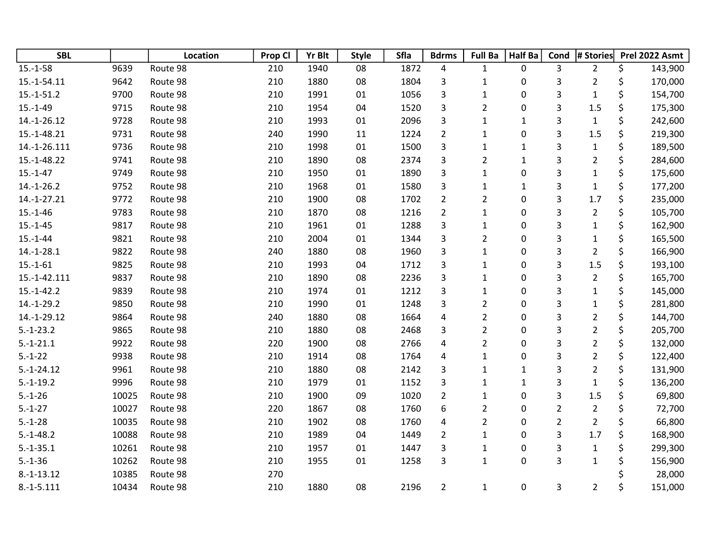| <b>SBL</b>   |       | Location | Prop Cl | <b>Yr Blt</b> | <b>Style</b> | Sfla | <b>Bdrms</b>            | <b>Full Ba</b> | <b>Half Ba</b> | Cond           | # Stories      | Prel 2022 Asmt |
|--------------|-------|----------|---------|---------------|--------------|------|-------------------------|----------------|----------------|----------------|----------------|----------------|
| $15.-1-58$   | 9639  | Route 98 | 210     | 1940          | 08           | 1872 | $\overline{a}$          | $\mathbf{1}$   | 0              | 3              | $\overline{2}$ | \$<br>143,900  |
| 15.-1-54.11  | 9642  | Route 98 | 210     | 1880          | 08           | 1804 | 3                       | $\mathbf{1}$   | 0              | 3              | $\overline{2}$ | \$<br>170,000  |
| $15.-1-51.2$ | 9700  | Route 98 | 210     | 1991          | 01           | 1056 | 3                       | $\mathbf{1}$   | 0              | 3              | $\mathbf{1}$   | \$<br>154,700  |
| $15.-1-49$   | 9715  | Route 98 | 210     | 1954          | 04           | 1520 | 3                       | $\overline{2}$ | 0              | 3              | 1.5            | \$<br>175,300  |
| 14.-1-26.12  | 9728  | Route 98 | 210     | 1993          | 01           | 2096 | 3                       | $\mathbf{1}$   | $\mathbf{1}$   | 3              | $\mathbf{1}$   | \$<br>242,600  |
| 15.-1-48.21  | 9731  | Route 98 | 240     | 1990          | 11           | 1224 | $\overline{2}$          | $\mathbf{1}$   | 0              | 3              | 1.5            | \$<br>219,300  |
| 14.-1-26.111 | 9736  | Route 98 | 210     | 1998          | 01           | 1500 | 3                       | $\mathbf 1$    | $\mathbf{1}$   | 3              | $\mathbf{1}$   | \$<br>189,500  |
| 15.-1-48.22  | 9741  | Route 98 | 210     | 1890          | 08           | 2374 | 3                       | $\overline{2}$ | $\mathbf{1}$   | 3              | $\overline{2}$ | \$<br>284,600  |
| $15.-1-47$   | 9749  | Route 98 | 210     | 1950          | 01           | 1890 | 3                       | $\mathbf{1}$   | 0              | 3              | $\mathbf{1}$   | \$<br>175,600  |
| $14.-1-26.2$ | 9752  | Route 98 | 210     | 1968          | 01           | 1580 | 3                       | $\mathbf{1}$   | $\mathbf{1}$   | 3              | $\mathbf{1}$   | \$<br>177,200  |
| 14.-1-27.21  | 9772  | Route 98 | 210     | 1900          | 08           | 1702 | $\overline{2}$          | $\overline{2}$ | 0              | 3              | 1.7            | \$<br>235,000  |
| $15.-1-46$   | 9783  | Route 98 | 210     | 1870          | 08           | 1216 | $\overline{2}$          | $\mathbf{1}$   | 0              | 3              | $\overline{2}$ | \$<br>105,700  |
| $15.-1-45$   | 9817  | Route 98 | 210     | 1961          | 01           | 1288 | 3                       | $\mathbf{1}$   | 0              | 3              | $\mathbf{1}$   | \$<br>162,900  |
| $15.-1-44$   | 9821  | Route 98 | 210     | 2004          | 01           | 1344 | 3                       | $\overline{2}$ | 0              | 3              | 1              | \$<br>165,500  |
| $14.-1-28.1$ | 9822  | Route 98 | 240     | 1880          | 08           | 1960 | 3                       | $\mathbf{1}$   | 0              | 3              | $\overline{2}$ | \$<br>166,900  |
| $15.-1-61$   | 9825  | Route 98 | 210     | 1993          | 04           | 1712 | 3                       | $\mathbf{1}$   | 0              | 3              | 1.5            | \$<br>193,100  |
| 15.-1-42.111 | 9837  | Route 98 | 210     | 1890          | 08           | 2236 | 3                       | 1              | 0              | 3              | $\overline{2}$ | \$<br>165,700  |
| $15.-1-42.2$ | 9839  | Route 98 | 210     | 1974          | 01           | 1212 | 3                       | $\mathbf{1}$   | 0              | 3              | $\mathbf{1}$   | \$<br>145,000  |
| $14.-1-29.2$ | 9850  | Route 98 | 210     | 1990          | 01           | 1248 | 3                       | $\overline{2}$ | 0              | 3              | $\mathbf 1$    | \$<br>281,800  |
| 14.-1-29.12  | 9864  | Route 98 | 240     | 1880          | 08           | 1664 | $\overline{\mathbf{4}}$ | $\overline{2}$ | 0              | 3              | $\overline{2}$ | \$<br>144,700  |
| $5.-1-23.2$  | 9865  | Route 98 | 210     | 1880          | 08           | 2468 | 3                       | $\overline{2}$ | 0              | 3              | $\overline{2}$ | \$<br>205,700  |
| $5.-1-21.1$  | 9922  | Route 98 | 220     | 1900          | 08           | 2766 | 4                       | $\overline{2}$ | 0              | 3              | $\overline{2}$ | \$<br>132,000  |
| $5.-1-22$    | 9938  | Route 98 | 210     | 1914          | 08           | 1764 | 4                       | $\mathbf{1}$   | 0              | 3              | $\overline{2}$ | \$<br>122,400  |
| $5.-1-24.12$ | 9961  | Route 98 | 210     | 1880          | 08           | 2142 | 3                       | $\mathbf{1}$   | $\mathbf{1}$   | 3              | $\overline{2}$ | \$<br>131,900  |
| $5.-1-19.2$  | 9996  | Route 98 | 210     | 1979          | 01           | 1152 | 3                       | $\mathbf{1}$   | $\mathbf{1}$   | 3              | $\mathbf{1}$   | \$<br>136,200  |
| $5.-1-26$    | 10025 | Route 98 | 210     | 1900          | 09           | 1020 | $\overline{2}$          | $\mathbf{1}$   | 0              | 3              | 1.5            | \$<br>69,800   |
| $5.-1-27$    | 10027 | Route 98 | 220     | 1867          | 08           | 1760 | 6                       | $\overline{2}$ | 0              | $\overline{2}$ | $\overline{2}$ | \$<br>72,700   |
| $5.-1-28$    | 10035 | Route 98 | 210     | 1902          | 08           | 1760 | 4                       | $\overline{2}$ | 0              | $\overline{2}$ | $\overline{2}$ | \$<br>66,800   |
| $5.-1-48.2$  | 10088 | Route 98 | 210     | 1989          | 04           | 1449 | $\overline{2}$          | $\mathbf{1}$   | 0              | 3              | $1.7$          | \$<br>168,900  |
| $5.-1-35.1$  | 10261 | Route 98 | 210     | 1957          | 01           | 1447 | 3                       | $\mathbf{1}$   | 0              | 3              | $\mathbf{1}$   | \$<br>299,300  |
| $5.-1-36$    | 10262 | Route 98 | 210     | 1955          | 01           | 1258 | 3                       | $\mathbf{1}$   | 0              | $\overline{3}$ | $\mathbf{1}$   | 156,900        |
| $8.-1-13.12$ | 10385 | Route 98 | 270     |               |              |      |                         |                |                |                |                | 28,000         |
| $8.-1-5.111$ | 10434 | Route 98 | 210     | 1880          | 08           | 2196 | $\overline{2}$          | $\mathbf{1}$   | 0              | 3              | $\overline{2}$ | \$<br>151,000  |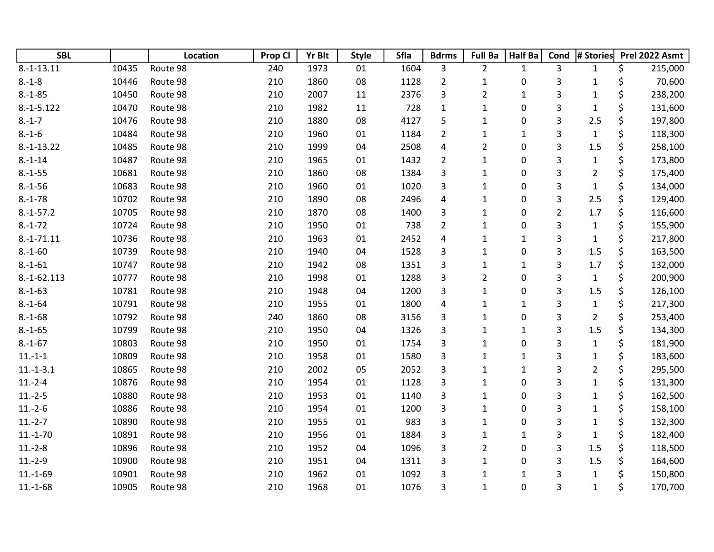| <b>SBL</b>   |       | Location | Prop Cl | <b>Yr Blt</b> | <b>Style</b> | Sfla | <b>Bdrms</b>            | <b>Full Ba</b> | Half Ba      | Cond           | # Stories      | Prel 2022 Asmt |
|--------------|-------|----------|---------|---------------|--------------|------|-------------------------|----------------|--------------|----------------|----------------|----------------|
| $8.-1-13.11$ | 10435 | Route 98 | 240     | 1973          | 01           | 1604 | 3                       | $\overline{2}$ | $\mathbf{1}$ | 3              | $\mathbf{1}$   | \$<br>215,000  |
| $8.-1-8$     | 10446 | Route 98 | 210     | 1860          | 08           | 1128 | $\overline{2}$          | $\mathbf 1$    | 0            | 3              | $\mathbf{1}$   | \$<br>70,600   |
| $8.-1-85$    | 10450 | Route 98 | 210     | 2007          | 11           | 2376 | 3                       | $\overline{2}$ | $\mathbf{1}$ | 3              | $\mathbf{1}$   | \$<br>238,200  |
| $8.-1-5.122$ | 10470 | Route 98 | 210     | 1982          | 11           | 728  | $\mathbf 1$             | $\mathbf{1}$   | 0            | 3              | $\mathbf{1}$   | \$<br>131,600  |
| $8.-1-7$     | 10476 | Route 98 | 210     | 1880          | 08           | 4127 | 5                       | $\mathbf{1}$   | 0            | 3              | 2.5            | \$<br>197,800  |
| $8.-1-6$     | 10484 | Route 98 | 210     | 1960          | 01           | 1184 | $\overline{2}$          | $\mathbf{1}$   | $\mathbf{1}$ | 3              | $\mathbf{1}$   | \$<br>118,300  |
| $8.-1-13.22$ | 10485 | Route 98 | 210     | 1999          | 04           | 2508 | $\pmb{4}$               | $\overline{c}$ | 0            | 3              | 1.5            | \$<br>258,100  |
| $8.-1-14$    | 10487 | Route 98 | 210     | 1965          | 01           | 1432 | $\overline{2}$          | $\mathbf{1}$   | 0            | 3              | $\mathbf{1}$   | \$<br>173,800  |
| $8.-1-55$    | 10681 | Route 98 | 210     | 1860          | 08           | 1384 | 3                       | $\mathbf 1$    | 0            | 3              | $\overline{2}$ | \$<br>175,400  |
| $8.-1-56$    | 10683 | Route 98 | 210     | 1960          | 01           | 1020 | 3                       | $\mathbf{1}$   | 0            | 3              | $\mathbf{1}$   | \$<br>134,000  |
| $8.-1-78$    | 10702 | Route 98 | 210     | 1890          | 08           | 2496 | 4                       | $\mathbf 1$    | 0            | 3              | 2.5            | \$<br>129,400  |
| $8.-1-57.2$  | 10705 | Route 98 | 210     | 1870          | 08           | 1400 | 3                       | $\mathbf{1}$   | 0            | $\overline{2}$ | 1.7            | \$<br>116,600  |
| $8.-1-72$    | 10724 | Route 98 | 210     | 1950          | 01           | 738  | $\overline{2}$          | $\mathbf{1}$   | 0            | 3              | $\mathbf{1}$   | \$<br>155,900  |
| $8.-1-71.11$ | 10736 | Route 98 | 210     | 1963          | 01           | 2452 | $\overline{\mathbf{4}}$ | $\mathbf 1$    | $\mathbf{1}$ | 3              | $\mathbf 1$    | \$<br>217,800  |
| $8.-1-60$    | 10739 | Route 98 | 210     | 1940          | 04           | 1528 | 3                       | $\mathbf{1}$   | 0            | 3              | 1.5            | \$<br>163,500  |
| $8.-1-61$    | 10747 | Route 98 | 210     | 1942          | 08           | 1351 | 3                       | $\mathbf{1}$   | $\mathbf{1}$ | 3              | 1.7            | \$<br>132,000  |
| 8.-1-62.113  | 10777 | Route 98 | 210     | 1998          | 01           | 1288 | 3                       | $\overline{2}$ | 0            | 3              | $\mathbf{1}$   | \$<br>200,900  |
| $8.-1-63$    | 10781 | Route 98 | 210     | 1948          | 04           | 1200 | 3                       | $\mathbf{1}$   | 0            | 3              | 1.5            | \$<br>126,100  |
| $8.-1-64$    | 10791 | Route 98 | 210     | 1955          | 01           | 1800 | $\pmb{4}$               | $\mathbf 1$    | $\mathbf{1}$ | 3              | $\mathbf{1}$   | \$<br>217,300  |
| $8.-1-68$    | 10792 | Route 98 | 240     | 1860          | 08           | 3156 | 3                       | $\mathbf{1}$   | 0            | 3              | $\overline{2}$ | \$<br>253,400  |
| $8.-1-65$    | 10799 | Route 98 | 210     | 1950          | 04           | 1326 | 3                       | $\mathbf 1$    | $\mathbf{1}$ | 3              | $1.5\,$        | \$<br>134,300  |
| $8.-1-67$    | 10803 | Route 98 | 210     | 1950          | 01           | 1754 | 3                       | $\mathbf 1$    | 0            | 3              | $\mathbf{1}$   | \$<br>181,900  |
| $11.-1-1$    | 10809 | Route 98 | 210     | 1958          | 01           | 1580 | 3                       | $\mathbf{1}$   | $\mathbf{1}$ | 3              | $\mathbf{1}$   | \$<br>183,600  |
| $11.-1-3.1$  | 10865 | Route 98 | 210     | 2002          | 05           | 2052 | 3                       | $\mathbf{1}$   | $\mathbf{1}$ | 3              | $\overline{2}$ | \$<br>295,500  |
| $11.-2-4$    | 10876 | Route 98 | 210     | 1954          | 01           | 1128 | 3                       | $\mathbf{1}$   | 0            | 3              | $\mathbf{1}$   | \$<br>131,300  |
| $11.-2-5$    | 10880 | Route 98 | 210     | 1953          | 01           | 1140 | 3                       | $\mathbf{1}$   | 0            | 3              | $\mathbf{1}$   | \$<br>162,500  |
| $11.-2-6$    | 10886 | Route 98 | 210     | 1954          | 01           | 1200 | 3                       | $\mathbf{1}$   | $\pmb{0}$    | 3              | 1              | \$<br>158,100  |
| $11.-2-7$    | 10890 | Route 98 | 210     | 1955          | 01           | 983  | 3                       | $\mathbf 1$    | 0            | 3              | $\mathbf{1}$   | \$<br>132,300  |
| $11.-1-70$   | 10891 | Route 98 | 210     | 1956          | $01\,$       | 1884 | 3                       | $\mathbf{1}$   | $\mathbf 1$  | 3              | $\mathbf 1$    | \$<br>182,400  |
| $11.-2-8$    | 10896 | Route 98 | 210     | 1952          | 04           | 1096 | 3                       | $\overline{c}$ | 0            | 3              | 1.5            | \$<br>118,500  |
| $11.-2-9$    | 10900 | Route 98 | 210     | 1951          | 04           | 1311 | 3                       | $\mathbf{1}$   | 0            | 3              | 1.5            | \$<br>164,600  |
| $11.-1-69$   | 10901 | Route 98 | 210     | 1962          | 01           | 1092 | 3                       | $\mathbf 1$    | $\mathbf{1}$ | 3              | $\mathbf{1}$   | \$<br>150,800  |
| $11.-1-68$   | 10905 | Route 98 | 210     | 1968          | 01           | 1076 | 3                       | $\mathbf{1}$   | 0            | 3              | $\mathbf{1}$   | \$<br>170,700  |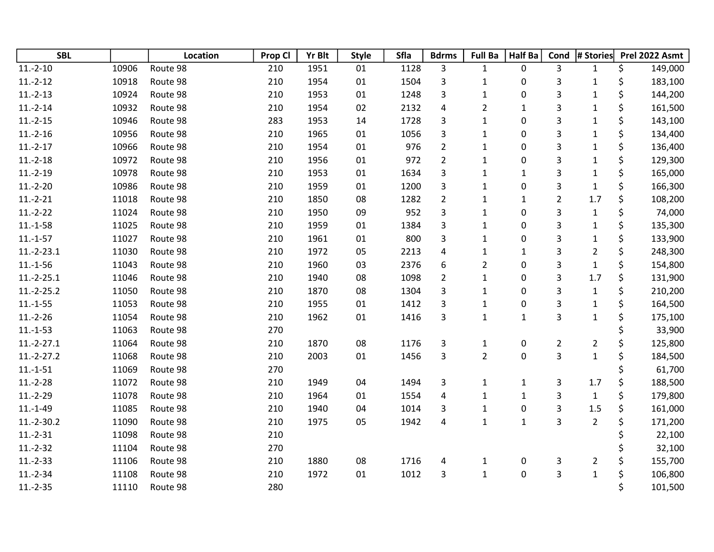| <b>SBL</b>    |       | Location | Prop Cl | Yr Blt | <b>Style</b> | <b>Sfla</b> | <b>Bdrms</b>            | <b>Full Ba</b> | Half Ba      | Cond           | # Stories      | Prel 2022 Asmt |
|---------------|-------|----------|---------|--------|--------------|-------------|-------------------------|----------------|--------------|----------------|----------------|----------------|
| $11.-2-10$    | 10906 | Route 98 | 210     | 1951   | 01           | 1128        | 3                       | $\mathbf{1}$   | 0            | 3              | $\mathbf{1}$   | \$<br>149,000  |
| $11.-2-12$    | 10918 | Route 98 | 210     | 1954   | 01           | 1504        | 3                       | $\mathbf 1$    | 0            | 3              | $\mathbf{1}$   | \$<br>183,100  |
| $11.-2-13$    | 10924 | Route 98 | 210     | 1953   | 01           | 1248        | 3                       | $\mathbf{1}$   | 0            | 3              | $\mathbf{1}$   | \$<br>144,200  |
| $11.-2-14$    | 10932 | Route 98 | 210     | 1954   | 02           | 2132        | $\overline{\mathbf{4}}$ | $\overline{c}$ | $\mathbf{1}$ | 3              | $\mathbf{1}$   | \$<br>161,500  |
| $11.-2-15$    | 10946 | Route 98 | 283     | 1953   | 14           | 1728        | 3                       | $\mathbf{1}$   | 0            | 3              | $\mathbf 1$    | \$<br>143,100  |
| $11.-2-16$    | 10956 | Route 98 | 210     | 1965   | 01           | 1056        | 3                       | $\mathbf{1}$   | $\pmb{0}$    | 3              | $\mathbf{1}$   | \$<br>134,400  |
| $11.-2-17$    | 10966 | Route 98 | 210     | 1954   | 01           | 976         | $\overline{2}$          | $\mathbf{1}$   | 0            | 3              | $\mathbf{1}$   | \$<br>136,400  |
| $11.-2-18$    | 10972 | Route 98 | 210     | 1956   | $01\,$       | 972         | $\overline{2}$          | $\mathbf{1}$   | 0            | 3              | $\mathbf 1$    | \$<br>129,300  |
| $11.-2-19$    | 10978 | Route 98 | 210     | 1953   | 01           | 1634        | 3                       | $\mathbf{1}$   | $\mathbf{1}$ | 3              | $\mathbf 1$    | \$<br>165,000  |
| $11.-2-20$    | 10986 | Route 98 | 210     | 1959   | 01           | 1200        | 3                       | $\mathbf{1}$   | 0            | 3              | $\mathbf{1}$   | \$<br>166,300  |
| $11.-2-21$    | 11018 | Route 98 | 210     | 1850   | 08           | 1282        | $\overline{2}$          | $\mathbf{1}$   | $\mathbf{1}$ | $\overline{2}$ | 1.7            | \$<br>108,200  |
| $11.-2-22$    | 11024 | Route 98 | 210     | 1950   | 09           | 952         | 3                       | $\mathbf{1}$   | 0            | 3              | $\mathbf{1}$   | \$<br>74,000   |
| $11.-1-58$    | 11025 | Route 98 | 210     | 1959   | 01           | 1384        | 3                       | $\mathbf 1$    | 0            | 3              | $\mathbf 1$    | \$<br>135,300  |
| $11.-1-57$    | 11027 | Route 98 | 210     | 1961   | 01           | 800         | 3                       | $\mathbf{1}$   | 0            | 3              | $\mathbf 1$    | \$<br>133,900  |
| $11.-2-.23.1$ | 11030 | Route 98 | 210     | 1972   | 05           | 2213        | 4                       | $\mathbf{1}$   | $\mathbf{1}$ | 3              | $\overline{2}$ | \$<br>248,300  |
| $11.-1-56$    | 11043 | Route 98 | 210     | 1960   | 03           | 2376        | 6                       | $\overline{2}$ | $\pmb{0}$    | 3              | $\mathbf{1}$   | \$<br>154,800  |
| $11.-2-25.1$  | 11046 | Route 98 | 210     | 1940   | 08           | 1098        | $\overline{2}$          | $\mathbf{1}$   | 0            | 3              | 1.7            | \$<br>131,900  |
| $11.-2-25.2$  | 11050 | Route 98 | 210     | 1870   | 08           | 1304        | 3                       | $\mathbf{1}$   | 0            | 3              | $\mathbf 1$    | \$<br>210,200  |
| $11.-1-55$    | 11053 | Route 98 | 210     | 1955   | $01\,$       | 1412        | 3                       | $\mathbf{1}$   | 0            | 3              | $\mathbf 1$    | \$<br>164,500  |
| $11.-2-26$    | 11054 | Route 98 | 210     | 1962   | 01           | 1416        | 3                       | $\mathbf{1}$   | $\mathbf{1}$ | 3              | $\mathbf{1}$   | \$<br>175,100  |
| $11.-1-53$    | 11063 | Route 98 | 270     |        |              |             |                         |                |              |                |                | 33,900         |
| $11.-2-27.1$  | 11064 | Route 98 | 210     | 1870   | 08           | 1176        | $\mathsf{3}$            | $\mathbf{1}$   | $\pmb{0}$    | $\overline{2}$ | $\overline{2}$ | \$<br>125,800  |
| $11.-2-27.2$  | 11068 | Route 98 | 210     | 2003   | 01           | 1456        | 3                       | $\overline{2}$ | $\pmb{0}$    | 3              | $\mathbf{1}$   | \$<br>184,500  |
| $11.-1-51$    | 11069 | Route 98 | 270     |        |              |             |                         |                |              |                |                | \$<br>61,700   |
| $11.-2-28$    | 11072 | Route 98 | 210     | 1949   | 04           | 1494        | 3                       | $\mathbf{1}$   | $\mathbf{1}$ | 3              | $1.7\,$        | \$<br>188,500  |
| $11.-2-29$    | 11078 | Route 98 | 210     | 1964   | 01           | 1554        | 4                       | $\mathbf 1$    | $\mathbf{1}$ | 3              | $\mathbf{1}$   | \$<br>179,800  |
| $11.-1-49$    | 11085 | Route 98 | 210     | 1940   | 04           | 1014        | 3                       | $\mathbf{1}$   | $\pmb{0}$    | 3              | 1.5            | \$<br>161,000  |
| $11.-2-30.2$  | 11090 | Route 98 | 210     | 1975   | 05           | 1942        | 4                       | $\mathbf{1}$   | $\mathbf{1}$ | 3              | $\overline{2}$ | \$<br>171,200  |
| $11.-2-31$    | 11098 | Route 98 | 210     |        |              |             |                         |                |              |                |                | 22,100         |
| $11.-2-32$    | 11104 | Route 98 | 270     |        |              |             |                         |                |              |                |                | 32,100         |
| $11.-2-33$    | 11106 | Route 98 | 210     | 1880   | 08           | 1716        | 4                       | 1              | 0            | 3              | $\overline{2}$ | \$<br>155,700  |
| $11.-2-34$    | 11108 | Route 98 | 210     | 1972   | 01           | 1012        | 3                       | $\mathbf 1$    | $\pmb{0}$    | 3              | $\mathbf 1$    | \$<br>106,800  |
| $11.-2-35$    | 11110 | Route 98 | 280     |        |              |             |                         |                |              |                |                | \$<br>101,500  |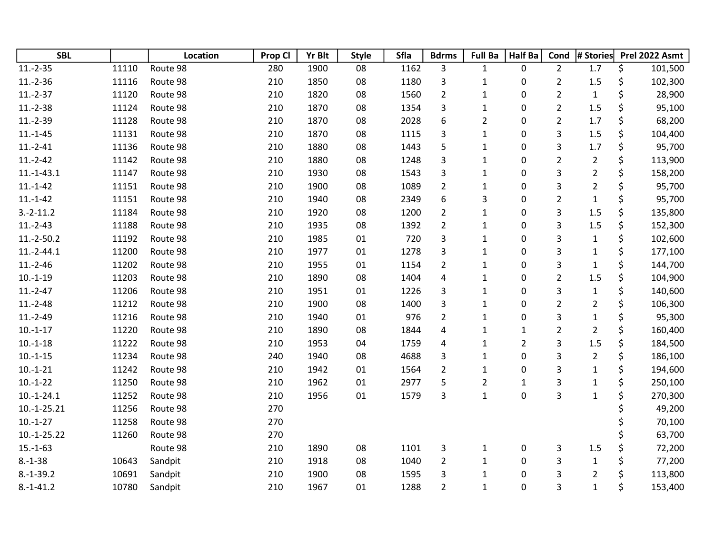| <b>SBL</b>    |       | Location | Prop Cl | <b>Yr Blt</b> | <b>Style</b> | <b>Sfla</b> | <b>Bdrms</b>   | <b>Full Ba</b> | <b>Half Ba</b> | Cond           | # Stories      |         | Prel 2022 Asmt |
|---------------|-------|----------|---------|---------------|--------------|-------------|----------------|----------------|----------------|----------------|----------------|---------|----------------|
| $11.-2-35$    | 11110 | Route 98 | 280     | 1900          | 08           | 1162        | 3              | $\mathbf{1}$   | 0              | $\overline{2}$ | 1.7            | \$      | 101,500        |
| $11.-2-36$    | 11116 | Route 98 | 210     | 1850          | 08           | 1180        | 3              | $\mathbf{1}$   | 0              | $\overline{2}$ | 1.5            | \$      | 102,300        |
| $11.-2-37$    | 11120 | Route 98 | 210     | 1820          | 08           | 1560        | $\mathbf 2$    | $\mathbf{1}$   | 0              | $\overline{2}$ | $\mathbf 1$    | \$      | 28,900         |
| $11.-2-38$    | 11124 | Route 98 | 210     | 1870          | 08           | 1354        | 3              | $\mathbf{1}$   | 0              | $\overline{2}$ | 1.5            | \$      | 95,100         |
| $11.-2-39$    | 11128 | Route 98 | 210     | 1870          | 08           | 2028        | 6              | $\overline{2}$ | 0              | $\overline{2}$ | 1.7            | \$      | 68,200         |
| $11.-1-45$    | 11131 | Route 98 | 210     | 1870          | 08           | 1115        | 3              | $\mathbf{1}$   | 0              | 3              | $1.5\,$        | \$      | 104,400        |
| $11.-2-41$    | 11136 | Route 98 | 210     | 1880          | 08           | 1443        | 5              | $\mathbf{1}$   | 0              | 3              | 1.7            | \$      | 95,700         |
| $11.-2-42$    | 11142 | Route 98 | 210     | 1880          | 08           | 1248        | 3              | $\mathbf{1}$   | 0              | $\overline{2}$ | $\overline{2}$ | \$      | 113,900        |
| $11.-1-43.1$  | 11147 | Route 98 | 210     | 1930          | 08           | 1543        | 3              | $\mathbf{1}$   | 0              | 3              | $\overline{2}$ | \$      | 158,200        |
| $11.-1-42$    | 11151 | Route 98 | 210     | 1900          | 08           | 1089        | $\overline{2}$ | $\mathbf{1}$   | 0              | 3              | $\overline{2}$ | \$      | 95,700         |
| $11.-1-42$    | 11151 | Route 98 | 210     | 1940          | 08           | 2349        | 6              | 3              | 0              | $\overline{2}$ | $\mathbf{1}$   | \$      | 95,700         |
| $3.-2-11.2$   | 11184 | Route 98 | 210     | 1920          | 08           | 1200        | $\overline{2}$ | $\mathbf{1}$   | 0              | 3              | 1.5            | \$      | 135,800        |
| $11.-2-43$    | 11188 | Route 98 | 210     | 1935          | 08           | 1392        | $\overline{2}$ | $\mathbf{1}$   | 0              | 3              | 1.5            | \$      | 152,300        |
| $11.-2-50.2$  | 11192 | Route 98 | 210     | 1985          | $01\,$       | 720         | 3              | $\mathbf 1$    | 0              | 3              | $\mathbf{1}$   | \$      | 102,600        |
| $11.-2-44.1$  | 11200 | Route 98 | 210     | 1977          | 01           | 1278        | 3              | $\mathbf{1}$   | 0              | 3              | $\mathbf{1}$   | \$      | 177,100        |
| $11.-2-46$    | 11202 | Route 98 | 210     | 1955          | 01           | 1154        | $\overline{2}$ | $\mathbf{1}$   | 0              | 3              | $\mathbf{1}$   | \$      | 144,700        |
| $10.-1-19$    | 11203 | Route 98 | 210     | 1890          | 08           | 1404        | 4              | $\mathbf{1}$   | 0              | $\overline{2}$ | 1.5            | \$      | 104,900        |
| $11.-2-47$    | 11206 | Route 98 | 210     | 1951          | 01           | 1226        | 3              | $\mathbf{1}$   | 0              | 3              | $\mathbf{1}$   | \$      | 140,600        |
| $11.-2-48$    | 11212 | Route 98 | 210     | 1900          | 08           | 1400        | 3              | $\mathbf 1$    | 0              | $\overline{2}$ | $\overline{2}$ | \$      | 106,300        |
| $11.-2-49$    | 11216 | Route 98 | 210     | 1940          | 01           | 976         | $\overline{2}$ | $\mathbf{1}$   | 0              | 3              | $\mathbf{1}$   | \$      | 95,300         |
| $10.-1-17$    | 11220 | Route 98 | 210     | 1890          | 08           | 1844        | 4              | $\mathbf{1}$   | $\mathbf{1}$   | $\overline{2}$ | $\overline{2}$ | \$      | 160,400        |
| $10.-1-18$    | 11222 | Route 98 | 210     | 1953          | 04           | 1759        | 4              | $\mathbf{1}$   | $\overline{2}$ | 3              | $1.5\,$        | \$      | 184,500        |
| $10.-1-15$    | 11234 | Route 98 | 240     | 1940          | 08           | 4688        | 3              | $\mathbf{1}$   | 0              | 3              | $\overline{2}$ | \$      | 186,100        |
| $10.-1-21$    | 11242 | Route 98 | 210     | 1942          | 01           | 1564        | $\overline{2}$ | $\mathbf{1}$   | 0              | 3              | $\mathbf{1}$   | \$      | 194,600        |
| $10.-1-22$    | 11250 | Route 98 | 210     | 1962          | 01           | 2977        | 5              | $\overline{2}$ | $\mathbf{1}$   | 3              | $\mathbf{1}$   | \$      | 250,100        |
| $10.-1-24.1$  | 11252 | Route 98 | 210     | 1956          | 01           | 1579        | 3              | $\mathbf{1}$   | 0              | 3              | $\mathbf{1}$   | \$      | 270,300        |
| $10.-1-25.21$ | 11256 | Route 98 | 270     |               |              |             |                |                |                |                |                |         | 49,200         |
| $10.-1-27$    | 11258 | Route 98 | 270     |               |              |             |                |                |                |                |                |         | 70,100         |
| $10.-1-25.22$ | 11260 | Route 98 | 270     |               |              |             |                |                |                |                |                |         | 63,700         |
| $15.-1-63$    |       | Route 98 | 210     | 1890          | 08           | 1101        | 3              | 1              | $\pmb{0}$      | 3              | $1.5\,$        | \$      | 72,200         |
| $8.-1-38$     | 10643 | Sandpit  | 210     | 1918          | 08           | 1040        | $\overline{2}$ | $\mathbf{1}$   | 0              | 3              | $\mathbf{1}$   | \$      | 77,200         |
| $8.-1-39.2$   | 10691 | Sandpit  | 210     | 1900          | 08           | 1595        | 3              | $\mathbf{1}$   | 0              | 3              | $\overline{2}$ | \$      | 113,800        |
| $8.-1-41.2$   | 10780 | Sandpit  | 210     | 1967          | 01           | 1288        | $\overline{2}$ | $\mathbf{1}$   | 0              | 3              | $\mathbf{1}$   | $\zeta$ | 153,400        |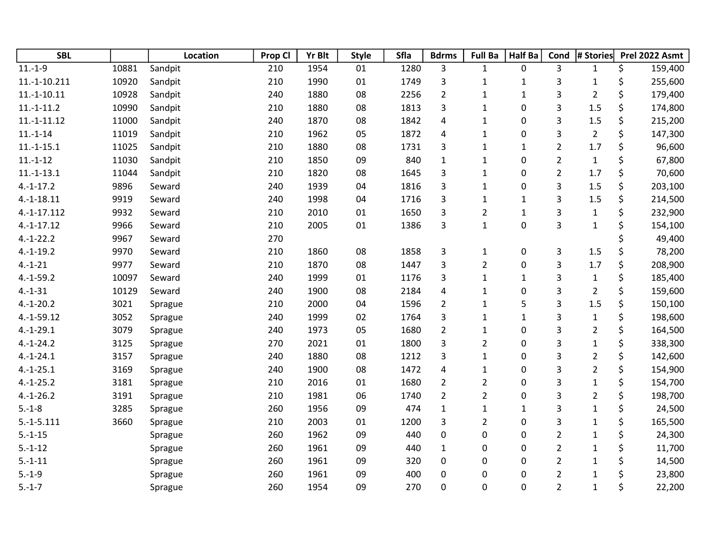| <b>SBL</b>    |       | Location | Prop Cl | <b>Yr Blt</b> | <b>Style</b> | Sfla | <b>Bdrms</b>            | <b>Full Ba</b>          | <b>Half Ba</b> | Cond           | # Stories               | Prel 2022 Asmt |
|---------------|-------|----------|---------|---------------|--------------|------|-------------------------|-------------------------|----------------|----------------|-------------------------|----------------|
| $11.-1-9$     | 10881 | Sandpit  | 210     | 1954          | 01           | 1280 | 3                       | $\mathbf{1}$            | 0              | $\overline{3}$ | $\mathbf{1}$            | \$<br>159,400  |
| 11.-1-10.211  | 10920 | Sandpit  | 210     | 1990          | 01           | 1749 | 3                       | $\mathbf{1}$            | $\mathbf{1}$   | 3              | $\mathbf 1$             | \$<br>255,600  |
| $11.-1-10.11$ | 10928 | Sandpit  | 240     | 1880          | 08           | 2256 | $\overline{2}$          | $\mathbf{1}$            | $\mathbf{1}$   | 3              | $\overline{2}$          | \$<br>179,400  |
| $11.-1-11.2$  | 10990 | Sandpit  | 210     | 1880          | 08           | 1813 | 3                       | $\mathbf{1}$            | 0              | 3              | 1.5                     | \$<br>174,800  |
| $11.-1-11.12$ | 11000 | Sandpit  | 240     | 1870          | 08           | 1842 | 4                       | $\mathbf{1}$            | 0              | 3              | 1.5                     | \$<br>215,200  |
| $11.-1-14$    | 11019 | Sandpit  | 210     | 1962          | 05           | 1872 | 4                       | $\mathbf 1$             | 0              | 3              | $\overline{2}$          | \$<br>147,300  |
| $11.-1-15.1$  | 11025 | Sandpit  | 210     | 1880          | 08           | 1731 | 3                       | $\mathbf{1}$            | $\mathbf{1}$   | $\overline{2}$ | 1.7                     | \$<br>96,600   |
| $11.-1-12$    | 11030 | Sandpit  | 210     | 1850          | 09           | 840  | $\mathbf 1$             | $\mathbf 1$             | 0              | $\overline{2}$ | $\mathbf 1$             | \$<br>67,800   |
| $11.-1-13.1$  | 11044 | Sandpit  | 210     | 1820          | 08           | 1645 | 3                       | $\mathbf{1}$            | 0              | $\overline{2}$ | 1.7                     | \$<br>70,600   |
| $4.-1-17.2$   | 9896  | Seward   | 240     | 1939          | 04           | 1816 | 3                       | $\mathbf{1}$            | 0              | 3              | 1.5                     | \$<br>203,100  |
| $4.-1-18.11$  | 9919  | Seward   | 240     | 1998          | 04           | 1716 | 3                       | $\mathbf{1}$            | $\mathbf{1}$   | 3              | 1.5                     | \$<br>214,500  |
| $4.-1-17.112$ | 9932  | Seward   | 210     | 2010          | 01           | 1650 | 3                       | $\overline{2}$          | $\mathbf 1$    | 3              | $\mathbf 1$             | \$<br>232,900  |
| $4.-1-17.12$  | 9966  | Seward   | 210     | 2005          | 01           | 1386 | 3                       | $\mathbf{1}$            | $\pmb{0}$      | 3              | $\mathbf 1$             | \$<br>154,100  |
| $4.-1-22.2$   | 9967  | Seward   | 270     |               |              |      |                         |                         |                |                |                         | \$<br>49,400   |
| $4.-1-19.2$   | 9970  | Seward   | 210     | 1860          | 08           | 1858 | $\mathsf{3}$            | $\mathbf{1}$            | 0              | 3              | 1.5                     | \$<br>78,200   |
| $4.-1-21$     | 9977  | Seward   | 210     | 1870          | 08           | 1447 | 3                       | $\overline{2}$          | 0              | 3              | 1.7                     | \$<br>208,900  |
| $4.-1-59.2$   | 10097 | Seward   | 240     | 1999          | 01           | 1176 | 3                       | $\mathbf 1$             | $\mathbf 1$    | 3              | $\mathbf 1$             | \$<br>185,400  |
| $4.-1-31$     | 10129 | Seward   | 240     | 1900          | 08           | 2184 | 4                       | $\mathbf 1$             | 0              | 3              | $\overline{2}$          | \$<br>159,600  |
| $4.-1-20.2$   | 3021  | Sprague  | 210     | 2000          | 04           | 1596 | $\overline{2}$          | $\mathbf{1}$            | 5              | 3              | 1.5                     | \$<br>150,100  |
| $4.-1-59.12$  | 3052  | Sprague  | 240     | 1999          | 02           | 1764 | 3                       | $\mathbf{1}$            | $\mathbf{1}$   | 3              | $\mathbf 1$             | \$<br>198,600  |
| $4.-1-29.1$   | 3079  | Sprague  | 240     | 1973          | 05           | 1680 | $\overline{2}$          | $\mathbf 1$             | 0              | 3              | $\overline{2}$          | \$<br>164,500  |
| $4.-1-24.2$   | 3125  | Sprague  | 270     | 2021          | 01           | 1800 | 3                       | $\overline{2}$          | 0              | 3              | $\mathbf{1}$            | \$<br>338,300  |
| $4.-1-24.1$   | 3157  | Sprague  | 240     | 1880          | 08           | 1212 | 3                       | $\mathbf 1$             | 0              | 3              | $\overline{2}$          | \$<br>142,600  |
| $4.-1-25.1$   | 3169  | Sprague  | 240     | 1900          | 08           | 1472 | $\overline{\mathbf{4}}$ | $\mathbf{1}$            | 0              | 3              | $\overline{2}$          | \$<br>154,900  |
| $4.-1-25.2$   | 3181  | Sprague  | 210     | 2016          | 01           | 1680 | $\overline{2}$          | $\overline{\mathbf{c}}$ | 0              | 3              | $\mathbf 1$             | \$<br>154,700  |
| $4.-1-26.2$   | 3191  | Sprague  | 210     | 1981          | 06           | 1740 | $\overline{2}$          | $\overline{\mathbf{c}}$ | 0              | 3              | $\overline{\mathbf{c}}$ | \$<br>198,700  |
| $5.-1-8$      | 3285  | Sprague  | 260     | 1956          | 09           | 474  | $\mathbf{1}$            | $\mathbf{1}$            | $\mathbf{1}$   | 3              | $\mathbf{1}$            | \$<br>24,500   |
| $5.-1-5.111$  | 3660  | Sprague  | 210     | 2003          | 01           | 1200 | 3                       | $\overline{2}$          | $\pmb{0}$      | 3              | $\mathbf 1$             | \$<br>165,500  |
| $5.-1-15$     |       | Sprague  | 260     | 1962          | 09           | 440  | $\pmb{0}$               | 0                       | 0              | $\overline{2}$ | $\mathbf{1}$            | \$<br>24,300   |
| $5.-1-12$     |       | Sprague  | 260     | 1961          | 09           | 440  | $\mathbf{1}$            | 0                       | 0              | $\overline{2}$ | $\mathbf 1$             | \$<br>11,700   |
| $5.-1-11$     |       | Sprague  | 260     | 1961          | 09           | 320  | 0                       | 0                       | 0              | $\overline{2}$ | $\mathbf 1$             | \$<br>14,500   |
| $5.-1-9$      |       | Sprague  | 260     | 1961          | 09           | 400  | 0                       | 0                       | 0              | $\overline{2}$ | $\mathbf{1}$            | \$<br>23,800   |
| $5.-1-7$      |       | Sprague  | 260     | 1954          | 09           | 270  | 0                       | 0                       | 0              | $\overline{2}$ | $\mathbf{1}$            | \$<br>22,200   |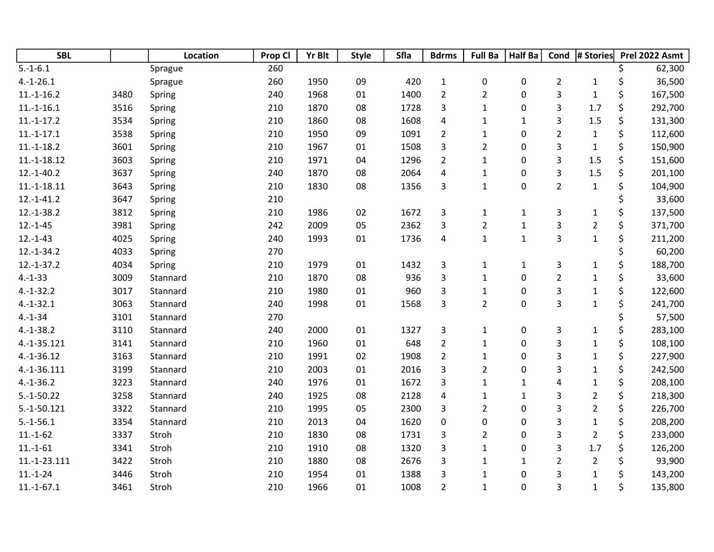| <b>SBL</b>    |      | Location | Prop Cl | <b>Yr Blt</b> | <b>Style</b> | Sfla | <b>Bdrms</b>            | <b>Full Ba</b>          | <b>Half Ba</b> | Cond                    | # Stories      | Prel 2022 Asmt |
|---------------|------|----------|---------|---------------|--------------|------|-------------------------|-------------------------|----------------|-------------------------|----------------|----------------|
| $5.-1-6.1$    |      | Sprague  | 260     |               |              |      |                         |                         |                |                         |                | 62,300         |
| $4.-1-26.1$   |      | Sprague  | 260     | 1950          | 09           | 420  | $\mathbf 1$             | 0                       | 0              | $\overline{2}$          | $\mathbf{1}$   | \$<br>36,500   |
| $11.-1-16.2$  | 3480 | Spring   | 240     | 1968          | 01           | 1400 | $\overline{2}$          | $\overline{2}$          | 0              | 3                       | $\mathbf 1$    | \$<br>167,500  |
| $11.-1-16.1$  | 3516 | Spring   | 210     | 1870          | 08           | 1728 | 3                       | $\mathbf 1$             | 0              | 3                       | 1.7            | \$<br>292,700  |
| $11.-1-17.2$  | 3534 | Spring   | 210     | 1860          | 08           | 1608 | $\overline{\mathbf{4}}$ | $\mathbf{1}$            | $\mathbf{1}$   | 3                       | 1.5            | \$<br>131,300  |
| $11.-1-17.1$  | 3538 | Spring   | 210     | 1950          | 09           | 1091 | $\overline{2}$          | $\mathbf{1}$            | 0              | $\overline{2}$          | $\mathbf{1}$   | \$<br>112,600  |
| $11.-1-18.2$  | 3601 | Spring   | 210     | 1967          | 01           | 1508 | 3                       | $\overline{2}$          | 0              | 3                       | $\mathbf{1}$   | \$<br>150,900  |
| $11.-1-18.12$ | 3603 | Spring   | 210     | 1971          | 04           | 1296 | $\overline{2}$          | $\mathbf{1}$            | 0              | 3                       | 1.5            | \$<br>151,600  |
| $12.-1-40.2$  | 3637 | Spring   | 240     | 1870          | 08           | 2064 | $\overline{\mathbf{4}}$ | $\mathbf 1$             | 0              | 3                       | 1.5            | \$<br>201,100  |
| $11.-1-18.11$ | 3643 | Spring   | 210     | 1830          | 08           | 1356 | 3                       | $\mathbf 1$             | 0              | $\overline{2}$          | $\mathbf 1$    | \$<br>104,900  |
| $12.-1-41.2$  | 3647 | Spring   | 210     |               |              |      |                         |                         |                |                         |                | 33,600         |
| $12.-1-38.2$  | 3812 | Spring   | 210     | 1986          | 02           | 1672 | 3                       | $\mathbf{1}$            | $\mathbf{1}$   | 3                       | $\mathbf{1}$   | \$<br>137,500  |
| $12.-1-45$    | 3981 | Spring   | 242     | 2009          | 05           | 2362 | 3                       | $\overline{2}$          | $\mathbf{1}$   | 3                       | $\overline{2}$ | \$<br>371,700  |
| $12.-1-43$    | 4025 | Spring   | 240     | 1993          | 01           | 1736 | $\pmb{4}$               | $\mathbf{1}$            | $\mathbf{1}$   | 3                       | $\mathbf{1}$   | \$<br>211,200  |
| $12.-1-34.2$  | 4033 | Spring   | 270     |               |              |      |                         |                         |                |                         |                | \$<br>60,200   |
| $12.-1-37.2$  | 4034 | Spring   | 210     | 1979          | 01           | 1432 | 3                       | $\mathbf{1}$            | $\mathbf{1}$   | 3                       | 1              | \$<br>188,700  |
| $4.-1-33$     | 3009 | Stannard | 210     | 1870          | 08           | 936  | 3                       | $\mathbf 1$             | 0              | $\overline{\mathbf{c}}$ | $\mathbf{1}$   | \$<br>33,600   |
| $4.-1-32.2$   | 3017 | Stannard | 210     | 1980          | 01           | 960  | 3                       | $\mathbf{1}$            | 0              | 3                       | $\mathbf 1$    | \$<br>122,600  |
| $4.-1-32.1$   | 3063 | Stannard | 240     | 1998          | 01           | 1568 | 3                       | $\overline{2}$          | 0              | 3                       | $\mathbf 1$    | \$<br>241,700  |
| $4.-1-34$     | 3101 | Stannard | 270     |               |              |      |                         |                         |                |                         |                | \$<br>57,500   |
| $4.-1-38.2$   | 3110 | Stannard | 240     | 2000          | 01           | 1327 | 3                       | $\mathbf{1}$            | 0              | 3                       | 1              | \$<br>283,100  |
| $4.-1-35.121$ | 3141 | Stannard | 210     | 1960          | 01           | 648  | $\overline{2}$          | $\mathbf{1}$            | 0              | 3                       | $\mathbf{1}$   | \$<br>108,100  |
| $4.-1-36.12$  | 3163 | Stannard | 210     | 1991          | 02           | 1908 | $\overline{2}$          | $\mathbf 1$             | 0              | 3                       | $\mathbf{1}$   | \$<br>227,900  |
| 4.-1-36.111   | 3199 | Stannard | 210     | 2003          | $01\,$       | 2016 | 3                       | $\overline{2}$          | 0              | 3                       | 1              | \$<br>242,500  |
| $4.-1-36.2$   | 3223 | Stannard | 240     | 1976          | 01           | 1672 | 3                       | $\mathbf{1}$            | $\mathbf{1}$   | 4                       | 1              | \$<br>208,100  |
| $5.-1-50.22$  | 3258 | Stannard | 240     | 1925          | 08           | 2128 | 4                       | $\mathbf{1}$            | $\mathbf{1}$   | 3                       | $\mathbf 2$    | \$<br>218,300  |
| $5.-1-50.121$ | 3322 | Stannard | 210     | 1995          | 05           | 2300 | 3                       | $\overline{2}$          | $\pmb{0}$      | 3                       | $\overline{2}$ | \$<br>226,700  |
| $5.-1-56.1$   | 3354 | Stannard | 210     | 2013          | 04           | 1620 | $\pmb{0}$               | 0                       | 0              | 3                       | $\mathbf{1}$   | \$<br>208,200  |
| $11.-1-62$    | 3337 | Stroh    | 210     | 1830          | 08           | 1731 | 3                       | $\overline{\mathbf{c}}$ | 0              | 3                       | $\overline{2}$ | \$<br>233,000  |
| $11.-1-61$    | 3341 | Stroh    | 210     | 1910          | 08           | 1320 | 3                       | $\mathbf 1$             | 0              | 3                       | 1.7            | \$<br>126,200  |
| 11.-1-23.111  | 3422 | Stroh    | 210     | 1880          | 08           | 2676 | 3                       | $\mathbf{1}$            | $\mathbf{1}$   | $\overline{2}$          | $\overline{2}$ | 93,900         |
| $11.-1-24$    | 3446 | Stroh    | 210     | 1954          | 01           | 1388 | 3                       | $\mathbf 1$             | 0              | 3                       | $\mathbf{1}$   | \$<br>143,200  |
| $11.-1-67.1$  | 3461 | Stroh    | 210     | 1966          | 01           | 1008 | $\overline{2}$          | $\mathbf{1}$            | 0              | 3                       | $\mathbf{1}$   | \$<br>135,800  |